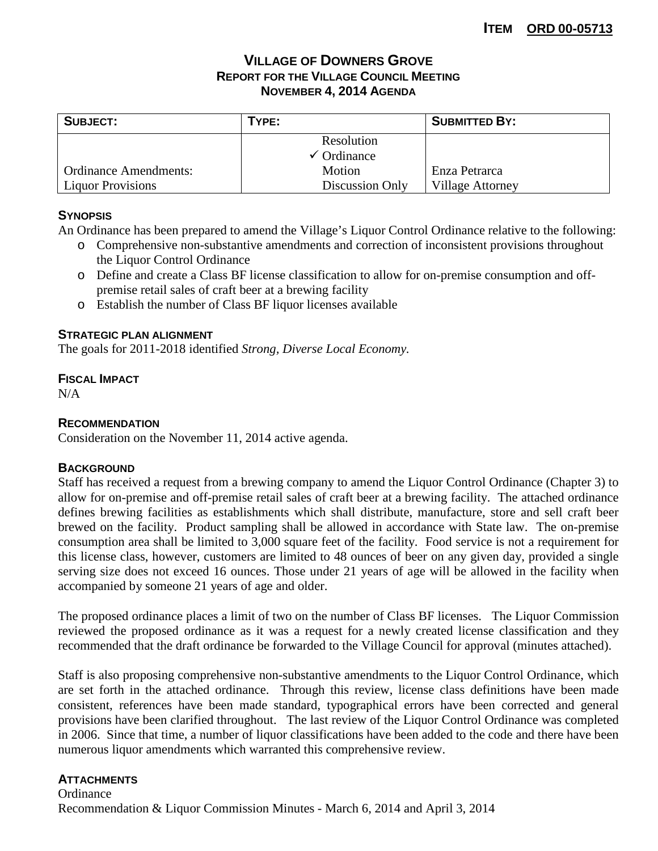# **VILLAGE OF DOWNERS GROVE REPORT FOR THE VILLAGE COUNCIL MEETING NOVEMBER 4, 2014 AGENDA**

| <b>SUBJECT:</b>              | TYPE:                  | <b>SUBMITTED BY:</b>    |  |
|------------------------------|------------------------|-------------------------|--|
|                              | Resolution             |                         |  |
|                              | $\checkmark$ Ordinance |                         |  |
| <b>Ordinance Amendments:</b> | Motion                 | Enza Petrarca           |  |
| <b>Liquor Provisions</b>     | Discussion Only        | <b>Village Attorney</b> |  |

## **SYNOPSIS**

An Ordinance has been prepared to amend the Village's Liquor Control Ordinance relative to the following:

- o Comprehensive non-substantive amendments and correction of inconsistent provisions throughout the Liquor Control Ordinance
- o Define and create a Class BF license classification to allow for on-premise consumption and offpremise retail sales of craft beer at a brewing facility
- o Establish the number of Class BF liquor licenses available

## **STRATEGIC PLAN ALIGNMENT**

The goals for 2011-2018 identified *Strong, Diverse Local Economy.*

## **FISCAL IMPACT**

N/A

## **RECOMMENDATION**

Consideration on the November 11, 2014 active agenda.

#### **BACKGROUND**

Staff has received a request from a brewing company to amend the Liquor Control Ordinance (Chapter 3) to allow for on-premise and off-premise retail sales of craft beer at a brewing facility. The attached ordinance defines brewing facilities as establishments which shall distribute, manufacture, store and sell craft beer brewed on the facility. Product sampling shall be allowed in accordance with State law. The on-premise consumption area shall be limited to 3,000 square feet of the facility. Food service is not a requirement for this license class, however, customers are limited to 48 ounces of beer on any given day, provided a single serving size does not exceed 16 ounces. Those under 21 years of age will be allowed in the facility when accompanied by someone 21 years of age and older.

The proposed ordinance places a limit of two on the number of Class BF licenses. The Liquor Commission reviewed the proposed ordinance as it was a request for a newly created license classification and they recommended that the draft ordinance be forwarded to the Village Council for approval (minutes attached).

Staff is also proposing comprehensive non-substantive amendments to the Liquor Control Ordinance, which are set forth in the attached ordinance. Through this review, license class definitions have been made consistent, references have been made standard, typographical errors have been corrected and general provisions have been clarified throughout. The last review of the Liquor Control Ordinance was completed in 2006. Since that time, a number of liquor classifications have been added to the code and there have been numerous liquor amendments which warranted this comprehensive review.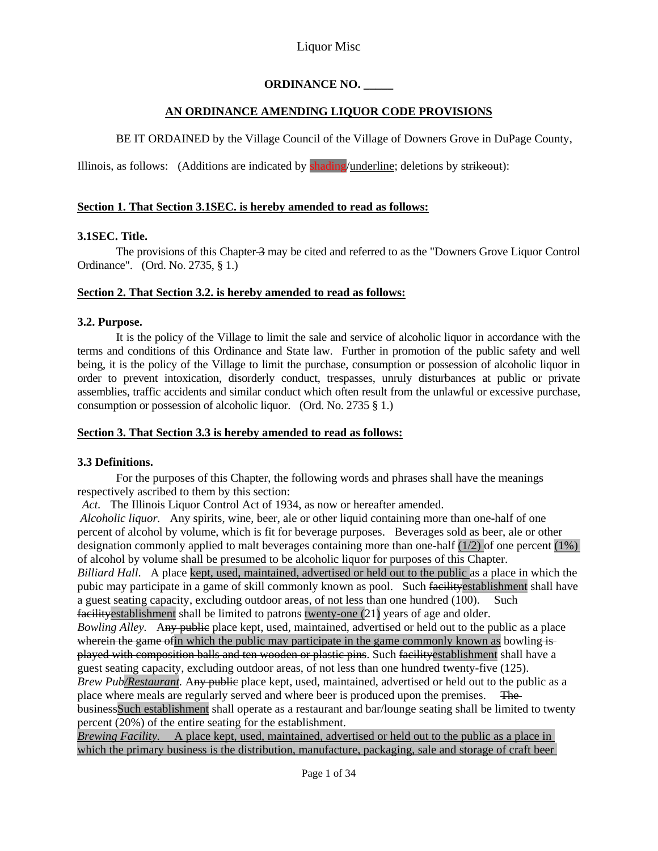## **ORDINANCE NO. \_\_\_\_\_**

## **AN ORDINANCE AMENDING LIQUOR CODE PROVISIONS**

BE IT ORDAINED by the Village Council of the Village of Downers Grove in DuPage County,

Illinois, as follows: (Additions are indicated by shading/underline; deletions by strikeout):

## **Section 1. That Section 3.1SEC. is hereby amended to read as follows:**

## **3.1SEC. Title.**

The provisions of this Chapter 3 may be cited and referred to as the "Downers Grove Liquor Control" Ordinance". (Ord. No. 2735, § 1.)

## **Section 2. That Section 3.2. is hereby amended to read as follows:**

## **3.2. Purpose.**

 It is the policy of the Village to limit the sale and service of alcoholic liquor in accordance with the terms and conditions of this Ordinance and State law. Further in promotion of the public safety and well being, it is the policy of the Village to limit the purchase, consumption or possession of alcoholic liquor in order to prevent intoxication, disorderly conduct, trespasses, unruly disturbances at public or private assemblies, traffic accidents and similar conduct which often result from the unlawful or excessive purchase, consumption or possession of alcoholic liquor. (Ord. No. 2735 § 1.)

## **Section 3. That Section 3.3 is hereby amended to read as follows:**

# **3.3 Definitions.**

For the purposes of this Chapter, the following words and phrases shall have the meanings respectively ascribed to them by this section:

*Act.* The Illinois Liquor Control Act of 1934, as now or hereafter amended.

*Alcoholic liquor.* Any spirits, wine, beer, ale or other liquid containing more than one-half of one percent of alcohol by volume, which is fit for beverage purposes. Beverages sold as beer, ale or other designation commonly applied to malt beverages containing more than one-half  $(1/2)$  of one percent  $(1\%)$ of alcohol by volume shall be presumed to be alcoholic liquor for purposes of this Chapter.

*Billiard Hall*. A place kept, used, maintained, advertised or held out to the public as a place in which the pubic may participate in a game of skill commonly known as pool. Such facilityestablishment shall have a guest seating capacity, excluding outdoor areas, of not less than one hundred (100). Such facilityestablishment shall be limited to patrons twenty-one (21) years of age and older.

*Bowling Alley.* Any public place kept, used, maintained, advertised or held out to the public as a place wherein the game of in which the public may participate in the game commonly known as bowling isplayed with composition balls and ten wooden or plastic pins. Such facilityestablishment shall have a guest seating capacity, excluding outdoor areas, of not less than one hundred twenty-five (125). *Brew Pub/Restaurant.* Any public place kept, used, maintained, advertised or held out to the public as a place where meals are regularly served and where beer is produced upon the premises. The businessSuch establishment shall operate as a restaurant and bar/lounge seating shall be limited to twenty percent (20%) of the entire seating for the establishment.

*Brewing Facility.* A place kept, used, maintained, advertised or held out to the public as a place in which the primary business is the distribution, manufacture, packaging, sale and storage of craft beer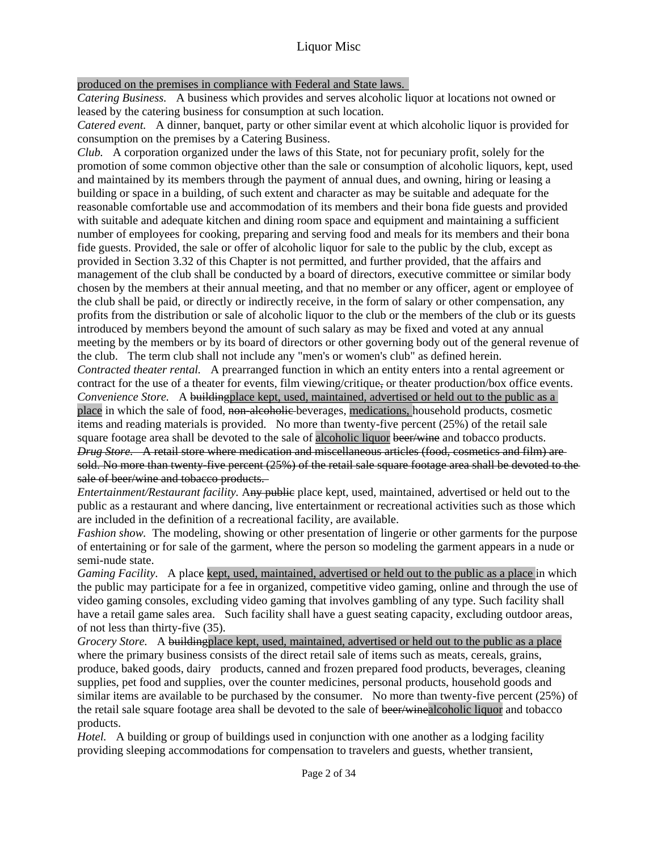## produced on the premises in compliance with Federal and State laws.

*Catering Business.* A business which provides and serves alcoholic liquor at locations not owned or leased by the catering business for consumption at such location.

*Catered event.* A dinner, banquet, party or other similar event at which alcoholic liquor is provided for consumption on the premises by a Catering Business.

*Club.* A corporation organized under the laws of this State, not for pecuniary profit, solely for the promotion of some common objective other than the sale or consumption of alcoholic liquors, kept, used and maintained by its members through the payment of annual dues, and owning, hiring or leasing a building or space in a building, of such extent and character as may be suitable and adequate for the reasonable comfortable use and accommodation of its members and their bona fide guests and provided with suitable and adequate kitchen and dining room space and equipment and maintaining a sufficient number of employees for cooking, preparing and serving food and meals for its members and their bona fide guests. Provided, the sale or offer of alcoholic liquor for sale to the public by the club, except as provided in Section 3.32 of this Chapter is not permitted, and further provided, that the affairs and management of the club shall be conducted by a board of directors, executive committee or similar body chosen by the members at their annual meeting, and that no member or any officer, agent or employee of the club shall be paid, or directly or indirectly receive, in the form of salary or other compensation, any profits from the distribution or sale of alcoholic liquor to the club or the members of the club or its guests introduced by members beyond the amount of such salary as may be fixed and voted at any annual meeting by the members or by its board of directors or other governing body out of the general revenue of the club. The term club shall not include any "men's or women's club" as defined herein.

*Contracted theater rental.* A prearranged function in which an entity enters into a rental agreement or contract for the use of a theater for events, film viewing/critique, or theater production/box office events. *Convenience Store.* A building place kept, used, maintained, advertised or held out to the public as a place in which the sale of food, non-alcoholic beverages, medications, household products, cosmetic items and reading materials is provided. No more than twenty-five percent (25%) of the retail sale square footage area shall be devoted to the sale of alcoholic liquor beer/wine and tobacco products. *Drug Store.* A retail store where medication and miscellaneous articles (food, cosmetics and film) are sold. No more than twenty-five percent (25%) of the retail sale square footage area shall be devoted to the sale of beer/wine and tobacco products.

*Entertainment/Restaurant facility.* Any public place kept, used, maintained, advertised or held out to the public as a restaurant and where dancing, live entertainment or recreational activities such as those which are included in the definition of a recreational facility, are available.

*Fashion show.* The modeling, showing or other presentation of lingerie or other garments for the purpose of entertaining or for sale of the garment, where the person so modeling the garment appears in a nude or semi-nude state.

*Gaming Facility*. A place kept, used, maintained, advertised or held out to the public as a place in which the public may participate for a fee in organized, competitive video gaming, online and through the use of video gaming consoles, excluding video gaming that involves gambling of any type. Such facility shall have a retail game sales area. Such facility shall have a guest seating capacity, excluding outdoor areas, of not less than thirty-five (35).

*Grocery Store.* A building place kept, used, maintained, advertised or held out to the public as a place where the primary business consists of the direct retail sale of items such as meats, cereals, grains, produce, baked goods, dairy products, canned and frozen prepared food products, beverages, cleaning supplies, pet food and supplies, over the counter medicines, personal products, household goods and similar items are available to be purchased by the consumer. No more than twenty-five percent (25%) of the retail sale square footage area shall be devoted to the sale of beer/winealcoholic liquor and tobacco products.

*Hotel.* A building or group of buildings used in conjunction with one another as a lodging facility providing sleeping accommodations for compensation to travelers and guests, whether transient,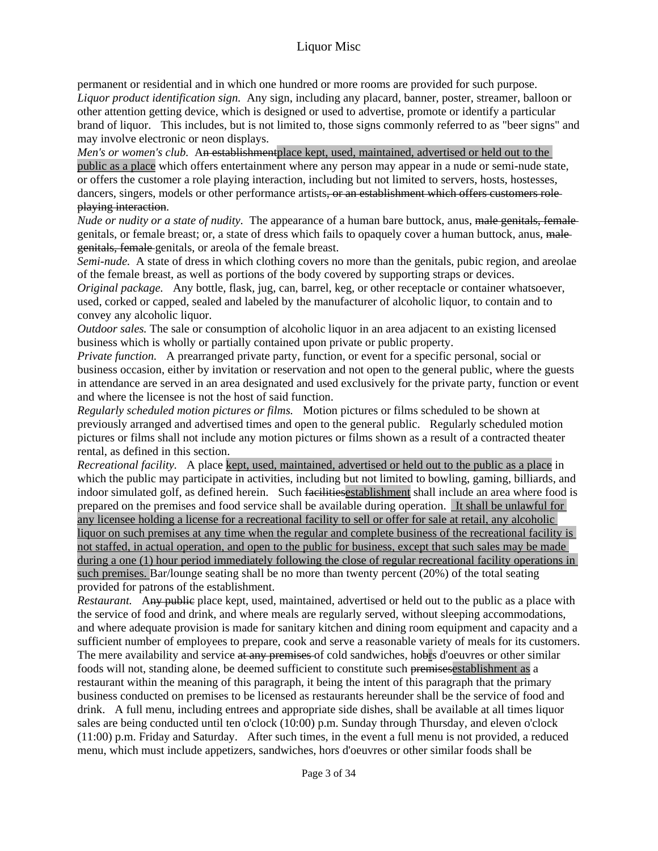permanent or residential and in which one hundred or more rooms are provided for such purpose. *Liquor product identification sign.* Any sign, including any placard, banner, poster, streamer, balloon or other attention getting device, which is designed or used to advertise, promote or identify a particular brand of liquor. This includes, but is not limited to, those signs commonly referred to as "beer signs" and may involve electronic or neon displays.

*Men's or women's club.* An establishment place kept, used, maintained, advertised or held out to the public as a place which offers entertainment where any person may appear in a nude or semi-nude state, or offers the customer a role playing interaction, including but not limited to servers, hosts, hostesses, dancers, singers, models or other performance artists, or an establishment which offers customers roleplaying interaction.

*Nude or nudity or a state of nudity.* The appearance of a human bare buttock, anus, male genitals, female genitals, or female breast; or, a state of dress which fails to opaquely cover a human buttock, anus, male genitals, female genitals, or areola of the female breast.

*Semi-nude.* A state of dress in which clothing covers no more than the genitals, pubic region, and areolae of the female breast, as well as portions of the body covered by supporting straps or devices.

*Original package.* Any bottle, flask, jug, can, barrel, keg, or other receptacle or container whatsoever, used, corked or capped, sealed and labeled by the manufacturer of alcoholic liquor, to contain and to convey any alcoholic liquor.

*Outdoor sales.* The sale or consumption of alcoholic liquor in an area adjacent to an existing licensed business which is wholly or partially contained upon private or public property.

*Private function.* A prearranged private party, function, or event for a specific personal, social or business occasion, either by invitation or reservation and not open to the general public, where the guests in attendance are served in an area designated and used exclusively for the private party, function or event and where the licensee is not the host of said function.

*Regularly scheduled motion pictures or films.* Motion pictures or films scheduled to be shown at previously arranged and advertised times and open to the general public. Regularly scheduled motion pictures or films shall not include any motion pictures or films shown as a result of a contracted theater rental, as defined in this section.

*Recreational facility.* A place kept, used, maintained, advertised or held out to the public as a place in which the public may participate in activities, including but not limited to bowling, gaming, billiards, and indoor simulated golf, as defined herein. Such facilitiesestablishment shall include an area where food is prepared on the premises and food service shall be available during operation. It shall be unlawful for any licensee holding a license for a recreational facility to sell or offer for sale at retail, any alcoholic liquor on such premises at any time when the regular and complete business of the recreational facility is not staffed, in actual operation, and open to the public for business, except that such sales may be made during a one (1) hour period immediately following the close of regular recreational facility operations in such premises. Bar/lounge seating shall be no more than twenty percent (20%) of the total seating provided for patrons of the establishment.

*Restaurant.* Any public place kept, used, maintained, advertised or held out to the public as a place with the service of food and drink, and where meals are regularly served, without sleeping accommodations, and where adequate provision is made for sanitary kitchen and dining room equipment and capacity and a sufficient number of employees to prepare, cook and serve a reasonable variety of meals for its customers. The mere availability and service at any premises of cold sandwiches, hobrs d'oeuvres or other similar foods will not, standing alone, be deemed sufficient to constitute such premisesestablishment as a restaurant within the meaning of this paragraph, it being the intent of this paragraph that the primary business conducted on premises to be licensed as restaurants hereunder shall be the service of food and drink. A full menu, including entrees and appropriate side dishes, shall be available at all times liquor sales are being conducted until ten o'clock (10:00) p.m. Sunday through Thursday, and eleven o'clock (11:00) p.m. Friday and Saturday. After such times, in the event a full menu is not provided, a reduced menu, which must include appetizers, sandwiches, hors d'oeuvres or other similar foods shall be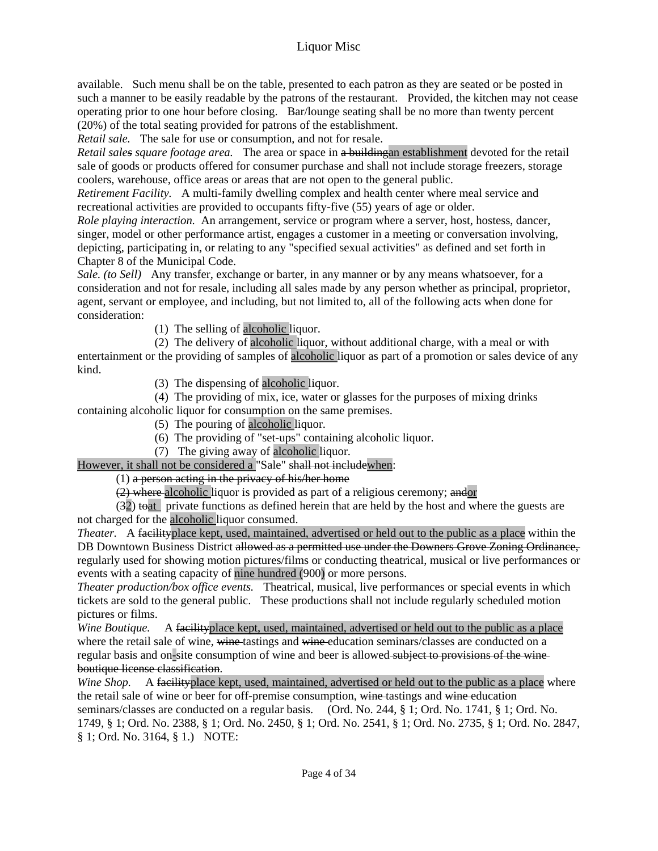available. Such menu shall be on the table, presented to each patron as they are seated or be posted in such a manner to be easily readable by the patrons of the restaurant. Provided, the kitchen may not cease operating prior to one hour before closing. Bar/lounge seating shall be no more than twenty percent (20%) of the total seating provided for patrons of the establishment.

*Retail sale.* The sale for use or consumption, and not for resale.

*Retail sales square footage area.* The area or space in a buildingan establishment devoted for the retail sale of goods or products offered for consumer purchase and shall not include storage freezers, storage coolers, warehouse, office areas or areas that are not open to the general public.

*Retirement Facility.* A multi-family dwelling complex and health center where meal service and recreational activities are provided to occupants fifty-five (55) years of age or older.

*Role playing interaction.* An arrangement, service or program where a server, host, hostess, dancer, singer, model or other performance artist, engages a customer in a meeting or conversation involving, depicting, participating in, or relating to any "specified sexual activities" as defined and set forth in Chapter 8 of the Municipal Code.

*Sale. (to Sell)* Any transfer, exchange or barter, in any manner or by any means whatsoever, for a consideration and not for resale, including all sales made by any person whether as principal, proprietor, agent, servant or employee, and including, but not limited to, all of the following acts when done for consideration:

(1) The selling of alcoholic liquor.

(2) The delivery of alcoholic liquor, without additional charge, with a meal or with entertainment or the providing of samples of alcoholic liquor as part of a promotion or sales device of any kind.

(3) The dispensing of alcoholic liquor.

(4) The providing of mix, ice, water or glasses for the purposes of mixing drinks containing alcoholic liquor for consumption on the same premises.

- (5) The pouring of alcoholic liquor.
- (6) The providing of "set-ups" containing alcoholic liquor.
- (7) The giving away of alcoholic liquor.

However, it shall not be considered a "Sale" shall not includewhen:

 $(1)$  a person acting in the privacy of his/her home

(2) where alcoholic liquor is provided as part of a religious ceremony; and or

 $(32)$  to at private functions as defined herein that are held by the host and where the guests are not charged for the alcoholic liquor consumed.

*Theater.* A facility place kept, used, maintained, advertised or held out to the public as a place within the DB Downtown Business District allowed as a permitted use under the Downers Grove Zoning Ordinance, regularly used for showing motion pictures/films or conducting theatrical, musical or live performances or events with a seating capacity of nine hundred (900) or more persons.

*Theater production/box office events.* Theatrical, musical, live performances or special events in which tickets are sold to the general public. These productions shall not include regularly scheduled motion pictures or films.

*Wine Boutique.* A facility place kept, used, maintained, advertised or held out to the public as a place where the retail sale of wine, wine tastings and wine education seminars/classes are conducted on a regular basis and on-site consumption of wine and beer is allowed subject to provisions of the wineboutique license classification.

*Wine Shop.* A facility place kept, used, maintained, advertised or held out to the public as a place where the retail sale of wine or beer for off-premise consumption, wine tastings and wine education seminars/classes are conducted on a regular basis. (Ord. No. 244, § 1; Ord. No. 1741, § 1; Ord. No. 1749, § 1; Ord. No. 2388, § 1; Ord. No. 2450, § 1; Ord. No. 2541, § 1; Ord. No. 2735, § 1; Ord. No. 2847, § 1; Ord. No. 3164, § 1.) NOTE: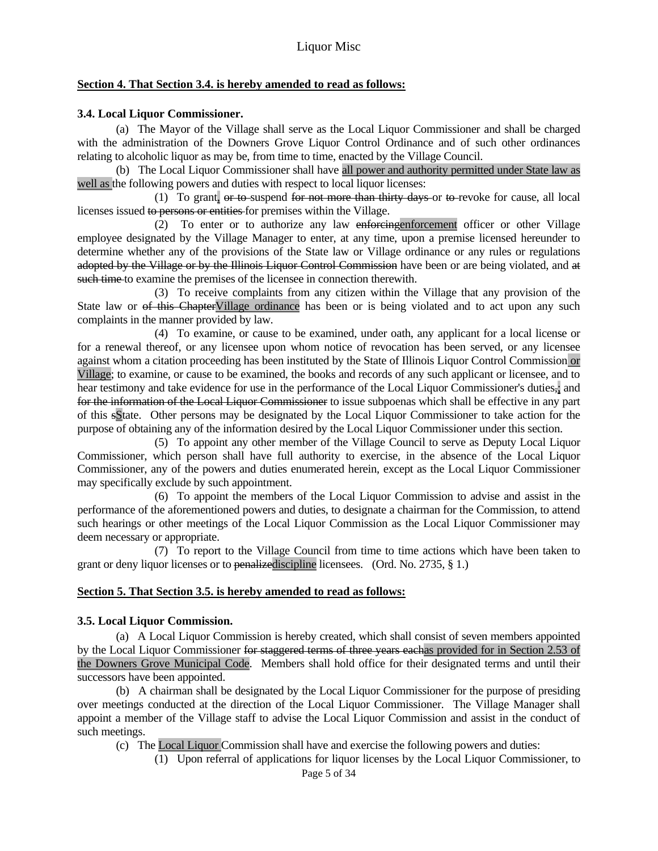#### **Section 4. That Section 3.4. is hereby amended to read as follows:**

## **3.4. Local Liquor Commissioner.**

 (a) The Mayor of the Village shall serve as the Local Liquor Commissioner and shall be charged with the administration of the Downers Grove Liquor Control Ordinance and of such other ordinances relating to alcoholic liquor as may be, from time to time, enacted by the Village Council.

 (b) The Local Liquor Commissioner shall have all power and authority permitted under State law as well as the following powers and duties with respect to local liquor licenses:

 (1) To grant, or to suspend for not more than thirty days or to revoke for cause, all local licenses issued to persons or entities for premises within the Village.

 (2) To enter or to authorize any law enforcingenforcement officer or other Village employee designated by the Village Manager to enter, at any time, upon a premise licensed hereunder to determine whether any of the provisions of the State law or Village ordinance or any rules or regulations adopted by the Village or by the Illinois Liquor Control Commission have been or are being violated, and at such time to examine the premises of the licensee in connection therewith.

 (3) To receive complaints from any citizen within the Village that any provision of the State law or of this ChapterVillage ordinance has been or is being violated and to act upon any such complaints in the manner provided by law.

 (4) To examine, or cause to be examined, under oath, any applicant for a local license or for a renewal thereof, or any licensee upon whom notice of revocation has been served, or any licensee against whom a citation proceeding has been instituted by the State of Illinois Liquor Control Commission or Village; to examine, or cause to be examined, the books and records of any such applicant or licensee, and to hear testimony and take evidence for use in the performance of the Local Liquor Commissioner's duties,; and for the information of the Local Liquor Commissioner to issue subpoenas which shall be effective in any part of this sState. Other persons may be designated by the Local Liquor Commissioner to take action for the purpose of obtaining any of the information desired by the Local Liquor Commissioner under this section.

 (5) To appoint any other member of the Village Council to serve as Deputy Local Liquor Commissioner, which person shall have full authority to exercise, in the absence of the Local Liquor Commissioner, any of the powers and duties enumerated herein, except as the Local Liquor Commissioner may specifically exclude by such appointment.

 (6) To appoint the members of the Local Liquor Commission to advise and assist in the performance of the aforementioned powers and duties, to designate a chairman for the Commission, to attend such hearings or other meetings of the Local Liquor Commission as the Local Liquor Commissioner may deem necessary or appropriate.

 (7) To report to the Village Council from time to time actions which have been taken to grant or deny liquor licenses or to penalizediscipline licensees. (Ord. No. 2735, § 1.)

## **Section 5. That Section 3.5. is hereby amended to read as follows:**

#### **3.5. Local Liquor Commission.**

 (a) A Local Liquor Commission is hereby created, which shall consist of seven members appointed by the Local Liquor Commissioner for staggered terms of three years eachas provided for in Section 2.53 of the Downers Grove Municipal Code. Members shall hold office for their designated terms and until their successors have been appointed.

 (b) A chairman shall be designated by the Local Liquor Commissioner for the purpose of presiding over meetings conducted at the direction of the Local Liquor Commissioner. The Village Manager shall appoint a member of the Village staff to advise the Local Liquor Commission and assist in the conduct of such meetings.

(c) The Local Liquor Commission shall have and exercise the following powers and duties:

(1) Upon referral of applications for liquor licenses by the Local Liquor Commissioner, to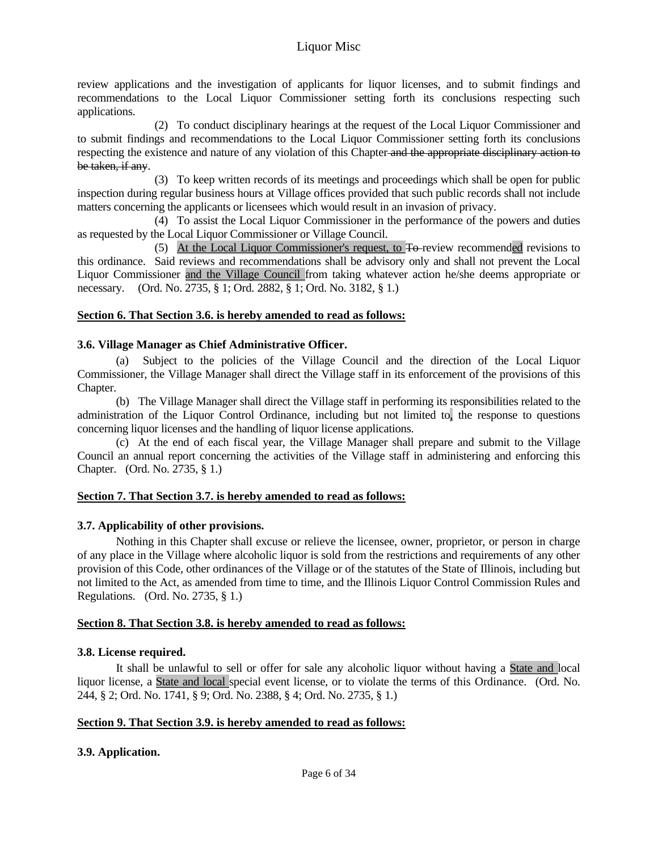review applications and the investigation of applicants for liquor licenses, and to submit findings and recommendations to the Local Liquor Commissioner setting forth its conclusions respecting such applications.

 (2) To conduct disciplinary hearings at the request of the Local Liquor Commissioner and to submit findings and recommendations to the Local Liquor Commissioner setting forth its conclusions respecting the existence and nature of any violation of this Chapter and the appropriate disciplinary action to be taken, if any.

 (3) To keep written records of its meetings and proceedings which shall be open for public inspection during regular business hours at Village offices provided that such public records shall not include matters concerning the applicants or licensees which would result in an invasion of privacy.

 (4) To assist the Local Liquor Commissioner in the performance of the powers and duties as requested by the Local Liquor Commissioner or Village Council.

 (5) At the Local Liquor Commissioner's request, to To review recommended revisions to this ordinance. Said reviews and recommendations shall be advisory only and shall not prevent the Local Liquor Commissioner and the Village Council from taking whatever action he/she deems appropriate or necessary. (Ord. No. 2735, § 1; Ord. 2882, § 1; Ord. No. 3182, § 1.)

## **Section 6. That Section 3.6. is hereby amended to read as follows:**

## **3.6. Village Manager as Chief Administrative Officer.**

 (a) Subject to the policies of the Village Council and the direction of the Local Liquor Commissioner, the Village Manager shall direct the Village staff in its enforcement of the provisions of this Chapter.

 (b) The Village Manager shall direct the Village staff in performing its responsibilities related to the administration of the Liquor Control Ordinance, including but not limited to, the response to questions concerning liquor licenses and the handling of liquor license applications.

 (c) At the end of each fiscal year, the Village Manager shall prepare and submit to the Village Council an annual report concerning the activities of the Village staff in administering and enforcing this Chapter. (Ord. No. 2735, § 1.)

#### **Section 7. That Section 3.7. is hereby amended to read as follows:**

#### **3.7. Applicability of other provisions.**

 Nothing in this Chapter shall excuse or relieve the licensee, owner, proprietor, or person in charge of any place in the Village where alcoholic liquor is sold from the restrictions and requirements of any other provision of this Code, other ordinances of the Village or of the statutes of the State of Illinois, including but not limited to the Act, as amended from time to time, and the Illinois Liquor Control Commission Rules and Regulations. (Ord. No. 2735, § 1.)

#### **Section 8. That Section 3.8. is hereby amended to read as follows:**

#### **3.8. License required.**

 It shall be unlawful to sell or offer for sale any alcoholic liquor without having a State and local liquor license, a State and local special event license, or to violate the terms of this Ordinance. (Ord. No. 244, § 2; Ord. No. 1741, § 9; Ord. No. 2388, § 4; Ord. No. 2735, § 1.)

#### **Section 9. That Section 3.9. is hereby amended to read as follows:**

## **3.9. Application.**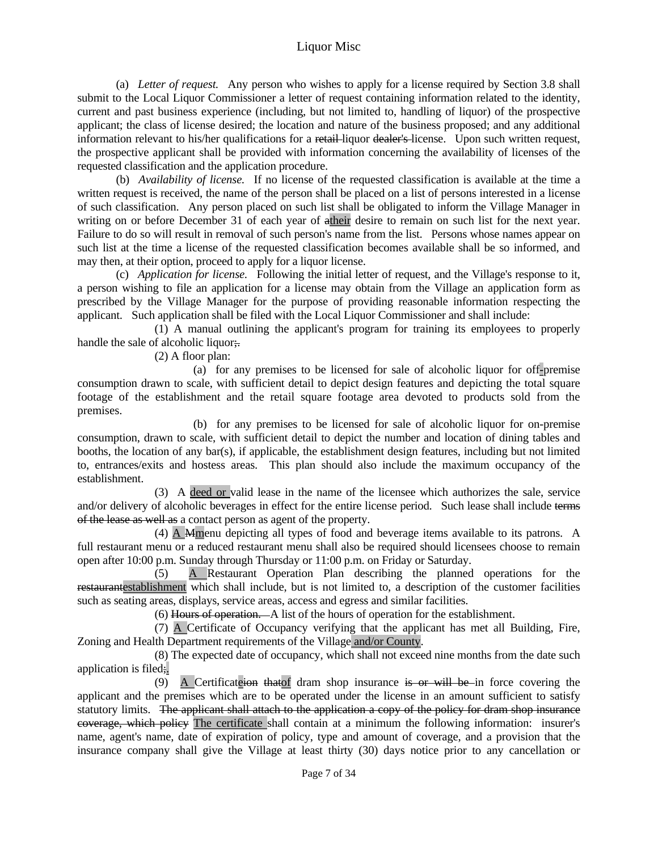(a) *Letter of request.* Any person who wishes to apply for a license required by Section 3.8 shall submit to the Local Liquor Commissioner a letter of request containing information related to the identity, current and past business experience (including, but not limited to, handling of liquor) of the prospective applicant; the class of license desired; the location and nature of the business proposed; and any additional information relevant to his/her qualifications for a retail-liquor dealer's-license. Upon such written request, the prospective applicant shall be provided with information concerning the availability of licenses of the requested classification and the application procedure.

 (b) *Availability of license.* If no license of the requested classification is available at the time a written request is received, the name of the person shall be placed on a list of persons interested in a license of such classification. Any person placed on such list shall be obligated to inform the Village Manager in writing on or before December 31 of each year of atheir desire to remain on such list for the next year. Failure to do so will result in removal of such person's name from the list. Persons whose names appear on such list at the time a license of the requested classification becomes available shall be so informed, and may then, at their option, proceed to apply for a liquor license.

 (c) *Application for license.* Following the initial letter of request, and the Village's response to it, a person wishing to file an application for a license may obtain from the Village an application form as prescribed by the Village Manager for the purpose of providing reasonable information respecting the applicant. Such application shall be filed with the Local Liquor Commissioner and shall include:

 (1) A manual outlining the applicant's program for training its employees to properly handle the sale of alcoholic liquor;

(2) A floor plan:

 (a) for any premises to be licensed for sale of alcoholic liquor for off-premise consumption drawn to scale, with sufficient detail to depict design features and depicting the total square footage of the establishment and the retail square footage area devoted to products sold from the premises.

 (b) for any premises to be licensed for sale of alcoholic liquor for on-premise consumption, drawn to scale, with sufficient detail to depict the number and location of dining tables and booths, the location of any bar(s), if applicable, the establishment design features, including but not limited to, entrances/exits and hostess areas. This plan should also include the maximum occupancy of the establishment.

 (3) A deed or valid lease in the name of the licensee which authorizes the sale, service and/or delivery of alcoholic beverages in effect for the entire license period. Such lease shall include terms of the lease as well as a contact person as agent of the property.

 (4) A Mmenu depicting all types of food and beverage items available to its patrons. A full restaurant menu or a reduced restaurant menu shall also be required should licensees choose to remain open after 10:00 p.m. Sunday through Thursday or 11:00 p.m. on Friday or Saturday.

 (5) A Restaurant Operation Plan describing the planned operations for the restaurantestablishment which shall include, but is not limited to, a description of the customer facilities such as seating areas, displays, service areas, access and egress and similar facilities.

(6) Hours of operation. A list of the hours of operation for the establishment.

 (7) A Certificate of Occupancy verifying that the applicant has met all Building, Fire, Zoning and Health Department requirements of the Village and/or County.

 (8) The expected date of occupancy, which shall not exceed nine months from the date such application is filed;.

(9) A Certificate<del>ion that</del> of dram shop insurance is or will be in force covering the applicant and the premises which are to be operated under the license in an amount sufficient to satisfy statutory limits. The applicant shall attach to the application a copy of the policy for dram shop insurance coverage, which policy The certificate shall contain at a minimum the following information: insurer's name, agent's name, date of expiration of policy, type and amount of coverage, and a provision that the insurance company shall give the Village at least thirty (30) days notice prior to any cancellation or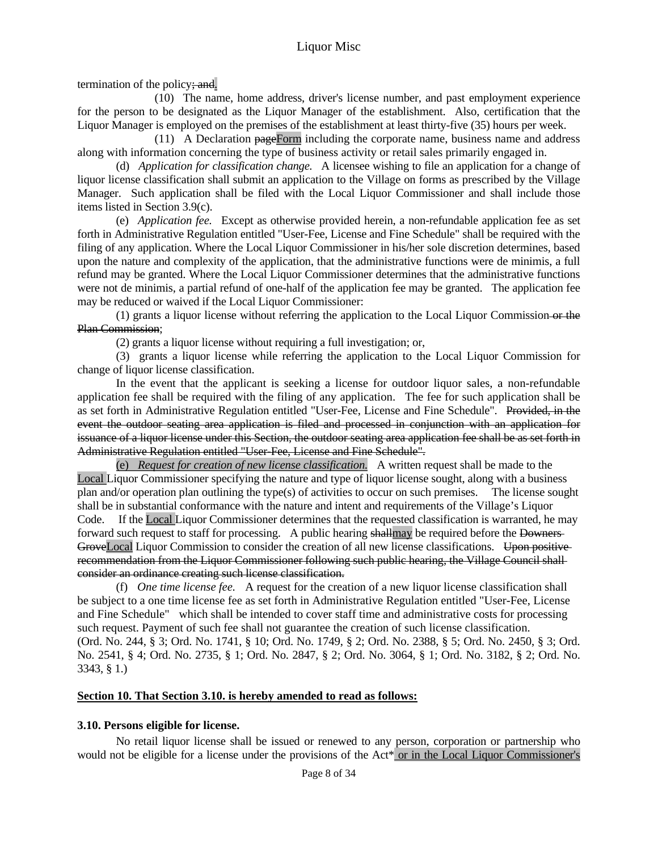termination of the policy; and.

 (10) The name, home address, driver's license number, and past employment experience for the person to be designated as the Liquor Manager of the establishment. Also, certification that the Liquor Manager is employed on the premises of the establishment at least thirty-five (35) hours per week.

 (11) A Declaration pageForm including the corporate name, business name and address along with information concerning the type of business activity or retail sales primarily engaged in.

 (d) *Application for classification change.* A licensee wishing to file an application for a change of liquor license classification shall submit an application to the Village on forms as prescribed by the Village Manager. Such application shall be filed with the Local Liquor Commissioner and shall include those items listed in Section 3.9(c).

 (e) *Application fee.* Except as otherwise provided herein, a non-refundable application fee as set forth in Administrative Regulation entitled "User-Fee, License and Fine Schedule" shall be required with the filing of any application. Where the Local Liquor Commissioner in his/her sole discretion determines, based upon the nature and complexity of the application, that the administrative functions were de minimis, a full refund may be granted. Where the Local Liquor Commissioner determines that the administrative functions were not de minimis, a partial refund of one-half of the application fee may be granted. The application fee may be reduced or waived if the Local Liquor Commissioner:

 (1) grants a liquor license without referring the application to the Local Liquor Commission or the Plan Commission;

(2) grants a liquor license without requiring a full investigation; or,

 (3) grants a liquor license while referring the application to the Local Liquor Commission for change of liquor license classification.

 In the event that the applicant is seeking a license for outdoor liquor sales, a non-refundable application fee shall be required with the filing of any application. The fee for such application shall be as set forth in Administrative Regulation entitled "User-Fee, License and Fine Schedule". Provided, in the event the outdoor seating area application is filed and processed in conjunction with an application for issuance of a liquor license under this Section, the outdoor seating area application fee shall be as set forth in Administrative Regulation entitled "User-Fee, License and Fine Schedule".

 (e) *Request for creation of new license classification.* A written request shall be made to the Local Liquor Commissioner specifying the nature and type of liquor license sought, along with a business plan and/or operation plan outlining the type(s) of activities to occur on such premises. The license sought shall be in substantial conformance with the nature and intent and requirements of the Village's Liquor Code. If the Local Liquor Commissioner determines that the requested classification is warranted, he may forward such request to staff for processing. A public hearing shallmay be required before the Downers GroveLocal Liquor Commission to consider the creation of all new license classifications. Upon positive recommendation from the Liquor Commissioner following such public hearing, the Village Council shall consider an ordinance creating such license classification.

 (f) *One time license fee.* A request for the creation of a new liquor license classification shall be subject to a one time license fee as set forth in Administrative Regulation entitled "User-Fee, License and Fine Schedule" which shall be intended to cover staff time and administrative costs for processing such request. Payment of such fee shall not guarantee the creation of such license classification. (Ord. No. 244, § 3; Ord. No. 1741, § 10; Ord. No. 1749, § 2; Ord. No. 2388, § 5; Ord. No. 2450, § 3; Ord. No. 2541, § 4; Ord. No. 2735, § 1; Ord. No. 2847, § 2; Ord. No. 3064, § 1; Ord. No. 3182, § 2; Ord. No. 3343, § 1.)

#### **Section 10. That Section 3.10. is hereby amended to read as follows:**

#### **3.10. Persons eligible for license.**

 No retail liquor license shall be issued or renewed to any person, corporation or partnership who would not be eligible for a license under the provisions of the Act\* or in the Local Liquor Commissioner's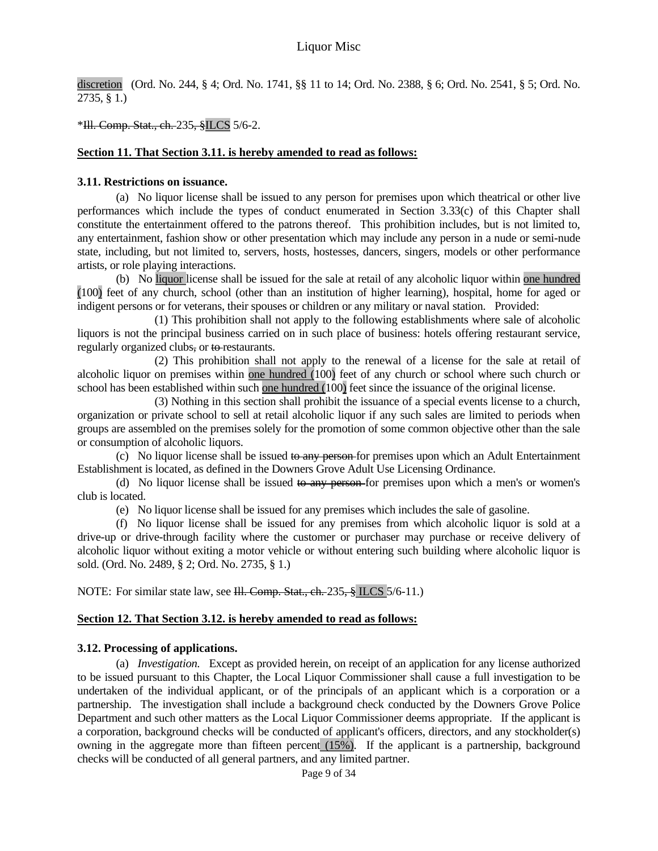discretion (Ord. No. 244, § 4; Ord. No. 1741, §§ 11 to 14; Ord. No. 2388, § 6; Ord. No. 2541, § 5; Ord. No. 2735, § 1.)

\*Ill. Comp. Stat., ch. 235, §ILCS 5/6-2.

#### **Section 11. That Section 3.11. is hereby amended to read as follows:**

#### **3.11. Restrictions on issuance.**

 (a) No liquor license shall be issued to any person for premises upon which theatrical or other live performances which include the types of conduct enumerated in Section 3.33(c) of this Chapter shall constitute the entertainment offered to the patrons thereof. This prohibition includes, but is not limited to, any entertainment, fashion show or other presentation which may include any person in a nude or semi-nude state, including, but not limited to, servers, hosts, hostesses, dancers, singers, models or other performance artists, or role playing interactions.

 (b) No liquor license shall be issued for the sale at retail of any alcoholic liquor within one hundred (100) feet of any church, school (other than an institution of higher learning), hospital, home for aged or indigent persons or for veterans, their spouses or children or any military or naval station. Provided:

 (1) This prohibition shall not apply to the following establishments where sale of alcoholic liquors is not the principal business carried on in such place of business: hotels offering restaurant service, regularly organized clubs, or to restaurants.

 (2) This prohibition shall not apply to the renewal of a license for the sale at retail of alcoholic liquor on premises within one hundred (100) feet of any church or school where such church or school has been established within such one hundred (100) feet since the issuance of the original license.

 (3) Nothing in this section shall prohibit the issuance of a special events license to a church, organization or private school to sell at retail alcoholic liquor if any such sales are limited to periods when groups are assembled on the premises solely for the promotion of some common objective other than the sale or consumption of alcoholic liquors.

(c) No liquor license shall be issued to any person for premises upon which an Adult Entertainment Establishment is located, as defined in the Downers Grove Adult Use Licensing Ordinance.

(d) No liquor license shall be issued to any person-for premises upon which a men's or women's club is located.

(e) No liquor license shall be issued for any premises which includes the sale of gasoline.

 (f) No liquor license shall be issued for any premises from which alcoholic liquor is sold at a drive-up or drive-through facility where the customer or purchaser may purchase or receive delivery of alcoholic liquor without exiting a motor vehicle or without entering such building where alcoholic liquor is sold. (Ord. No. 2489, § 2; Ord. No. 2735, § 1.)

NOTE: For similar state law, see III. Comp. Stat., ch. 235, § ILCS 5/6-11.)

#### **Section 12. That Section 3.12. is hereby amended to read as follows:**

#### **3.12. Processing of applications.**

 (a) *Investigation.* Except as provided herein, on receipt of an application for any license authorized to be issued pursuant to this Chapter, the Local Liquor Commissioner shall cause a full investigation to be undertaken of the individual applicant, or of the principals of an applicant which is a corporation or a partnership. The investigation shall include a background check conducted by the Downers Grove Police Department and such other matters as the Local Liquor Commissioner deems appropriate. If the applicant is a corporation, background checks will be conducted of applicant's officers, directors, and any stockholder(s) owning in the aggregate more than fifteen percent (15%). If the applicant is a partnership, background checks will be conducted of all general partners, and any limited partner.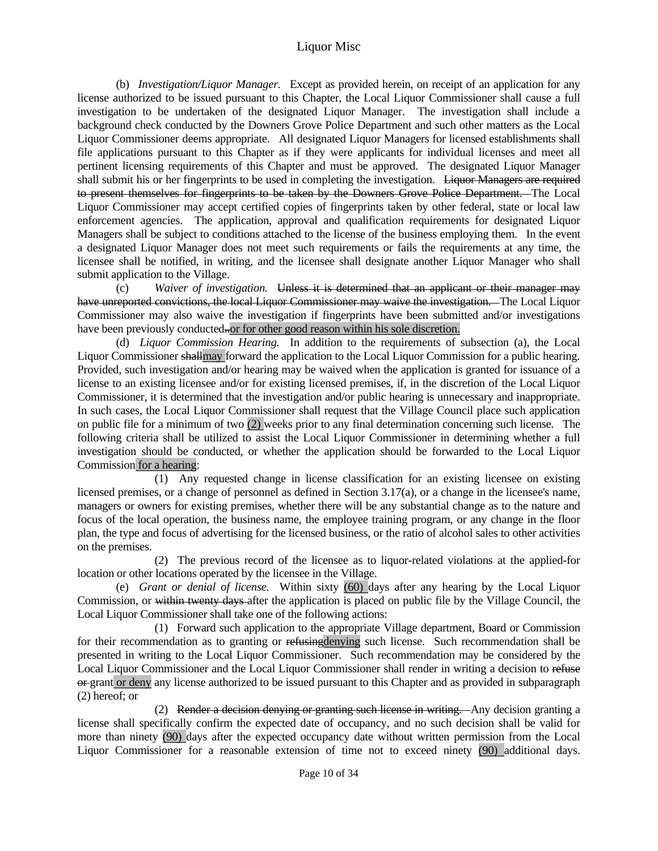(b) *Investigation/Liquor Manager.* Except as provided herein, on receipt of an application for any license authorized to be issued pursuant to this Chapter, the Local Liquor Commissioner shall cause a full investigation to be undertaken of the designated Liquor Manager. The investigation shall include a background check conducted by the Downers Grove Police Department and such other matters as the Local Liquor Commissioner deems appropriate. All designated Liquor Managers for licensed establishments shall file applications pursuant to this Chapter as if they were applicants for individual licenses and meet all pertinent licensing requirements of this Chapter and must be approved. The designated Liquor Manager shall submit his or her fingerprints to be used in completing the investigation. Liquor Managers are required to present themselves for fingerprints to be taken by the Downers Grove Police Department. The Local Liquor Commissioner may accept certified copies of fingerprints taken by other federal, state or local law enforcement agencies. The application, approval and qualification requirements for designated Liquor Managers shall be subject to conditions attached to the license of the business employing them. In the event a designated Liquor Manager does not meet such requirements or fails the requirements at any time, the licensee shall be notified, in writing, and the licensee shall designate another Liquor Manager who shall submit application to the Village.

 (c) *Waiver of investigation.* Unless it is determined that an applicant or their manager may have unreported convictions, the local Liquor Commissioner may waive the investigation. The Local Liquor Commissioner may also waive the investigation if fingerprints have been submitted and/or investigations have been previously conducted...or for other good reason within his sole discretion.

 (d) *Liquor Commission Hearing.* In addition to the requirements of subsection (a), the Local Liquor Commissioner shallmay forward the application to the Local Liquor Commission for a public hearing. Provided, such investigation and/or hearing may be waived when the application is granted for issuance of a license to an existing licensee and/or for existing licensed premises, if, in the discretion of the Local Liquor Commissioner, it is determined that the investigation and/or public hearing is unnecessary and inappropriate. In such cases, the Local Liquor Commissioner shall request that the Village Council place such application on public file for a minimum of two  $(2)$  weeks prior to any final determination concerning such license. The following criteria shall be utilized to assist the Local Liquor Commissioner in determining whether a full investigation should be conducted, or whether the application should be forwarded to the Local Liquor Commission for a hearing:

 (1) Any requested change in license classification for an existing licensee on existing licensed premises, or a change of personnel as defined in Section 3.17(a), or a change in the licensee's name, managers or owners for existing premises, whether there will be any substantial change as to the nature and focus of the local operation, the business name, the employee training program, or any change in the floor plan, the type and focus of advertising for the licensed business, or the ratio of alcohol sales to other activities on the premises.

 (2) The previous record of the licensee as to liquor-related violations at the applied-for location or other locations operated by the licensee in the Village.

 (e) *Grant or denial of license.* Within sixty (60) days after any hearing by the Local Liquor Commission, or within twenty days after the application is placed on public file by the Village Council, the Local Liquor Commissioner shall take one of the following actions:

 (1) Forward such application to the appropriate Village department, Board or Commission for their recommendation as to granting or refusing denying such license. Such recommendation shall be presented in writing to the Local Liquor Commissioner. Such recommendation may be considered by the Local Liquor Commissioner and the Local Liquor Commissioner shall render in writing a decision to refuse or grant or deny any license authorized to be issued pursuant to this Chapter and as provided in subparagraph (2) hereof; or

 (2) Render a decision denying or granting such license in writing. Any decision granting a license shall specifically confirm the expected date of occupancy, and no such decision shall be valid for more than ninety (90) days after the expected occupancy date without written permission from the Local Liquor Commissioner for a reasonable extension of time not to exceed ninety (90) additional days.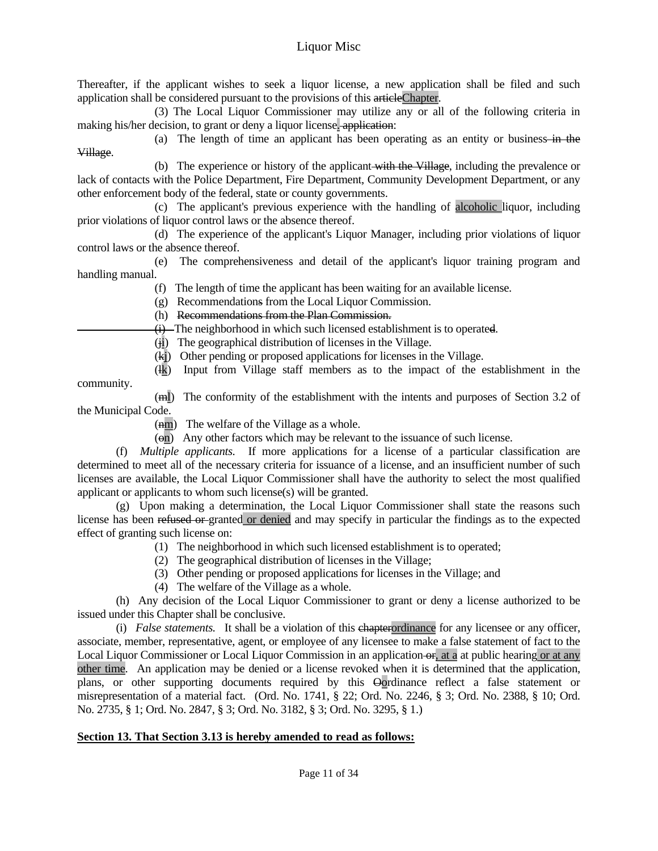Thereafter, if the applicant wishes to seek a liquor license, a new application shall be filed and such application shall be considered pursuant to the provisions of this articleChapter.

 (3) The Local Liquor Commissioner may utilize any or all of the following criteria in making his/her decision, to grant or deny a liquor license. application:

(a) The length of time an applicant has been operating as an entity or business-in the Village.

 (b) The experience or history of the applicant with the Village, including the prevalence or lack of contacts with the Police Department, Fire Department, Community Development Department, or any other enforcement body of the federal, state or county governments.

 (c) The applicant's previous experience with the handling of alcoholic liquor, including prior violations of liquor control laws or the absence thereof.

 (d) The experience of the applicant's Liquor Manager, including prior violations of liquor control laws or the absence thereof.

 (e) The comprehensiveness and detail of the applicant's liquor training program and handling manual.

(f) The length of time the applicant has been waiting for an available license.

(g) Recommendations from the Local Liquor Commission.

(h) Recommendations from the Plan Commission.

(i) The neighborhood in which such licensed establishment is to operated.

(ji) The geographical distribution of licenses in the Village.

- (kj) Other pending or proposed applications for licenses in the Village.
- (lk) Input from Village staff members as to the impact of the establishment in the

 (ml) The conformity of the establishment with the intents and purposes of Section 3.2 of the Municipal Code.

(Am) The welfare of the Village as a whole.

community.

 $(\Theta n)$  Any other factors which may be relevant to the issuance of such license.

 (f) *Multiple applicants.* If more applications for a license of a particular classification are determined to meet all of the necessary criteria for issuance of a license, and an insufficient number of such licenses are available, the Local Liquor Commissioner shall have the authority to select the most qualified applicant or applicants to whom such license(s) will be granted.

 (g) Upon making a determination, the Local Liquor Commissioner shall state the reasons such license has been refused or granted or denied and may specify in particular the findings as to the expected effect of granting such license on:

- (1) The neighborhood in which such licensed establishment is to operated;
- (2) The geographical distribution of licenses in the Village;
- (3) Other pending or proposed applications for licenses in the Village; and
- (4) The welfare of the Village as a whole.

 (h) Any decision of the Local Liquor Commissioner to grant or deny a license authorized to be issued under this Chapter shall be conclusive.

 (i) *False statements.* It shall be a violation of this chapterordinance for any licensee or any officer, associate, member, representative, agent, or employee of any licensee to make a false statement of fact to the Local Liquor Commissioner or Local Liquor Commission in an application  $\Theta$ , at a at public hearing or at any other time. An application may be denied or a license revoked when it is determined that the application, plans, or other supporting documents required by this Oordinance reflect a false statement or misrepresentation of a material fact. (Ord. No. 1741, § 22; Ord. No. 2246, § 3; Ord. No. 2388, § 10; Ord. No. 2735, § 1; Ord. No. 2847, § 3; Ord. No. 3182, § 3; Ord. No. 3295, § 1.)

#### **Section 13. That Section 3.13 is hereby amended to read as follows:**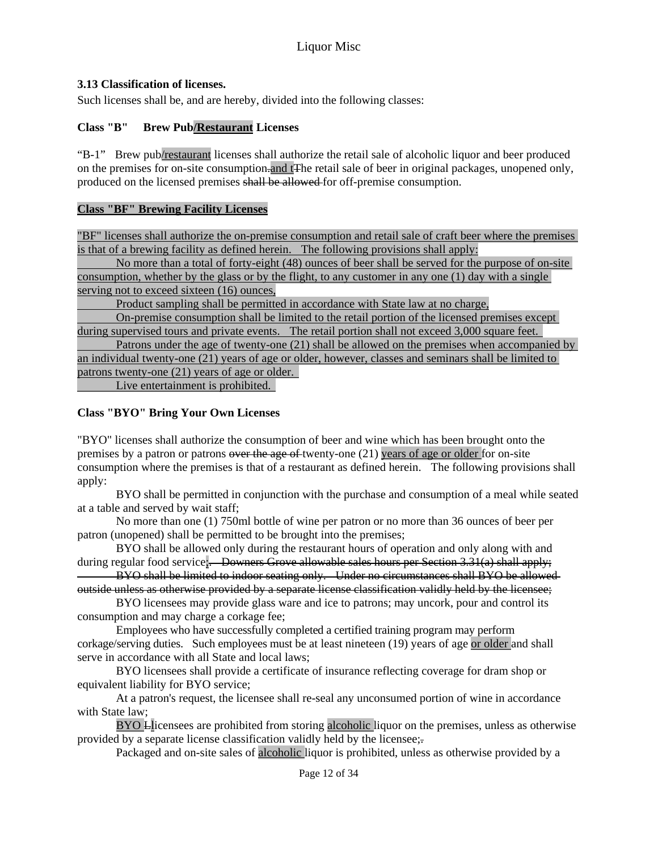## **3.13 Classification of licenses.**

Such licenses shall be, and are hereby, divided into the following classes:

## **Class "B" Brew Pub/Restaurant Licenses**

"B-1" Brew pub/restaurant licenses shall authorize the retail sale of alcoholic liquor and beer produced on the premises for on-site consumption.and tThe retail sale of beer in original packages, unopened only, produced on the licensed premises shall be allowed for off-premise consumption.

#### **Class "BF" Brewing Facility Licenses**

"BF" licenses shall authorize the on-premise consumption and retail sale of craft beer where the premises is that of a brewing facility as defined herein. The following provisions shall apply:

 No more than a total of forty-eight (48) ounces of beer shall be served for the purpose of on-site consumption, whether by the glass or by the flight, to any customer in any one (1) day with a single serving not to exceed sixteen (16) ounces,

Product sampling shall be permitted in accordance with State law at no charge,

 On-premise consumption shall be limited to the retail portion of the licensed premises except during supervised tours and private events. The retail portion shall not exceed 3,000 square feet.

 Patrons under the age of twenty-one (21) shall be allowed on the premises when accompanied by an individual twenty-one (21) years of age or older, however, classes and seminars shall be limited to patrons twenty-one (21) years of age or older.

Live entertainment is prohibited.

## **Class "BYO" Bring Your Own Licenses**

"BYO" licenses shall authorize the consumption of beer and wine which has been brought onto the premises by a patron or patrons over the age of twenty-one (21) years of age or older for on-site consumption where the premises is that of a restaurant as defined herein. The following provisions shall apply:

 BYO shall be permitted in conjunction with the purchase and consumption of a meal while seated at a table and served by wait staff;

 No more than one (1) 750ml bottle of wine per patron or no more than 36 ounces of beer per patron (unopened) shall be permitted to be brought into the premises;

 BYO shall be allowed only during the restaurant hours of operation and only along with and during regular food service;. Downers Grove allowable sales hours per Section 3.31(a) shall apply;

 BYO shall be limited to indoor seating only. Under no circumstances shall BYO be allowed outside unless as otherwise provided by a separate license classification validly held by the licensee;

 BYO licensees may provide glass ware and ice to patrons; may uncork, pour and control its consumption and may charge a corkage fee;

 Employees who have successfully completed a certified training program may perform corkage/serving duties. Such employees must be at least nineteen (19) years of age or older and shall serve in accordance with all State and local laws;

 BYO licensees shall provide a certificate of insurance reflecting coverage for dram shop or equivalent liability for BYO service;

 At a patron's request, the licensee shall re-seal any unconsumed portion of wine in accordance with State law;

BYO Llicensees are prohibited from storing alcoholic liquor on the premises, unless as otherwise provided by a separate license classification validly held by the licensee;-

Packaged and on-site sales of alcoholic liquor is prohibited, unless as otherwise provided by a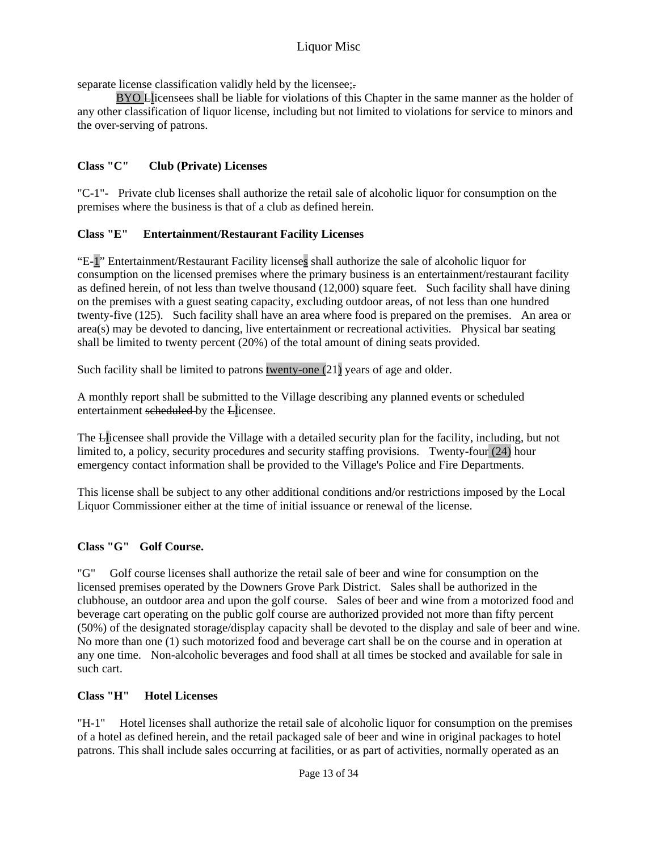separate license classification validly held by the licensee;.

BYO Llicensees shall be liable for violations of this Chapter in the same manner as the holder of any other classification of liquor license, including but not limited to violations for service to minors and the over-serving of patrons.

# **Class "C" Club (Private) Licenses**

"C-1"- Private club licenses shall authorize the retail sale of alcoholic liquor for consumption on the premises where the business is that of a club as defined herein.

# **Class "E" Entertainment/Restaurant Facility Licenses**

"E-1" Entertainment/Restaurant Facility licenses shall authorize the sale of alcoholic liquor for consumption on the licensed premises where the primary business is an entertainment/restaurant facility as defined herein, of not less than twelve thousand (12,000) square feet. Such facility shall have dining on the premises with a guest seating capacity, excluding outdoor areas, of not less than one hundred twenty-five (125). Such facility shall have an area where food is prepared on the premises. An area or area(s) may be devoted to dancing, live entertainment or recreational activities. Physical bar seating shall be limited to twenty percent (20%) of the total amount of dining seats provided.

Such facility shall be limited to patrons twenty-one  $(21)$  years of age and older.

A monthly report shall be submitted to the Village describing any planned events or scheduled entertainment scheduled by the Llicensee.

The Llicensee shall provide the Village with a detailed security plan for the facility, including, but not limited to, a policy, security procedures and security staffing provisions. Twenty-four (24) hour emergency contact information shall be provided to the Village's Police and Fire Departments.

This license shall be subject to any other additional conditions and/or restrictions imposed by the Local Liquor Commissioner either at the time of initial issuance or renewal of the license.

# **Class "G" Golf Course.**

"G" Golf course licenses shall authorize the retail sale of beer and wine for consumption on the licensed premises operated by the Downers Grove Park District. Sales shall be authorized in the clubhouse, an outdoor area and upon the golf course. Sales of beer and wine from a motorized food and beverage cart operating on the public golf course are authorized provided not more than fifty percent (50%) of the designated storage/display capacity shall be devoted to the display and sale of beer and wine. No more than one (1) such motorized food and beverage cart shall be on the course and in operation at any one time. Non-alcoholic beverages and food shall at all times be stocked and available for sale in such cart.

## **Class "H" Hotel Licenses**

"H-1" Hotel licenses shall authorize the retail sale of alcoholic liquor for consumption on the premises of a hotel as defined herein, and the retail packaged sale of beer and wine in original packages to hotel patrons. This shall include sales occurring at facilities, or as part of activities, normally operated as an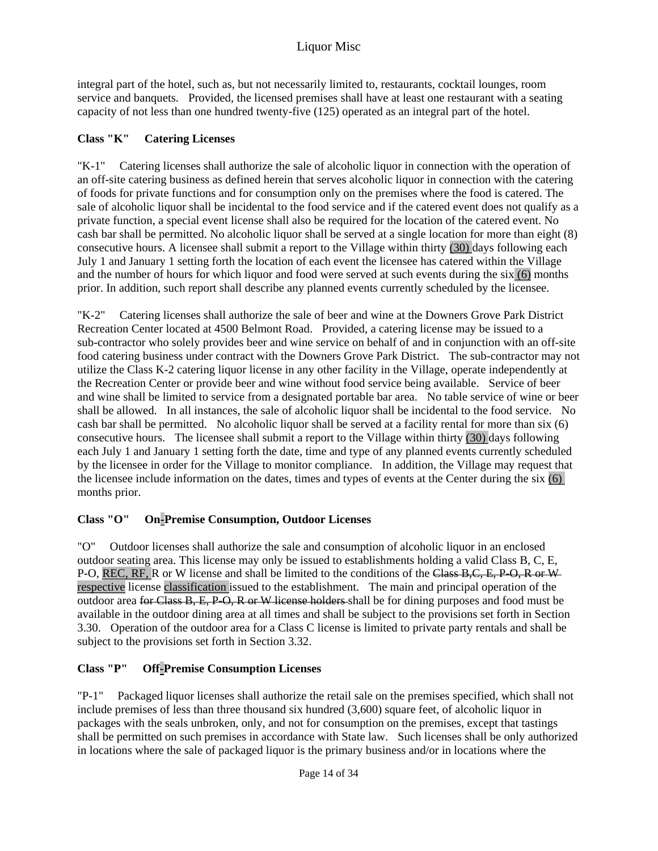integral part of the hotel, such as, but not necessarily limited to, restaurants, cocktail lounges, room service and banquets. Provided, the licensed premises shall have at least one restaurant with a seating capacity of not less than one hundred twenty-five (125) operated as an integral part of the hotel.

## **Class "K" Catering Licenses**

"K-1" Catering licenses shall authorize the sale of alcoholic liquor in connection with the operation of an off-site catering business as defined herein that serves alcoholic liquor in connection with the catering of foods for private functions and for consumption only on the premises where the food is catered. The sale of alcoholic liquor shall be incidental to the food service and if the catered event does not qualify as a private function, a special event license shall also be required for the location of the catered event. No cash bar shall be permitted. No alcoholic liquor shall be served at a single location for more than eight (8) consecutive hours. A licensee shall submit a report to the Village within thirty (30) days following each July 1 and January 1 setting forth the location of each event the licensee has catered within the Village and the number of hours for which liquor and food were served at such events during the six (6) months prior. In addition, such report shall describe any planned events currently scheduled by the licensee.

"K-2" Catering licenses shall authorize the sale of beer and wine at the Downers Grove Park District Recreation Center located at 4500 Belmont Road. Provided, a catering license may be issued to a sub-contractor who solely provides beer and wine service on behalf of and in conjunction with an off-site food catering business under contract with the Downers Grove Park District. The sub-contractor may not utilize the Class K-2 catering liquor license in any other facility in the Village, operate independently at the Recreation Center or provide beer and wine without food service being available. Service of beer and wine shall be limited to service from a designated portable bar area. No table service of wine or beer shall be allowed. In all instances, the sale of alcoholic liquor shall be incidental to the food service. No cash bar shall be permitted. No alcoholic liquor shall be served at a facility rental for more than six (6) consecutive hours. The licensee shall submit a report to the Village within thirty (30) days following each July 1 and January 1 setting forth the date, time and type of any planned events currently scheduled by the licensee in order for the Village to monitor compliance. In addition, the Village may request that the licensee include information on the dates, times and types of events at the Center during the six (6) months prior.

# **Class "O" On-Premise Consumption, Outdoor Licenses**

"O" Outdoor licenses shall authorize the sale and consumption of alcoholic liquor in an enclosed outdoor seating area. This license may only be issued to establishments holding a valid Class B, C, E, P-O, REC, RF, R or W license and shall be limited to the conditions of the Class B,C, E, P-O, R or Wrespective license classification issued to the establishment. The main and principal operation of the outdoor area for Class B, E, P O, R or W license holders shall be for dining purposes and food must be available in the outdoor dining area at all times and shall be subject to the provisions set forth in Section 3.30. Operation of the outdoor area for a Class C license is limited to private party rentals and shall be subject to the provisions set forth in Section 3.32.

# **Class "P" Off-Premise Consumption Licenses**

"P-1" Packaged liquor licenses shall authorize the retail sale on the premises specified, which shall not include premises of less than three thousand six hundred (3,600) square feet, of alcoholic liquor in packages with the seals unbroken, only, and not for consumption on the premises, except that tastings shall be permitted on such premises in accordance with State law. Such licenses shall be only authorized in locations where the sale of packaged liquor is the primary business and/or in locations where the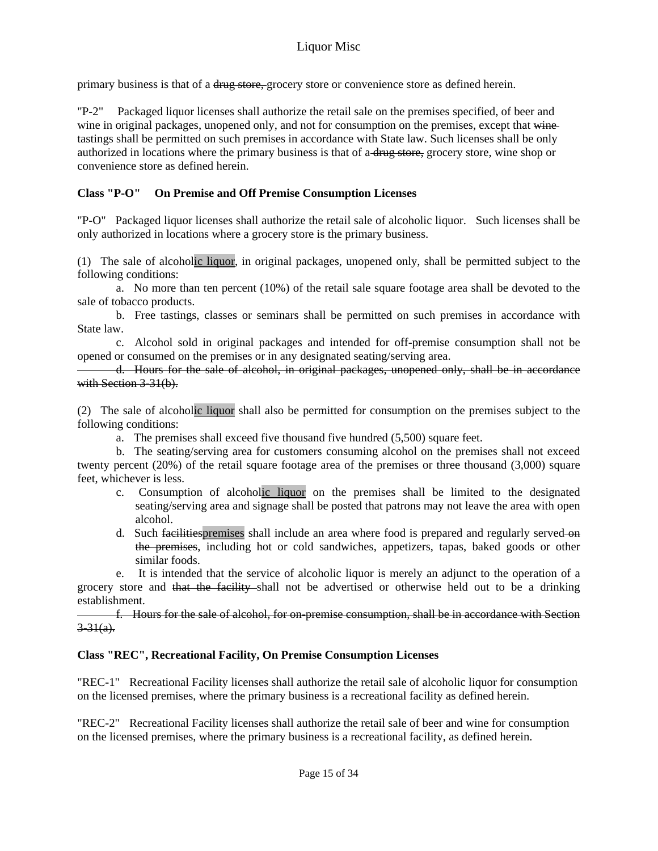primary business is that of a <del>drug store, g</del>rocery store or convenience store as defined herein.

Packaged liquor licenses shall authorize the retail sale on the premises specified, of beer and wine in original packages, unopened only, and not for consumption on the premises, except that winetastings shall be permitted on such premises in accordance with State law. Such licenses shall be only authorized in locations where the primary business is that of a-drug store, grocery store, wine shop or convenience store as defined herein.

## **Class "P-O" On Premise and Off Premise Consumption Licenses**

"P-O" Packaged liquor licenses shall authorize the retail sale of alcoholic liquor. Such licenses shall be only authorized in locations where a grocery store is the primary business.

(1) The sale of alcoholic liquor, in original packages, unopened only, shall be permitted subject to the following conditions:

 a. No more than ten percent (10%) of the retail sale square footage area shall be devoted to the sale of tobacco products.

 b. Free tastings, classes or seminars shall be permitted on such premises in accordance with State law.

 c. Alcohol sold in original packages and intended for off-premise consumption shall not be opened or consumed on the premises or in any designated seating/serving area.

 d. Hours for the sale of alcohol, in original packages, unopened only, shall be in accordance with Section 3-31(b).

(2) The sale of alcoholic liquor shall also be permitted for consumption on the premises subject to the following conditions:

a. The premises shall exceed five thousand five hundred (5,500) square feet.

 b. The seating/serving area for customers consuming alcohol on the premises shall not exceed twenty percent (20%) of the retail square footage area of the premises or three thousand (3,000) square feet, whichever is less.

- c. Consumption of alcoholic liquor on the premises shall be limited to the designated seating/serving area and signage shall be posted that patrons may not leave the area with open alcohol.
- d. Such facilities premises shall include an area where food is prepared and regularly served-on the premises, including hot or cold sandwiches, appetizers, tapas, baked goods or other similar foods.

 e. It is intended that the service of alcoholic liquor is merely an adjunct to the operation of a grocery store and that the facility shall not be advertised or otherwise held out to be a drinking establishment.

 f. Hours for the sale of alcohol, for on-premise consumption, shall be in accordance with Section  $3 - 31(a)$ .

## **Class "REC", Recreational Facility, On Premise Consumption Licenses**

"REC-1" Recreational Facility licenses shall authorize the retail sale of alcoholic liquor for consumption on the licensed premises, where the primary business is a recreational facility as defined herein.

"REC-2" Recreational Facility licenses shall authorize the retail sale of beer and wine for consumption on the licensed premises, where the primary business is a recreational facility, as defined herein.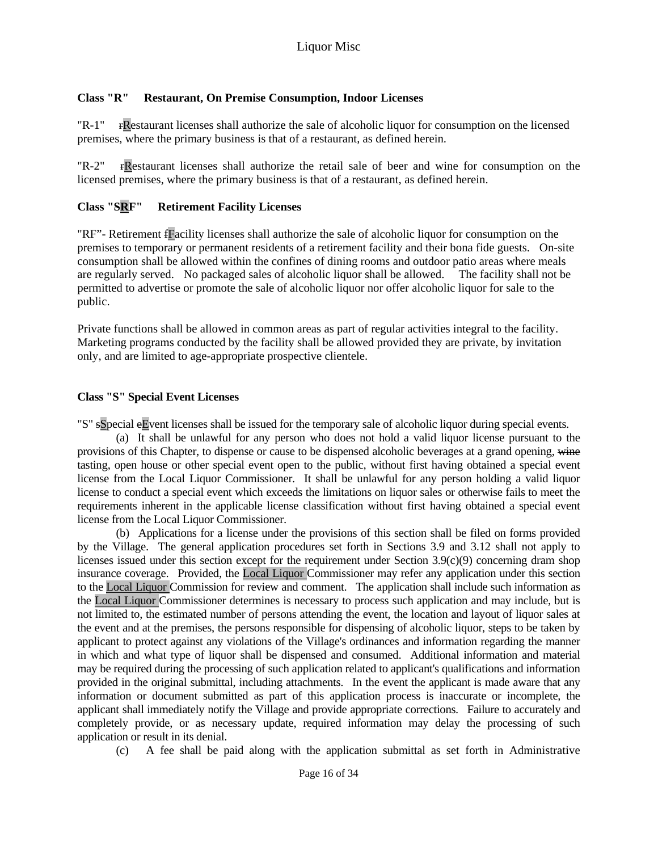## **Class "R" Restaurant, On Premise Consumption, Indoor Licenses**

"R-1" rRestaurant licenses shall authorize the sale of alcoholic liquor for consumption on the licensed premises, where the primary business is that of a restaurant, as defined herein.

"R-2" rRestaurant licenses shall authorize the retail sale of beer and wine for consumption on the licensed premises, where the primary business is that of a restaurant, as defined herein.

## **Class "SRF" Retirement Facility Licenses**

"RF"- Retirement fFacility licenses shall authorize the sale of alcoholic liquor for consumption on the premises to temporary or permanent residents of a retirement facility and their bona fide guests. On-site consumption shall be allowed within the confines of dining rooms and outdoor patio areas where meals are regularly served. No packaged sales of alcoholic liquor shall be allowed. The facility shall not be permitted to advertise or promote the sale of alcoholic liquor nor offer alcoholic liquor for sale to the public.

Private functions shall be allowed in common areas as part of regular activities integral to the facility. Marketing programs conducted by the facility shall be allowed provided they are private, by invitation only, and are limited to age-appropriate prospective clientele.

## **Class "S" Special Event Licenses**

"S" sSpecial eEvent licenses shall be issued for the temporary sale of alcoholic liquor during special events.

 (a) It shall be unlawful for any person who does not hold a valid liquor license pursuant to the provisions of this Chapter, to dispense or cause to be dispensed alcoholic beverages at a grand opening, wine tasting, open house or other special event open to the public, without first having obtained a special event license from the Local Liquor Commissioner. It shall be unlawful for any person holding a valid liquor license to conduct a special event which exceeds the limitations on liquor sales or otherwise fails to meet the requirements inherent in the applicable license classification without first having obtained a special event license from the Local Liquor Commissioner.

 (b) Applications for a license under the provisions of this section shall be filed on forms provided by the Village. The general application procedures set forth in Sections 3.9 and 3.12 shall not apply to licenses issued under this section except for the requirement under Section 3.9(c)(9) concerning dram shop insurance coverage. Provided, the Local Liquor Commissioner may refer any application under this section to the Local Liquor Commission for review and comment. The application shall include such information as the Local Liquor Commissioner determines is necessary to process such application and may include, but is not limited to, the estimated number of persons attending the event, the location and layout of liquor sales at the event and at the premises, the persons responsible for dispensing of alcoholic liquor, steps to be taken by applicant to protect against any violations of the Village's ordinances and information regarding the manner in which and what type of liquor shall be dispensed and consumed. Additional information and material may be required during the processing of such application related to applicant's qualifications and information provided in the original submittal, including attachments. In the event the applicant is made aware that any information or document submitted as part of this application process is inaccurate or incomplete, the applicant shall immediately notify the Village and provide appropriate corrections. Failure to accurately and completely provide, or as necessary update, required information may delay the processing of such application or result in its denial.

(c) A fee shall be paid along with the application submittal as set forth in Administrative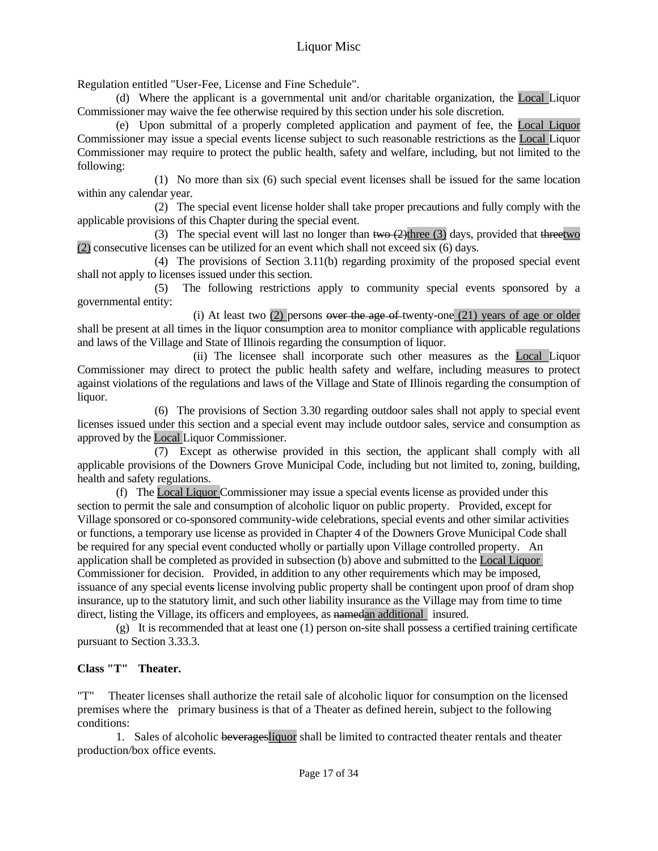Regulation entitled "User-Fee, License and Fine Schedule".

 (d) Where the applicant is a governmental unit and/or charitable organization, the Local Liquor Commissioner may waive the fee otherwise required by this section under his sole discretion.

 (e) Upon submittal of a properly completed application and payment of fee, the Local Liquor Commissioner may issue a special events license subject to such reasonable restrictions as the Local Liquor Commissioner may require to protect the public health, safety and welfare, including, but not limited to the following:

 (1) No more than six (6) such special event licenses shall be issued for the same location within any calendar year.

 (2) The special event license holder shall take proper precautions and fully comply with the applicable provisions of this Chapter during the special event.

(3) The special event will last no longer than two  $(2)$ three (3) days, provided that threetwo (2) consecutive licenses can be utilized for an event which shall not exceed six (6) days.

 (4) The provisions of Section 3.11(b) regarding proximity of the proposed special event shall not apply to licenses issued under this section.

 (5) The following restrictions apply to community special events sponsored by a governmental entity:

(i) At least two  $(2)$  persons over the age of twenty-one  $(21)$  years of age or older shall be present at all times in the liquor consumption area to monitor compliance with applicable regulations and laws of the Village and State of Illinois regarding the consumption of liquor.

 (ii) The licensee shall incorporate such other measures as the Local Liquor Commissioner may direct to protect the public health safety and welfare, including measures to protect against violations of the regulations and laws of the Village and State of Illinois regarding the consumption of liquor.

 (6) The provisions of Section 3.30 regarding outdoor sales shall not apply to special event licenses issued under this section and a special event may include outdoor sales, service and consumption as approved by the Local Liquor Commissioner.

 (7) Except as otherwise provided in this section, the applicant shall comply with all applicable provisions of the Downers Grove Municipal Code, including but not limited to, zoning, building, health and safety regulations.

 (f) The Local Liquor Commissioner may issue a special events license as provided under this section to permit the sale and consumption of alcoholic liquor on public property. Provided, except for Village sponsored or co-sponsored community-wide celebrations, special events and other similar activities or functions, a temporary use license as provided in Chapter 4 of the Downers Grove Municipal Code shall be required for any special event conducted wholly or partially upon Village controlled property. An application shall be completed as provided in subsection (b) above and submitted to the Local Liquor Commissioner for decision. Provided, in addition to any other requirements which may be imposed, issuance of any special events license involving public property shall be contingent upon proof of dram shop insurance, up to the statutory limit, and such other liability insurance as the Village may from time to time direct, listing the Village, its officers and employees, as namedan additional insured.

 (g) It is recommended that at least one (1) person on-site shall possess a certified training certificate pursuant to Section 3.33.3.

## **Class "T" Theater.**

"T" Theater licenses shall authorize the retail sale of alcoholic liquor for consumption on the licensed premises where the primary business is that of a Theater as defined herein, subject to the following conditions:

 1. Sales of alcoholic beveragesliquor shall be limited to contracted theater rentals and theater production/box office events.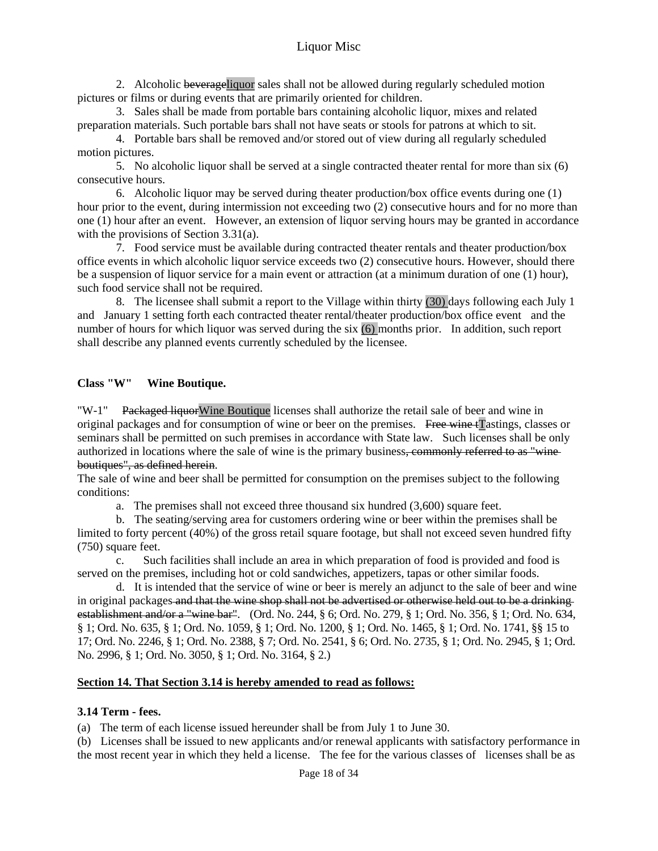2. Alcoholic beverageliquor sales shall not be allowed during regularly scheduled motion pictures or films or during events that are primarily oriented for children.

 3. Sales shall be made from portable bars containing alcoholic liquor, mixes and related preparation materials. Such portable bars shall not have seats or stools for patrons at which to sit.

 4. Portable bars shall be removed and/or stored out of view during all regularly scheduled motion pictures.

 5. No alcoholic liquor shall be served at a single contracted theater rental for more than six (6) consecutive hours.

 6. Alcoholic liquor may be served during theater production/box office events during one (1) hour prior to the event, during intermission not exceeding two (2) consecutive hours and for no more than one (1) hour after an event. However, an extension of liquor serving hours may be granted in accordance with the provisions of Section 3.31(a).

 7. Food service must be available during contracted theater rentals and theater production/box office events in which alcoholic liquor service exceeds two (2) consecutive hours. However, should there be a suspension of liquor service for a main event or attraction (at a minimum duration of one (1) hour), such food service shall not be required.

 8. The licensee shall submit a report to the Village within thirty (30) days following each July 1 and January 1 setting forth each contracted theater rental/theater production/box office event and the number of hours for which liquor was served during the six (6) months prior. In addition, such report shall describe any planned events currently scheduled by the licensee.

## **Class "W" Wine Boutique.**

"W-1" Packaged liquor Wine Boutique licenses shall authorize the retail sale of beer and wine in original packages and for consumption of wine or beer on the premises. Free wine tTastings, classes or seminars shall be permitted on such premises in accordance with State law. Such licenses shall be only authorized in locations where the sale of wine is the primary business, commonly referred to as "wineboutiques", as defined herein.

The sale of wine and beer shall be permitted for consumption on the premises subject to the following conditions:

a. The premises shall not exceed three thousand six hundred (3,600) square feet.

 b. The seating/serving area for customers ordering wine or beer within the premises shall be limited to forty percent (40%) of the gross retail square footage, but shall not exceed seven hundred fifty (750) square feet.

 c. Such facilities shall include an area in which preparation of food is provided and food is served on the premises, including hot or cold sandwiches, appetizers, tapas or other similar foods.

 d. It is intended that the service of wine or beer is merely an adjunct to the sale of beer and wine in original packages and that the wine shop shall not be advertised or otherwise held out to be a drinking establishment and/or a "wine bar". (Ord. No. 244, § 6; Ord. No. 279, § 1; Ord. No. 356, § 1; Ord. No. 634, § 1; Ord. No. 635, § 1; Ord. No. 1059, § 1; Ord. No. 1200, § 1; Ord. No. 1465, § 1; Ord. No. 1741, §§ 15 to 17; Ord. No. 2246, § 1; Ord. No. 2388, § 7; Ord. No. 2541, § 6; Ord. No. 2735, § 1; Ord. No. 2945, § 1; Ord. No. 2996, § 1; Ord. No. 3050, § 1; Ord. No. 3164, § 2.)

## **Section 14. That Section 3.14 is hereby amended to read as follows:**

#### **3.14 Term - fees.**

(a) The term of each license issued hereunder shall be from July 1 to June 30.

(b) Licenses shall be issued to new applicants and/or renewal applicants with satisfactory performance in the most recent year in which they held a license. The fee for the various classes of licenses shall be as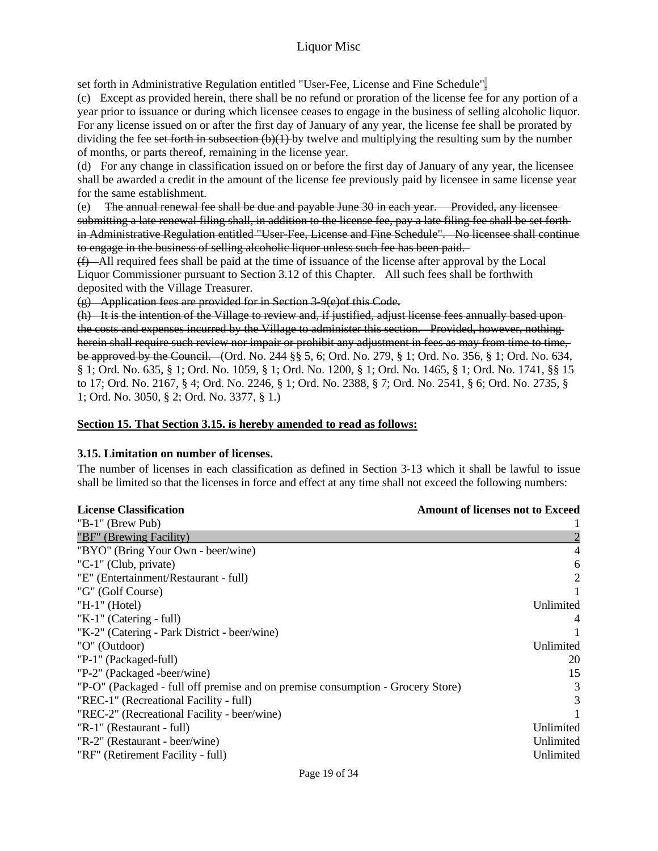set forth in Administrative Regulation entitled "User-Fee, License and Fine Schedule".

(c) Except as provided herein, there shall be no refund or proration of the license fee for any portion of a year prior to issuance or during which licensee ceases to engage in the business of selling alcoholic liquor. For any license issued on or after the first day of January of any year, the license fee shall be prorated by dividing the fee set forth in subsection  $(b)(1)$  by twelve and multiplying the resulting sum by the number of months, or parts thereof, remaining in the license year.

(d) For any change in classification issued on or before the first day of January of any year, the licensee shall be awarded a credit in the amount of the license fee previously paid by licensee in same license year for the same establishment.

(e) The annual renewal fee shall be due and payable June 30 in each year. Provided, any licensee submitting a late renewal filing shall, in addition to the license fee, pay a late filing fee shall be set forth in Administrative Regulation entitled "User-Fee, License and Fine Schedule". No licensee shall continue to engage in the business of selling alcoholic liquor unless such fee has been paid.

(f) All required fees shall be paid at the time of issuance of the license after approval by the Local Liquor Commissioner pursuant to Section 3.12 of this Chapter. All such fees shall be forthwith deposited with the Village Treasurer.

(g) Application fees are provided for in Section 3-9(e)of this Code.

(h) It is the intention of the Village to review and, if justified, adjust license fees annually based upon the costs and expenses incurred by the Village to administer this section. Provided, however, nothing herein shall require such review nor impair or prohibit any adjustment in fees as may from time to time, be approved by the Council. (Ord. No. 244 §§ 5, 6; Ord. No. 279, § 1; Ord. No. 356, § 1; Ord. No. 634, § 1; Ord. No. 635, § 1; Ord. No. 1059, § 1; Ord. No. 1200, § 1; Ord. No. 1465, § 1; Ord. No. 1741, §§ 15 to 17; Ord. No. 2167, § 4; Ord. No. 2246, § 1; Ord. No. 2388, § 7; Ord. No. 2541, § 6; Ord. No. 2735, § 1; Ord. No. 3050, § 2; Ord. No. 3377, § 1.)

#### **Section 15. That Section 3.15. is hereby amended to read as follows:**

#### **3.15. Limitation on number of licenses.**

The number of licenses in each classification as defined in Section 3-13 which it shall be lawful to issue shall be limited so that the licenses in force and effect at any time shall not exceed the following numbers:

| <b>License Classification</b>                                                  | <b>Amount of licenses not to Exceed</b> |
|--------------------------------------------------------------------------------|-----------------------------------------|
| "B-1" (Brew Pub)                                                               |                                         |
| "BF" (Brewing Facility)                                                        |                                         |
| "BYO" (Bring Your Own - beer/wine)                                             |                                         |
| "C-1" (Club, private)                                                          | 6                                       |
| "E" (Entertainment/Restaurant - full)                                          | 2                                       |
| "G" (Golf Course)                                                              |                                         |
| " $H-1$ " (Hotel)                                                              | Unlimited                               |
| "K-1" (Catering - full)                                                        |                                         |
| "K-2" (Catering - Park District - beer/wine)                                   |                                         |
| "O" (Outdoor)                                                                  | Unlimited                               |
| "P-1" (Packaged-full)                                                          | 20                                      |
| "P-2" (Packaged -beer/wine)                                                    | 15                                      |
| "P-O" (Packaged - full off premise and on premise consumption - Grocery Store) | 3                                       |
| "REC-1" (Recreational Facility - full)                                         | 3                                       |
| "REC-2" (Recreational Facility - beer/wine)                                    |                                         |
| "R-1" (Restaurant - full)                                                      | Unlimited                               |
| "R-2" (Restaurant - beer/wine)                                                 | Unlimited                               |
| "RF" (Retirement Facility - full)                                              | Unlimited                               |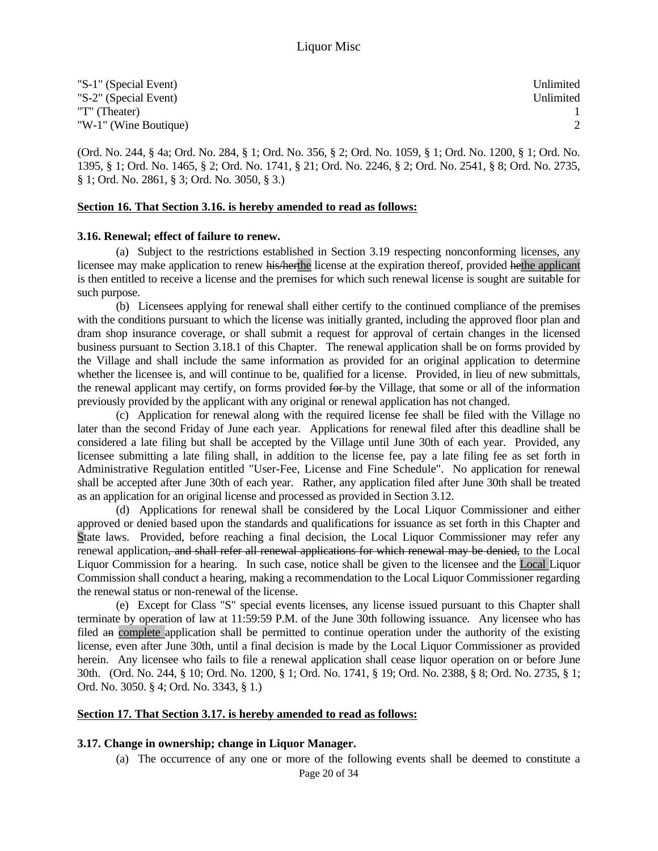| "S-1" (Special Event) | Unlimited |
|-----------------------|-----------|
| "S-2" (Special Event) | Unlimited |
| "T" (Theater)         |           |
| "W-1" (Wine Boutique) |           |

(Ord. No. 244, § 4a; Ord. No. 284, § 1; Ord. No. 356, § 2; Ord. No. 1059, § 1; Ord. No. 1200, § 1; Ord. No. 1395, § 1; Ord. No. 1465, § 2; Ord. No. 1741, § 21; Ord. No. 2246, § 2; Ord. No. 2541, § 8; Ord. No. 2735, § 1; Ord. No. 2861, § 3; Ord. No. 3050, § 3.)

#### **Section 16. That Section 3.16. is hereby amended to read as follows:**

#### **3.16. Renewal; effect of failure to renew.**

 (a) Subject to the restrictions established in Section 3.19 respecting nonconforming licenses, any licensee may make application to renew his/herthe license at the expiration thereof, provided hethe applicant is then entitled to receive a license and the premises for which such renewal license is sought are suitable for such purpose.

 (b) Licensees applying for renewal shall either certify to the continued compliance of the premises with the conditions pursuant to which the license was initially granted, including the approved floor plan and dram shop insurance coverage, or shall submit a request for approval of certain changes in the licensed business pursuant to Section 3.18.1 of this Chapter. The renewal application shall be on forms provided by the Village and shall include the same information as provided for an original application to determine whether the licensee is, and will continue to be, qualified for a license. Provided, in lieu of new submittals, the renewal applicant may certify, on forms provided for by the Village, that some or all of the information previously provided by the applicant with any original or renewal application has not changed.

 (c) Application for renewal along with the required license fee shall be filed with the Village no later than the second Friday of June each year. Applications for renewal filed after this deadline shall be considered a late filing but shall be accepted by the Village until June 30th of each year. Provided, any licensee submitting a late filing shall, in addition to the license fee, pay a late filing fee as set forth in Administrative Regulation entitled "User-Fee, License and Fine Schedule". No application for renewal shall be accepted after June 30th of each year. Rather, any application filed after June 30th shall be treated as an application for an original license and processed as provided in Section 3.12.

 (d) Applications for renewal shall be considered by the Local Liquor Commissioner and either approved or denied based upon the standards and qualifications for issuance as set forth in this Chapter and State laws. Provided, before reaching a final decision, the Local Liquor Commissioner may refer any renewal application, and shall refer all renewal applications for which renewal may be denied, to the Local Liquor Commission for a hearing. In such case, notice shall be given to the licensee and the Local Liquor Commission shall conduct a hearing, making a recommendation to the Local Liquor Commissioner regarding the renewal status or non-renewal of the license.

 (e) Except for Class "S" special events licenses, any license issued pursuant to this Chapter shall terminate by operation of law at 11:59:59 P.M. of the June 30th following issuance. Any licensee who has filed an complete application shall be permitted to continue operation under the authority of the existing license, even after June 30th, until a final decision is made by the Local Liquor Commissioner as provided herein. Any licensee who fails to file a renewal application shall cease liquor operation on or before June 30th. (Ord. No. 244, § 10; Ord. No. 1200, § 1; Ord. No. 1741, § 19; Ord. No. 2388, § 8; Ord. No. 2735, § 1; Ord. No. 3050. § 4; Ord. No. 3343, § 1.)

#### **Section 17. That Section 3.17. is hereby amended to read as follows:**

#### **3.17. Change in ownership; change in Liquor Manager.**

Page 20 of 34 (a) The occurrence of any one or more of the following events shall be deemed to constitute a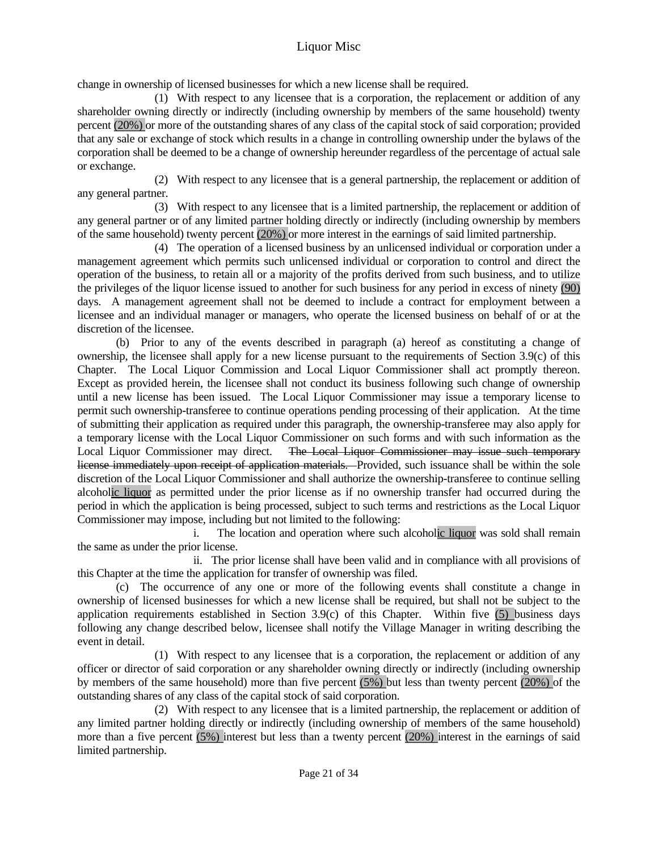change in ownership of licensed businesses for which a new license shall be required.

 (1) With respect to any licensee that is a corporation, the replacement or addition of any shareholder owning directly or indirectly (including ownership by members of the same household) twenty percent (20%) or more of the outstanding shares of any class of the capital stock of said corporation; provided that any sale or exchange of stock which results in a change in controlling ownership under the bylaws of the corporation shall be deemed to be a change of ownership hereunder regardless of the percentage of actual sale or exchange.

 (2) With respect to any licensee that is a general partnership, the replacement or addition of any general partner.

 (3) With respect to any licensee that is a limited partnership, the replacement or addition of any general partner or of any limited partner holding directly or indirectly (including ownership by members of the same household) twenty percent (20%) or more interest in the earnings of said limited partnership.

 (4) The operation of a licensed business by an unlicensed individual or corporation under a management agreement which permits such unlicensed individual or corporation to control and direct the operation of the business, to retain all or a majority of the profits derived from such business, and to utilize the privileges of the liquor license issued to another for such business for any period in excess of ninety (90) days. A management agreement shall not be deemed to include a contract for employment between a licensee and an individual manager or managers, who operate the licensed business on behalf of or at the discretion of the licensee.

 (b) Prior to any of the events described in paragraph (a) hereof as constituting a change of ownership, the licensee shall apply for a new license pursuant to the requirements of Section 3.9(c) of this Chapter. The Local Liquor Commission and Local Liquor Commissioner shall act promptly thereon. Except as provided herein, the licensee shall not conduct its business following such change of ownership until a new license has been issued. The Local Liquor Commissioner may issue a temporary license to permit such ownership-transferee to continue operations pending processing of their application. At the time of submitting their application as required under this paragraph, the ownership-transferee may also apply for a temporary license with the Local Liquor Commissioner on such forms and with such information as the Local Liquor Commissioner may direct. The Local Liquor Commissioner may issue such temporary license immediately upon receipt of application materials. Provided, such issuance shall be within the sole discretion of the Local Liquor Commissioner and shall authorize the ownership-transferee to continue selling alcoholic liquor as permitted under the prior license as if no ownership transfer had occurred during the period in which the application is being processed, subject to such terms and restrictions as the Local Liquor Commissioner may impose, including but not limited to the following:

 i. The location and operation where such alcoholic liquor was sold shall remain the same as under the prior license.

 ii. The prior license shall have been valid and in compliance with all provisions of this Chapter at the time the application for transfer of ownership was filed.

 (c) The occurrence of any one or more of the following events shall constitute a change in ownership of licensed businesses for which a new license shall be required, but shall not be subject to the application requirements established in Section 3.9(c) of this Chapter. Within five (5) business days following any change described below, licensee shall notify the Village Manager in writing describing the event in detail.

 (1) With respect to any licensee that is a corporation, the replacement or addition of any officer or director of said corporation or any shareholder owning directly or indirectly (including ownership by members of the same household) more than five percent (5%) but less than twenty percent (20%) of the outstanding shares of any class of the capital stock of said corporation.

 (2) With respect to any licensee that is a limited partnership, the replacement or addition of any limited partner holding directly or indirectly (including ownership of members of the same household) more than a five percent (5%) interest but less than a twenty percent (20%) interest in the earnings of said limited partnership.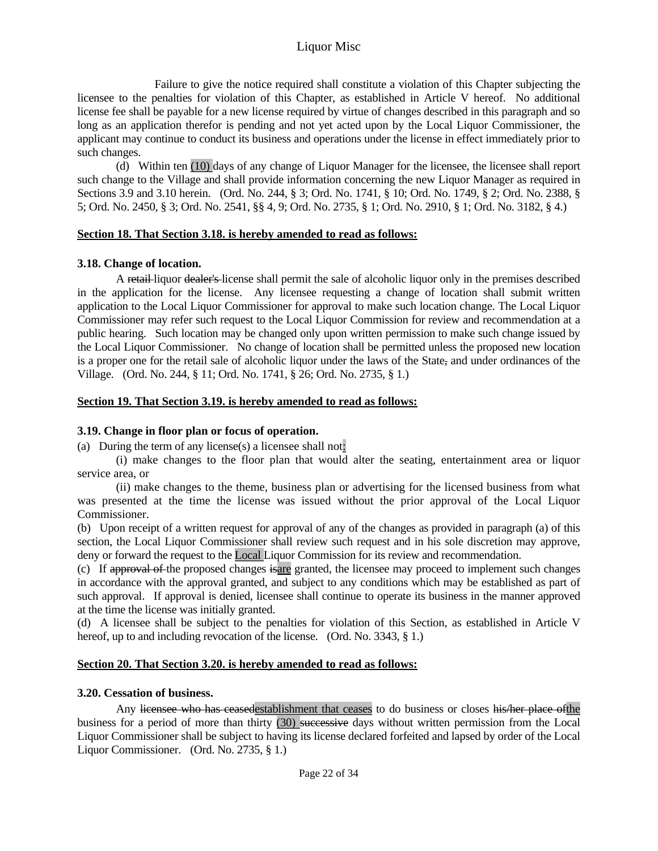Failure to give the notice required shall constitute a violation of this Chapter subjecting the licensee to the penalties for violation of this Chapter, as established in Article V hereof. No additional license fee shall be payable for a new license required by virtue of changes described in this paragraph and so long as an application therefor is pending and not yet acted upon by the Local Liquor Commissioner, the applicant may continue to conduct its business and operations under the license in effect immediately prior to such changes.

 (d) Within ten (10) days of any change of Liquor Manager for the licensee, the licensee shall report such change to the Village and shall provide information concerning the new Liquor Manager as required in Sections 3.9 and 3.10 herein. (Ord. No. 244, § 3; Ord. No. 1741, § 10; Ord. No. 1749, § 2; Ord. No. 2388, § 5; Ord. No. 2450, § 3; Ord. No. 2541, §§ 4, 9; Ord. No. 2735, § 1; Ord. No. 2910, § 1; Ord. No. 3182, § 4.)

## **Section 18. That Section 3.18. is hereby amended to read as follows:**

# **3.18. Change of location.**

A retail-liquor dealer's license shall permit the sale of alcoholic liquor only in the premises described in the application for the license. Any licensee requesting a change of location shall submit written application to the Local Liquor Commissioner for approval to make such location change. The Local Liquor Commissioner may refer such request to the Local Liquor Commission for review and recommendation at a public hearing. Such location may be changed only upon written permission to make such change issued by the Local Liquor Commissioner. No change of location shall be permitted unless the proposed new location is a proper one for the retail sale of alcoholic liquor under the laws of the State, and under ordinances of the Village. (Ord. No. 244, § 11; Ord. No. 1741, § 26; Ord. No. 2735, § 1.)

## **Section 19. That Section 3.19. is hereby amended to read as follows:**

# **3.19. Change in floor plan or focus of operation.**

(a) During the term of any license(s) a licensee shall not:

 (i) make changes to the floor plan that would alter the seating, entertainment area or liquor service area, or

 (ii) make changes to the theme, business plan or advertising for the licensed business from what was presented at the time the license was issued without the prior approval of the Local Liquor Commissioner.

(b) Upon receipt of a written request for approval of any of the changes as provided in paragraph (a) of this section, the Local Liquor Commissioner shall review such request and in his sole discretion may approve, deny or forward the request to the Local Liquor Commission for its review and recommendation.

(c) If approval of the proposed changes isare granted, the licensee may proceed to implement such changes in accordance with the approval granted, and subject to any conditions which may be established as part of such approval. If approval is denied, licensee shall continue to operate its business in the manner approved at the time the license was initially granted.

(d) A licensee shall be subject to the penalties for violation of this Section, as established in Article V hereof, up to and including revocation of the license. (Ord. No. 3343, § 1.)

# **Section 20. That Section 3.20. is hereby amended to read as follows:**

## **3.20. Cessation of business.**

Any licensee who has ceasedestablishment that ceases to do business or closes his/her place of the business for a period of more than thirty (30) successive days without written permission from the Local Liquor Commissioner shall be subject to having its license declared forfeited and lapsed by order of the Local Liquor Commissioner. (Ord. No. 2735, § 1.)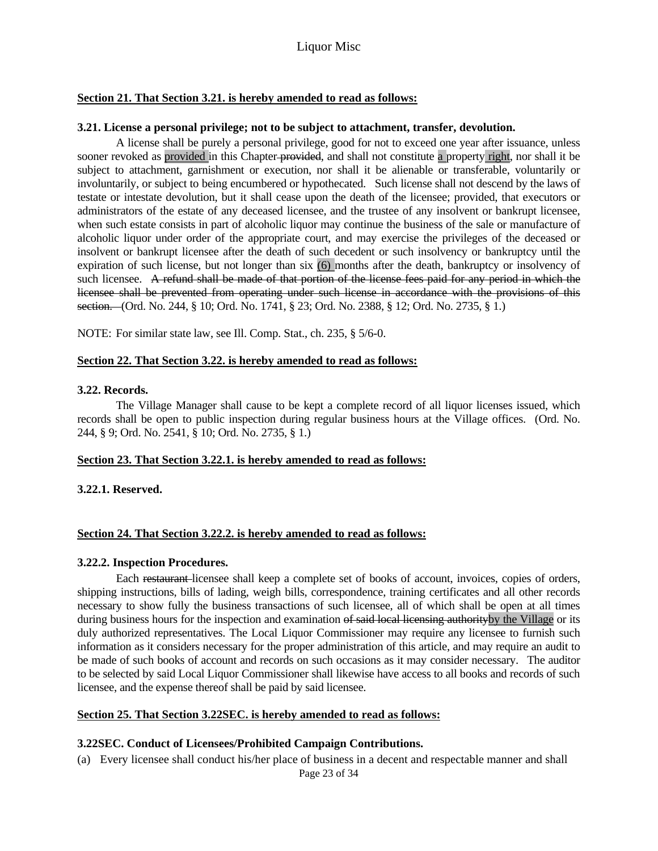#### **Section 21. That Section 3.21. is hereby amended to read as follows:**

#### **3.21. License a personal privilege; not to be subject to attachment, transfer, devolution.**

 A license shall be purely a personal privilege, good for not to exceed one year after issuance, unless sooner revoked as provided in this Chapter-provided, and shall not constitute a property right, nor shall it be subject to attachment, garnishment or execution, nor shall it be alienable or transferable, voluntarily or involuntarily, or subject to being encumbered or hypothecated. Such license shall not descend by the laws of testate or intestate devolution, but it shall cease upon the death of the licensee; provided, that executors or administrators of the estate of any deceased licensee, and the trustee of any insolvent or bankrupt licensee, when such estate consists in part of alcoholic liquor may continue the business of the sale or manufacture of alcoholic liquor under order of the appropriate court, and may exercise the privileges of the deceased or insolvent or bankrupt licensee after the death of such decedent or such insolvency or bankruptcy until the expiration of such license, but not longer than six (6) months after the death, bankruptcy or insolvency of such licensee. A refund shall be made of that portion of the license fees paid for any period in which the licensee shall be prevented from operating under such license in accordance with the provisions of this section. (Ord. No. 244, § 10; Ord. No. 1741, § 23; Ord. No. 2388, § 12; Ord. No. 2735, § 1.)

NOTE: For similar state law, see Ill. Comp. Stat., ch. 235, § 5/6-0.

#### **Section 22. That Section 3.22. is hereby amended to read as follows:**

#### **3.22. Records.**

 The Village Manager shall cause to be kept a complete record of all liquor licenses issued, which records shall be open to public inspection during regular business hours at the Village offices. (Ord. No. 244, § 9; Ord. No. 2541, § 10; Ord. No. 2735, § 1.)

#### **Section 23. That Section 3.22.1. is hereby amended to read as follows:**

**3.22.1. Reserved.** 

#### **Section 24. That Section 3.22.2. is hereby amended to read as follows:**

#### **3.22.2. Inspection Procedures.**

 Each restaurant licensee shall keep a complete set of books of account, invoices, copies of orders, shipping instructions, bills of lading, weigh bills, correspondence, training certificates and all other records necessary to show fully the business transactions of such licensee, all of which shall be open at all times during business hours for the inspection and examination of said local licensing authority by the Village or its duly authorized representatives. The Local Liquor Commissioner may require any licensee to furnish such information as it considers necessary for the proper administration of this article, and may require an audit to be made of such books of account and records on such occasions as it may consider necessary. The auditor to be selected by said Local Liquor Commissioner shall likewise have access to all books and records of such licensee, and the expense thereof shall be paid by said licensee.

#### **Section 25. That Section 3.22SEC. is hereby amended to read as follows:**

#### **3.22SEC. Conduct of Licensees/Prohibited Campaign Contributions.**

Page 23 of 34 (a) Every licensee shall conduct his/her place of business in a decent and respectable manner and shall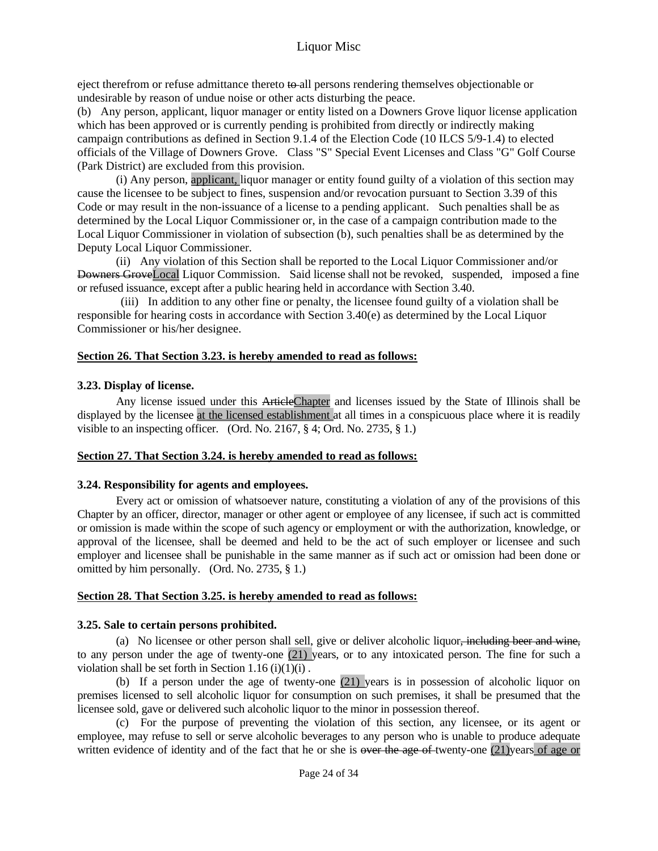eject therefrom or refuse admittance thereto to all persons rendering themselves objectionable or undesirable by reason of undue noise or other acts disturbing the peace.

(b) Any person, applicant, liquor manager or entity listed on a Downers Grove liquor license application which has been approved or is currently pending is prohibited from directly or indirectly making campaign contributions as defined in Section 9.1.4 of the Election Code (10 ILCS 5/9-1.4) to elected officials of the Village of Downers Grove. Class "S" Special Event Licenses and Class "G" Golf Course (Park District) are excluded from this provision.

 (i) Any person, applicant, liquor manager or entity found guilty of a violation of this section may cause the licensee to be subject to fines, suspension and/or revocation pursuant to Section 3.39 of this Code or may result in the non-issuance of a license to a pending applicant. Such penalties shall be as determined by the Local Liquor Commissioner or, in the case of a campaign contribution made to the Local Liquor Commissioner in violation of subsection (b), such penalties shall be as determined by the Deputy Local Liquor Commissioner.

 (ii) Any violation of this Section shall be reported to the Local Liquor Commissioner and/or Downers GroveLocal Liquor Commission. Said license shall not be revoked, suspended, imposed a fine or refused issuance, except after a public hearing held in accordance with Section 3.40.

 (iii) In addition to any other fine or penalty, the licensee found guilty of a violation shall be responsible for hearing costs in accordance with Section 3.40(e) as determined by the Local Liquor Commissioner or his/her designee.

#### **Section 26. That Section 3.23. is hereby amended to read as follows:**

#### **3.23. Display of license.**

Any license issued under this ArticleChapter and licenses issued by the State of Illinois shall be displayed by the licensee at the licensed establishment at all times in a conspicuous place where it is readily visible to an inspecting officer. (Ord. No. 2167, § 4; Ord. No. 2735, § 1.)

#### **Section 27. That Section 3.24. is hereby amended to read as follows:**

#### **3.24. Responsibility for agents and employees.**

 Every act or omission of whatsoever nature, constituting a violation of any of the provisions of this Chapter by an officer, director, manager or other agent or employee of any licensee, if such act is committed or omission is made within the scope of such agency or employment or with the authorization, knowledge, or approval of the licensee, shall be deemed and held to be the act of such employer or licensee and such employer and licensee shall be punishable in the same manner as if such act or omission had been done or omitted by him personally. (Ord. No. 2735, § 1.)

#### **Section 28. That Section 3.25. is hereby amended to read as follows:**

#### **3.25. Sale to certain persons prohibited.**

 (a) No licensee or other person shall sell, give or deliver alcoholic liquor, including beer and wine, to any person under the age of twenty-one (21) years, or to any intoxicated person. The fine for such a violation shall be set forth in Section  $1.16$  (i)(1)(i).

 (b) If a person under the age of twenty-one (21) years is in possession of alcoholic liquor on premises licensed to sell alcoholic liquor for consumption on such premises, it shall be presumed that the licensee sold, gave or delivered such alcoholic liquor to the minor in possession thereof.

 (c) For the purpose of preventing the violation of this section, any licensee, or its agent or employee, may refuse to sell or serve alcoholic beverages to any person who is unable to produce adequate written evidence of identity and of the fact that he or she is <del>over the age of</del> twenty-one (21)years of age or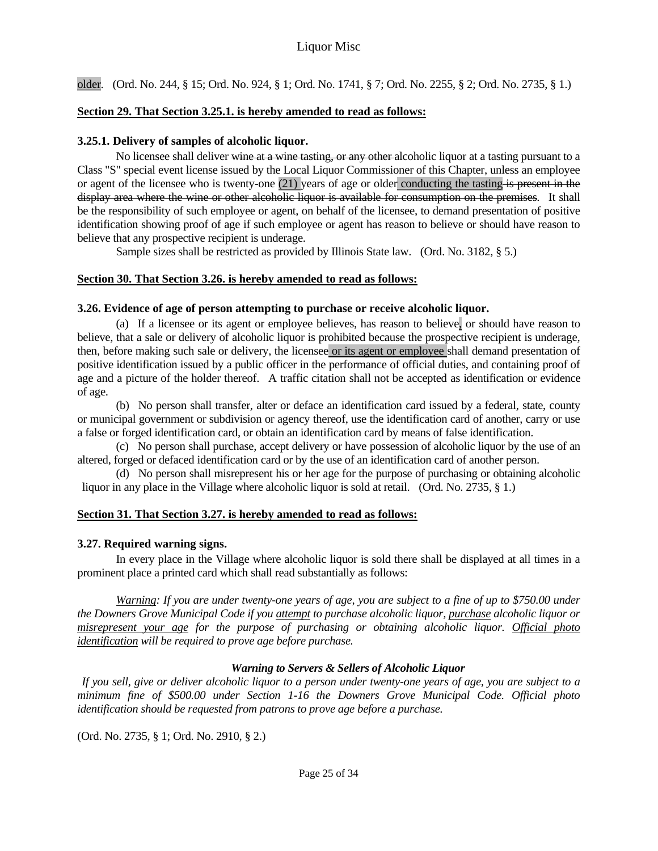older. (Ord. No. 244, § 15; Ord. No. 924, § 1; Ord. No. 1741, § 7; Ord. No. 2255, § 2; Ord. No. 2735, § 1.)

## **Section 29. That Section 3.25.1. is hereby amended to read as follows:**

#### **3.25.1. Delivery of samples of alcoholic liquor.**

No licensee shall deliver wine at a wine tasting, or any other alcoholic liquor at a tasting pursuant to a Class "S" special event license issued by the Local Liquor Commissioner of this Chapter, unless an employee or agent of the licensee who is twenty-one (21) years of age or older conducting the tasting is present in the display area where the wine or other alcoholic liquor is available for consumption on the premises. It shall be the responsibility of such employee or agent, on behalf of the licensee, to demand presentation of positive identification showing proof of age if such employee or agent has reason to believe or should have reason to believe that any prospective recipient is underage.

Sample sizes shall be restricted as provided by Illinois State law. (Ord. No. 3182, § 5.)

## **Section 30. That Section 3.26. is hereby amended to read as follows:**

#### **3.26. Evidence of age of person attempting to purchase or receive alcoholic liquor.**

(a) If a licensee or its agent or employee believes, has reason to believe, or should have reason to believe, that a sale or delivery of alcoholic liquor is prohibited because the prospective recipient is underage, then, before making such sale or delivery, the licensee or its agent or employee shall demand presentation of positive identification issued by a public officer in the performance of official duties, and containing proof of age and a picture of the holder thereof. A traffic citation shall not be accepted as identification or evidence of age.

 (b) No person shall transfer, alter or deface an identification card issued by a federal, state, county or municipal government or subdivision or agency thereof, use the identification card of another, carry or use a false or forged identification card, or obtain an identification card by means of false identification.

 (c) No person shall purchase, accept delivery or have possession of alcoholic liquor by the use of an altered, forged or defaced identification card or by the use of an identification card of another person.

 (d) No person shall misrepresent his or her age for the purpose of purchasing or obtaining alcoholic liquor in any place in the Village where alcoholic liquor is sold at retail. (Ord. No. 2735, § 1.)

#### **Section 31. That Section 3.27. is hereby amended to read as follows:**

#### **3.27. Required warning signs.**

 In every place in the Village where alcoholic liquor is sold there shall be displayed at all times in a prominent place a printed card which shall read substantially as follows:

*Warning: If you are under twenty-one years of age, you are subject to a fine of up to \$750.00 under the Downers Grove Municipal Code if you attempt to purchase alcoholic liquor, purchase alcoholic liquor or misrepresent your age for the purpose of purchasing or obtaining alcoholic liquor. Official photo identification will be required to prove age before purchase.* 

## *Warning to Servers & Sellers of Alcoholic Liquor*

 *If you sell, give or deliver alcoholic liquor to a person under twenty-one years of age, you are subject to a minimum fine of \$500.00 under Section 1-16 the Downers Grove Municipal Code. Official photo identification should be requested from patrons to prove age before a purchase.*

(Ord. No. 2735, § 1; Ord. No. 2910, § 2.)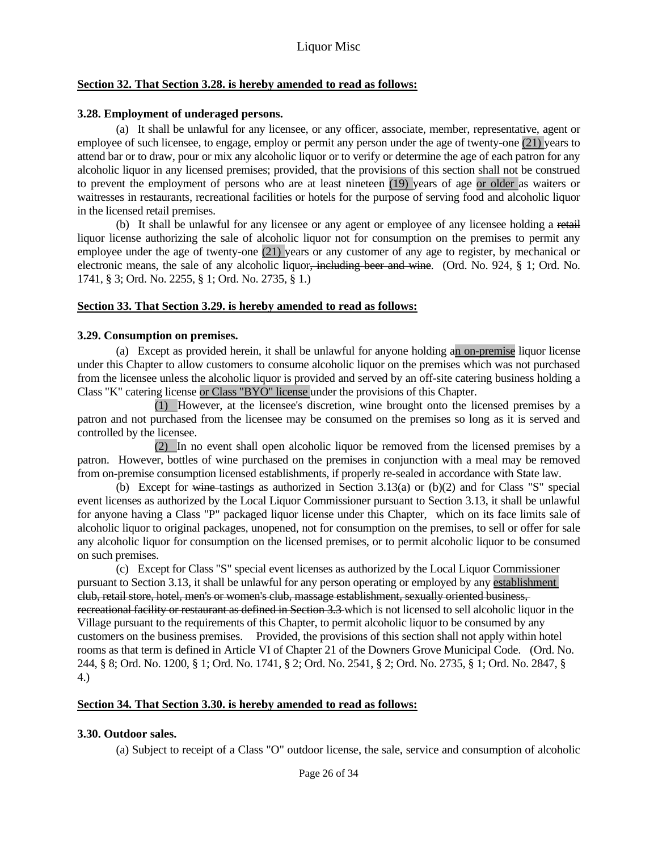#### **Section 32. That Section 3.28. is hereby amended to read as follows:**

#### **3.28. Employment of underaged persons.**

 (a) It shall be unlawful for any licensee, or any officer, associate, member, representative, agent or employee of such licensee, to engage, employ or permit any person under the age of twenty-one (21) years to attend bar or to draw, pour or mix any alcoholic liquor or to verify or determine the age of each patron for any alcoholic liquor in any licensed premises; provided, that the provisions of this section shall not be construed to prevent the employment of persons who are at least nineteen (19) years of age or older as waiters or waitresses in restaurants, recreational facilities or hotels for the purpose of serving food and alcoholic liquor in the licensed retail premises.

 (b) It shall be unlawful for any licensee or any agent or employee of any licensee holding a retail liquor license authorizing the sale of alcoholic liquor not for consumption on the premises to permit any employee under the age of twenty-one (21) years or any customer of any age to register, by mechanical or electronic means, the sale of any alcoholic liquor<del>, including beer and wine</del>. (Ord. No. 924, § 1; Ord. No. 1741, § 3; Ord. No. 2255, § 1; Ord. No. 2735, § 1.)

## **Section 33. That Section 3.29. is hereby amended to read as follows:**

## **3.29. Consumption on premises.**

 (a) Except as provided herein, it shall be unlawful for anyone holding an on-premise liquor license under this Chapter to allow customers to consume alcoholic liquor on the premises which was not purchased from the licensee unless the alcoholic liquor is provided and served by an off-site catering business holding a Class "K" catering license or Class "BYO" license under the provisions of this Chapter.

 (1) However, at the licensee's discretion, wine brought onto the licensed premises by a patron and not purchased from the licensee may be consumed on the premises so long as it is served and controlled by the licensee.

 (2) In no event shall open alcoholic liquor be removed from the licensed premises by a patron. However, bottles of wine purchased on the premises in conjunction with a meal may be removed from on-premise consumption licensed establishments, if properly re-sealed in accordance with State law.

(b) Except for wine-tastings as authorized in Section 3.13(a) or  $(b)(2)$  and for Class "S" special event licenses as authorized by the Local Liquor Commissioner pursuant to Section 3.13, it shall be unlawful for anyone having a Class "P" packaged liquor license under this Chapter, which on its face limits sale of alcoholic liquor to original packages, unopened, not for consumption on the premises, to sell or offer for sale any alcoholic liquor for consumption on the licensed premises, or to permit alcoholic liquor to be consumed on such premises.

 (c) Except for Class "S" special event licenses as authorized by the Local Liquor Commissioner pursuant to Section 3.13, it shall be unlawful for any person operating or employed by any establishment club, retail store, hotel, men's or women's club, massage establishment, sexually oriented business, recreational facility or restaurant as defined in Section 3.3 which is not licensed to sell alcoholic liquor in the Village pursuant to the requirements of this Chapter, to permit alcoholic liquor to be consumed by any customers on the business premises. Provided, the provisions of this section shall not apply within hotel rooms as that term is defined in Article VI of Chapter 21 of the Downers Grove Municipal Code. (Ord. No. 244, § 8; Ord. No. 1200, § 1; Ord. No. 1741, § 2; Ord. No. 2541, § 2; Ord. No. 2735, § 1; Ord. No. 2847, § 4.)

## **Section 34. That Section 3.30. is hereby amended to read as follows:**

## **3.30. Outdoor sales.**

(a) Subject to receipt of a Class "O" outdoor license, the sale, service and consumption of alcoholic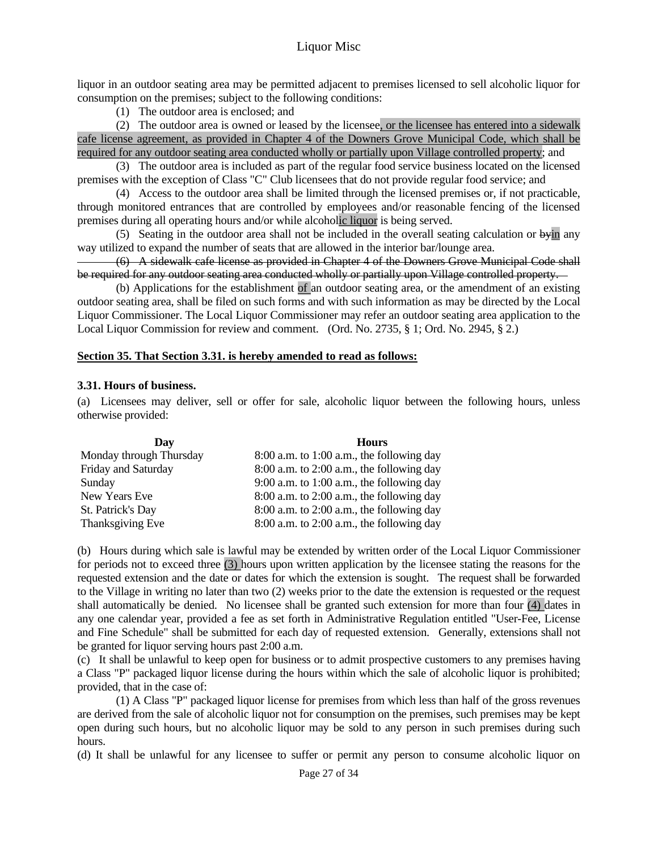liquor in an outdoor seating area may be permitted adjacent to premises licensed to sell alcoholic liquor for consumption on the premises; subject to the following conditions:

(1) The outdoor area is enclosed; and

 (2) The outdoor area is owned or leased by the licensee, or the licensee has entered into a sidewalk cafe license agreement, as provided in Chapter 4 of the Downers Grove Municipal Code, which shall be required for any outdoor seating area conducted wholly or partially upon Village controlled property; and

 (3) The outdoor area is included as part of the regular food service business located on the licensed premises with the exception of Class "C" Club licensees that do not provide regular food service; and

 (4) Access to the outdoor area shall be limited through the licensed premises or, if not practicable, through monitored entrances that are controlled by employees and/or reasonable fencing of the licensed premises during all operating hours and/or while alcoholic liquor is being served.

 (5) Seating in the outdoor area shall not be included in the overall seating calculation or byin any way utilized to expand the number of seats that are allowed in the interior bar/lounge area.

 (6) A sidewalk cafe license as provided in Chapter 4 of the Downers Grove Municipal Code shall be required for any outdoor seating area conducted wholly or partially upon Village controlled property.

 (b) Applications for the establishment of an outdoor seating area, or the amendment of an existing outdoor seating area, shall be filed on such forms and with such information as may be directed by the Local Liquor Commissioner. The Local Liquor Commissioner may refer an outdoor seating area application to the Local Liquor Commission for review and comment. (Ord. No. 2735, § 1; Ord. No. 2945, § 2.)

#### **Section 35. That Section 3.31. is hereby amended to read as follows:**

#### **3.31. Hours of business.**

(a) Licensees may deliver, sell or offer for sale, alcoholic liquor between the following hours, unless otherwise provided:

| Dav                     | <b>Hours</b>                                  |  |  |
|-------------------------|-----------------------------------------------|--|--|
| Monday through Thursday | $8:00$ a.m. to 1:00 a.m., the following day   |  |  |
| Friday and Saturday     | $8:00$ a.m. to $2:00$ a.m., the following day |  |  |
| Sunday                  | 9:00 a.m. to 1:00 a.m., the following day     |  |  |
| New Years Eve           | $8:00$ a.m. to $2:00$ a.m., the following day |  |  |
| St. Patrick's Day       | $8:00$ a.m. to $2:00$ a.m., the following day |  |  |
| Thanksgiving Eve        | $8:00$ a.m. to $2:00$ a.m., the following day |  |  |

(b) Hours during which sale is lawful may be extended by written order of the Local Liquor Commissioner for periods not to exceed three (3) hours upon written application by the licensee stating the reasons for the requested extension and the date or dates for which the extension is sought. The request shall be forwarded to the Village in writing no later than two (2) weeks prior to the date the extension is requested or the request shall automatically be denied. No licensee shall be granted such extension for more than four (4) dates in any one calendar year, provided a fee as set forth in Administrative Regulation entitled "User-Fee, License and Fine Schedule" shall be submitted for each day of requested extension. Generally, extensions shall not be granted for liquor serving hours past 2:00 a.m.

(c) It shall be unlawful to keep open for business or to admit prospective customers to any premises having a Class "P" packaged liquor license during the hours within which the sale of alcoholic liquor is prohibited; provided, that in the case of:

 (1) A Class "P" packaged liquor license for premises from which less than half of the gross revenues are derived from the sale of alcoholic liquor not for consumption on the premises, such premises may be kept open during such hours, but no alcoholic liquor may be sold to any person in such premises during such hours.

(d) It shall be unlawful for any licensee to suffer or permit any person to consume alcoholic liquor on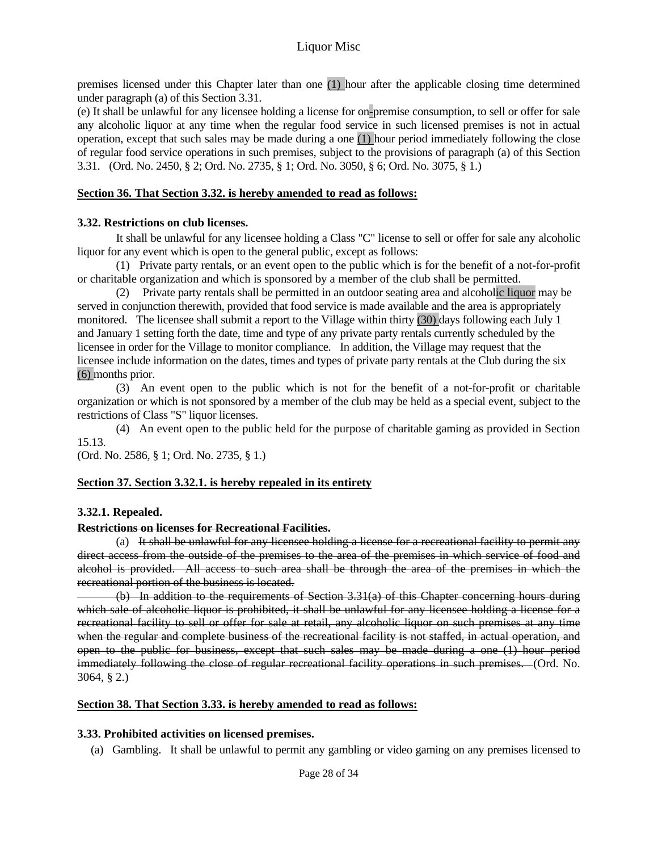premises licensed under this Chapter later than one (1) hour after the applicable closing time determined under paragraph (a) of this Section 3.31.

(e) It shall be unlawful for any licensee holding a license for on-premise consumption, to sell or offer for sale any alcoholic liquor at any time when the regular food service in such licensed premises is not in actual operation, except that such sales may be made during a one (1) hour period immediately following the close of regular food service operations in such premises, subject to the provisions of paragraph (a) of this Section 3.31. (Ord. No. 2450, § 2; Ord. No. 2735, § 1; Ord. No. 3050, § 6; Ord. No. 3075, § 1.)

#### **Section 36. That Section 3.32. is hereby amended to read as follows:**

## **3.32. Restrictions on club licenses.**

 It shall be unlawful for any licensee holding a Class "C" license to sell or offer for sale any alcoholic liquor for any event which is open to the general public, except as follows:

 (1) Private party rentals, or an event open to the public which is for the benefit of a not-for-profit or charitable organization and which is sponsored by a member of the club shall be permitted.

 (2) Private party rentals shall be permitted in an outdoor seating area and alcoholic liquor may be served in conjunction therewith, provided that food service is made available and the area is appropriately monitored. The licensee shall submit a report to the Village within thirty (30) days following each July 1 and January 1 setting forth the date, time and type of any private party rentals currently scheduled by the licensee in order for the Village to monitor compliance. In addition, the Village may request that the licensee include information on the dates, times and types of private party rentals at the Club during the six (6) months prior.

 (3) An event open to the public which is not for the benefit of a not-for-profit or charitable organization or which is not sponsored by a member of the club may be held as a special event, subject to the restrictions of Class "S" liquor licenses.

 (4) An event open to the public held for the purpose of charitable gaming as provided in Section 15.13.

(Ord. No. 2586, § 1; Ord. No. 2735, § 1.)

## **Section 37. Section 3.32.1. is hereby repealed in its entirety**

## **3.32.1. Repealed.**

#### **Restrictions on licenses for Recreational Facilities.**

 (a) It shall be unlawful for any licensee holding a license for a recreational facility to permit any direct access from the outside of the premises to the area of the premises in which service of food and alcohol is provided. All access to such area shall be through the area of the premises in which the recreational portion of the business is located.

 (b) In addition to the requirements of Section 3.31(a) of this Chapter concerning hours during which sale of alcoholic liquor is prohibited, it shall be unlawful for any licensee holding a license for a recreational facility to sell or offer for sale at retail, any alcoholic liquor on such premises at any time when the regular and complete business of the recreational facility is not staffed, in actual operation, and open to the public for business, except that such sales may be made during a one (1) hour period immediately following the close of regular recreational facility operations in such premises. (Ord. No. 3064, § 2.)

#### **Section 38. That Section 3.33. is hereby amended to read as follows:**

## **3.33. Prohibited activities on licensed premises.**

(a) Gambling. It shall be unlawful to permit any gambling or video gaming on any premises licensed to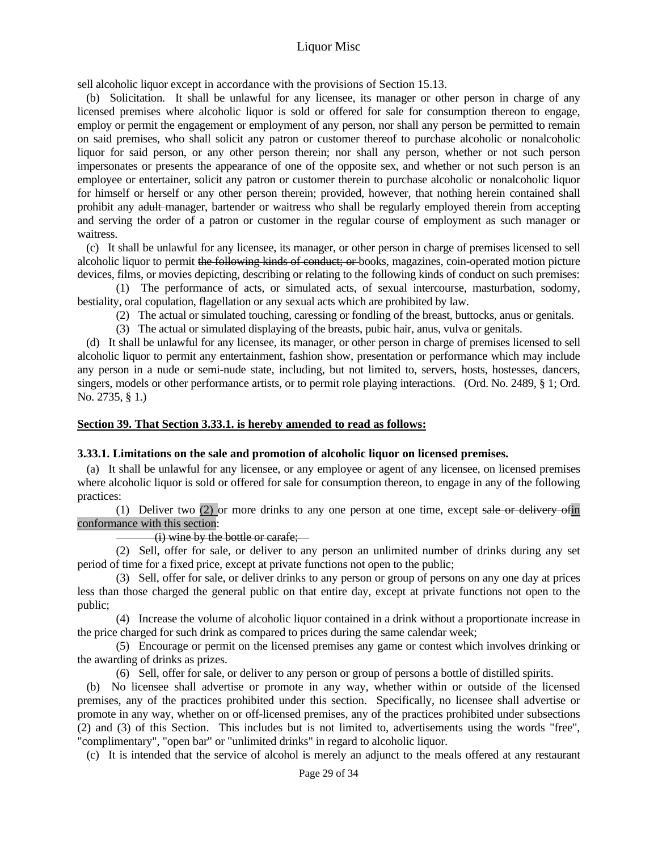sell alcoholic liquor except in accordance with the provisions of Section 15.13.

 (b) Solicitation. It shall be unlawful for any licensee, its manager or other person in charge of any licensed premises where alcoholic liquor is sold or offered for sale for consumption thereon to engage, employ or permit the engagement or employment of any person, nor shall any person be permitted to remain on said premises, who shall solicit any patron or customer thereof to purchase alcoholic or nonalcoholic liquor for said person, or any other person therein; nor shall any person, whether or not such person impersonates or presents the appearance of one of the opposite sex, and whether or not such person is an employee or entertainer, solicit any patron or customer therein to purchase alcoholic or nonalcoholic liquor for himself or herself or any other person therein; provided, however, that nothing herein contained shall prohibit any adult manager, bartender or waitress who shall be regularly employed therein from accepting and serving the order of a patron or customer in the regular course of employment as such manager or waitress.

 (c) It shall be unlawful for any licensee, its manager, or other person in charge of premises licensed to sell alcoholic liquor to permit the following kinds of conduct; or books, magazines, coin-operated motion picture devices, films, or movies depicting, describing or relating to the following kinds of conduct on such premises:

 (1) The performance of acts, or simulated acts, of sexual intercourse, masturbation, sodomy, bestiality, oral copulation, flagellation or any sexual acts which are prohibited by law.

(2) The actual or simulated touching, caressing or fondling of the breast, buttocks, anus or genitals.

(3) The actual or simulated displaying of the breasts, pubic hair, anus, vulva or genitals.

 (d) It shall be unlawful for any licensee, its manager, or other person in charge of premises licensed to sell alcoholic liquor to permit any entertainment, fashion show, presentation or performance which may include any person in a nude or semi-nude state, including, but not limited to, servers, hosts, hostesses, dancers, singers, models or other performance artists, or to permit role playing interactions. (Ord. No. 2489, § 1; Ord. No. 2735, § 1.)

#### **Section 39. That Section 3.33.1. is hereby amended to read as follows:**

#### **3.33.1. Limitations on the sale and promotion of alcoholic liquor on licensed premises.**

 (a) It shall be unlawful for any licensee, or any employee or agent of any licensee, on licensed premises where alcoholic liquor is sold or offered for sale for consumption thereon, to engage in any of the following practices:

 (1) Deliver two (2) or more drinks to any one person at one time, except sale or delivery ofin conformance with this section:

#### (i) wine by the bottle or carafe;

 (2) Sell, offer for sale, or deliver to any person an unlimited number of drinks during any set period of time for a fixed price, except at private functions not open to the public;

 (3) Sell, offer for sale, or deliver drinks to any person or group of persons on any one day at prices less than those charged the general public on that entire day, except at private functions not open to the public;

 (4) Increase the volume of alcoholic liquor contained in a drink without a proportionate increase in the price charged for such drink as compared to prices during the same calendar week;

 (5) Encourage or permit on the licensed premises any game or contest which involves drinking or the awarding of drinks as prizes.

(6) Sell, offer for sale, or deliver to any person or group of persons a bottle of distilled spirits.

 (b) No licensee shall advertise or promote in any way, whether within or outside of the licensed premises, any of the practices prohibited under this section. Specifically, no licensee shall advertise or promote in any way, whether on or off-licensed premises, any of the practices prohibited under subsections (2) and (3) of this Section. This includes but is not limited to, advertisements using the words "free", "complimentary", "open bar" or "unlimited drinks" in regard to alcoholic liquor.

(c) It is intended that the service of alcohol is merely an adjunct to the meals offered at any restaurant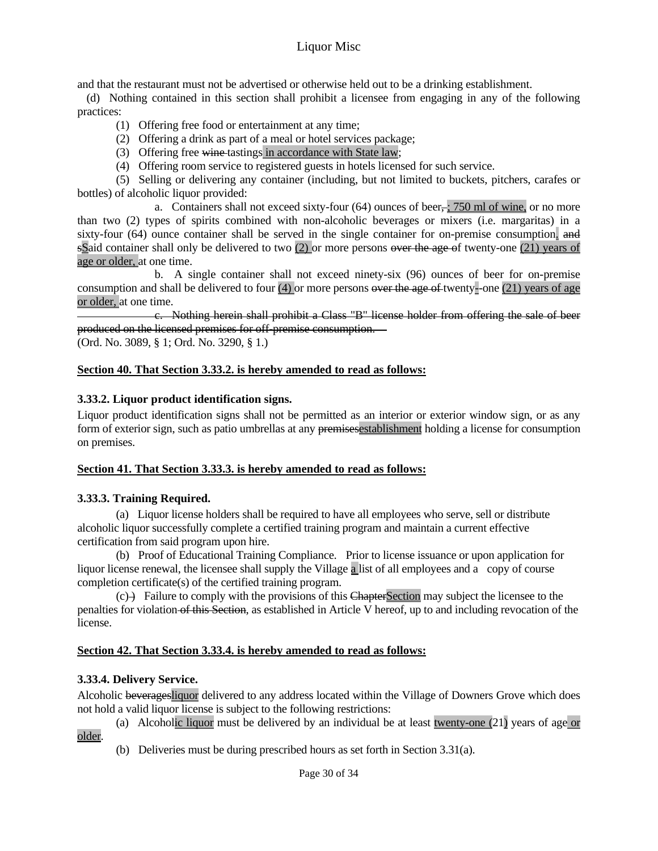and that the restaurant must not be advertised or otherwise held out to be a drinking establishment.

 (d) Nothing contained in this section shall prohibit a licensee from engaging in any of the following practices:

- (1) Offering free food or entertainment at any time;
- (2) Offering a drink as part of a meal or hotel services package;
- (3) Offering free wine tastings in accordance with State law;
- (4) Offering room service to registered guests in hotels licensed for such service.

 (5) Selling or delivering any container (including, but not limited to buckets, pitchers, carafes or bottles) of alcoholic liquor provided:

a. Containers shall not exceed sixty-four  $(64)$  ounces of beer,  $\frac{1}{2}$ ,  $\frac{750 \text{ ml of wine}}{50 \text{ ml of wine}}$ , or no more than two (2) types of spirits combined with non-alcoholic beverages or mixers (i.e. margaritas) in a sixty-four (64) ounce container shall be served in the single container for on-premise consumption. and sSaid container shall only be delivered to two (2) or more persons over the age of twenty-one (21) years of age or older, at one time.

 b. A single container shall not exceed ninety-six (96) ounces of beer for on-premise consumption and shall be delivered to four (4) or more persons  $\overline{\text{over the age of}}$  twenty-one (21) years of age or older, at one time.

 c. Nothing herein shall prohibit a Class "B" license holder from offering the sale of beer produced on the licensed premises for off-premise consumption.

(Ord. No. 3089, § 1; Ord. No. 3290, § 1.)

## **Section 40. That Section 3.33.2. is hereby amended to read as follows:**

## **3.33.2. Liquor product identification signs.**

Liquor product identification signs shall not be permitted as an interior or exterior window sign, or as any form of exterior sign, such as patio umbrellas at any premises establishment holding a license for consumption on premises.

## **Section 41. That Section 3.33.3. is hereby amended to read as follows:**

## **3.33.3. Training Required.**

 (a) Liquor license holders shall be required to have all employees who serve, sell or distribute alcoholic liquor successfully complete a certified training program and maintain a current effective certification from said program upon hire.

 (b) Proof of Educational Training Compliance. Prior to license issuance or upon application for liquor license renewal, the licensee shall supply the Village a list of all employees and a copy of course completion certificate(s) of the certified training program.

 $(c)$  Failure to comply with the provisions of this ChapterSection may subject the licensee to the penalties for violation of this Section, as established in Article V hereof, up to and including revocation of the license.

## **Section 42. That Section 3.33.4. is hereby amended to read as follows:**

## **3.33.4. Delivery Service.**

Alcoholic beveragesliquor delivered to any address located within the Village of Downers Grove which does not hold a valid liquor license is subject to the following restrictions:

 (a) Alcoholic liquor must be delivered by an individual be at least twenty-one (21) years of age or older.

(b) Deliveries must be during prescribed hours as set forth in Section 3.31(a).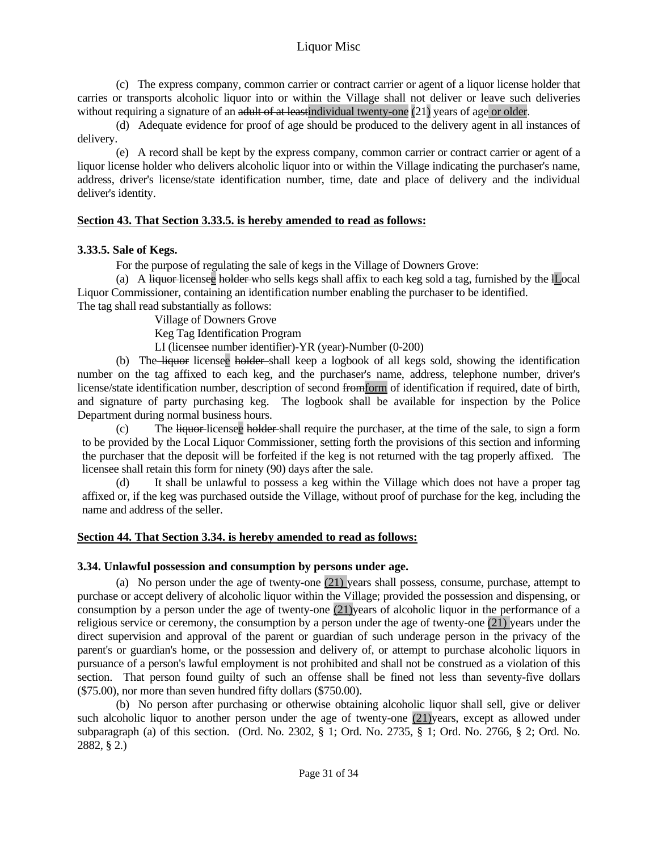(c) The express company, common carrier or contract carrier or agent of a liquor license holder that carries or transports alcoholic liquor into or within the Village shall not deliver or leave such deliveries without requiring a signature of an adult of at least individual twenty-one  $(21)$  years of age or older.

 (d) Adequate evidence for proof of age should be produced to the delivery agent in all instances of delivery.

 (e) A record shall be kept by the express company, common carrier or contract carrier or agent of a liquor license holder who delivers alcoholic liquor into or within the Village indicating the purchaser's name, address, driver's license/state identification number, time, date and place of delivery and the individual deliver's identity.

## **Section 43. That Section 3.33.5. is hereby amended to read as follows:**

## **3.33.5. Sale of Kegs.**

For the purpose of regulating the sale of kegs in the Village of Downers Grove:

(a) A liquor-licensee holder who sells kegs shall affix to each keg sold a tag, furnished by the lLocal Liquor Commissioner, containing an identification number enabling the purchaser to be identified. The tag shall read substantially as follows:

Village of Downers Grove

Keg Tag Identification Program

LI (licensee number identifier)-YR (year)-Number (0-200)

 (b) The liquor licensee holder shall keep a logbook of all kegs sold, showing the identification number on the tag affixed to each keg, and the purchaser's name, address, telephone number, driver's license/state identification number, description of second from form of identification if required, date of birth, and signature of party purchasing keg. The logbook shall be available for inspection by the Police Department during normal business hours.

 (c) The liquor licensee holder shall require the purchaser, at the time of the sale, to sign a form to be provided by the Local Liquor Commissioner, setting forth the provisions of this section and informing the purchaser that the deposit will be forfeited if the keg is not returned with the tag properly affixed. The licensee shall retain this form for ninety (90) days after the sale.

 (d) It shall be unlawful to possess a keg within the Village which does not have a proper tag affixed or, if the keg was purchased outside the Village, without proof of purchase for the keg, including the name and address of the seller.

#### **Section 44. That Section 3.34. is hereby amended to read as follows:**

## **3.34. Unlawful possession and consumption by persons under age.**

 (a) No person under the age of twenty-one (21) years shall possess, consume, purchase, attempt to purchase or accept delivery of alcoholic liquor within the Village; provided the possession and dispensing, or consumption by a person under the age of twenty-one (21)years of alcoholic liquor in the performance of a religious service or ceremony, the consumption by a person under the age of twenty-one (21) years under the direct supervision and approval of the parent or guardian of such underage person in the privacy of the parent's or guardian's home, or the possession and delivery of, or attempt to purchase alcoholic liquors in pursuance of a person's lawful employment is not prohibited and shall not be construed as a violation of this section. That person found guilty of such an offense shall be fined not less than seventy-five dollars (\$75.00), nor more than seven hundred fifty dollars (\$750.00).

 (b) No person after purchasing or otherwise obtaining alcoholic liquor shall sell, give or deliver such alcoholic liquor to another person under the age of twenty-one (21)years, except as allowed under subparagraph (a) of this section. (Ord. No. 2302, § 1; Ord. No. 2735, § 1; Ord. No. 2766, § 2; Ord. No. 2882, § 2.)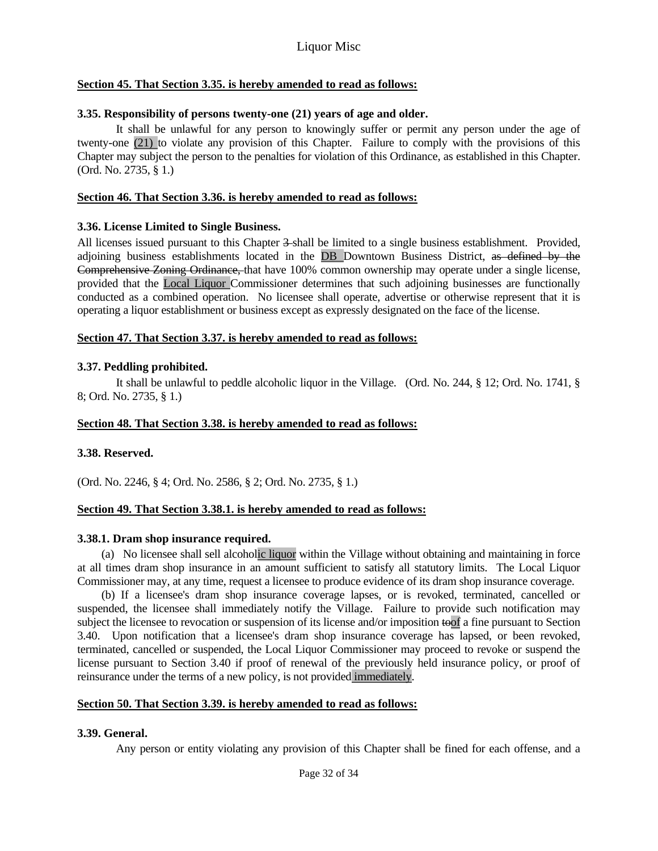## **Section 45. That Section 3.35. is hereby amended to read as follows:**

## **3.35. Responsibility of persons twenty-one (21) years of age and older.**

 It shall be unlawful for any person to knowingly suffer or permit any person under the age of twenty-one (21) to violate any provision of this Chapter. Failure to comply with the provisions of this Chapter may subject the person to the penalties for violation of this Ordinance, as established in this Chapter. (Ord. No. 2735, § 1.)

#### **Section 46. That Section 3.36. is hereby amended to read as follows:**

## **3.36. License Limited to Single Business.**

All licenses issued pursuant to this Chapter 3-shall be limited to a single business establishment. Provided, adjoining business establishments located in the DB Downtown Business District, as defined by the Comprehensive Zoning Ordinance, that have 100% common ownership may operate under a single license, provided that the Local Liquor Commissioner determines that such adjoining businesses are functionally conducted as a combined operation. No licensee shall operate, advertise or otherwise represent that it is operating a liquor establishment or business except as expressly designated on the face of the license.

## **Section 47. That Section 3.37. is hereby amended to read as follows:**

## **3.37. Peddling prohibited.**

 It shall be unlawful to peddle alcoholic liquor in the Village. (Ord. No. 244, § 12; Ord. No. 1741, § 8; Ord. No. 2735, § 1.)

#### **Section 48. That Section 3.38. is hereby amended to read as follows:**

#### **3.38. Reserved.**

(Ord. No. 2246, § 4; Ord. No. 2586, § 2; Ord. No. 2735, § 1.)

#### **Section 49. That Section 3.38.1. is hereby amended to read as follows:**

#### **3.38.1. Dram shop insurance required.**

(a) No licensee shall sell alcoholic liquor within the Village without obtaining and maintaining in force at all times dram shop insurance in an amount sufficient to satisfy all statutory limits. The Local Liquor Commissioner may, at any time, request a licensee to produce evidence of its dram shop insurance coverage.

(b) If a licensee's dram shop insurance coverage lapses, or is revoked, terminated, cancelled or suspended, the licensee shall immediately notify the Village. Failure to provide such notification may subject the licensee to revocation or suspension of its license and/or imposition toof a fine pursuant to Section 3.40. Upon notification that a licensee's dram shop insurance coverage has lapsed, or been revoked, terminated, cancelled or suspended, the Local Liquor Commissioner may proceed to revoke or suspend the license pursuant to Section 3.40 if proof of renewal of the previously held insurance policy, or proof of reinsurance under the terms of a new policy, is not provided immediately.

#### **Section 50. That Section 3.39. is hereby amended to read as follows:**

#### **3.39. General.**

Any person or entity violating any provision of this Chapter shall be fined for each offense, and a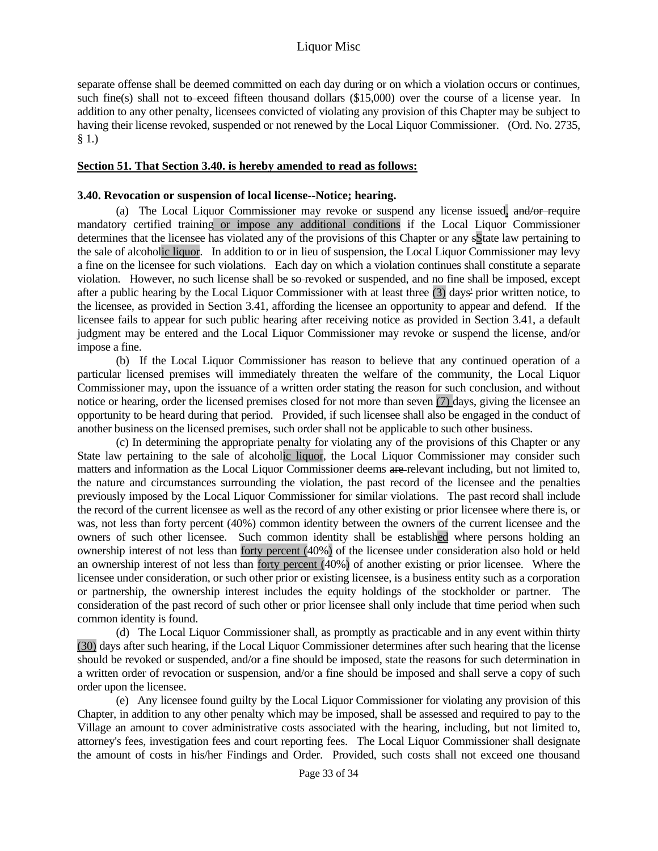separate offense shall be deemed committed on each day during or on which a violation occurs or continues, such fine(s) shall not to exceed fifteen thousand dollars (\$15,000) over the course of a license year. In addition to any other penalty, licensees convicted of violating any provision of this Chapter may be subject to having their license revoked, suspended or not renewed by the Local Liquor Commissioner. (Ord. No. 2735, § 1.)

#### **Section 51. That Section 3.40. is hereby amended to read as follows:**

#### **3.40. Revocation or suspension of local license--Notice; hearing.**

 (a) The Local Liquor Commissioner may revoke or suspend any license issued, and/or require mandatory certified training or impose any additional conditions if the Local Liquor Commissioner determines that the licensee has violated any of the provisions of this Chapter or any sState law pertaining to the sale of alcoholic liquor. In addition to or in lieu of suspension, the Local Liquor Commissioner may levy a fine on the licensee for such violations. Each day on which a violation continues shall constitute a separate violation. However, no such license shall be so-revoked or suspended, and no fine shall be imposed, except after a public hearing by the Local Liquor Commissioner with at least three (3) days' prior written notice, to the licensee, as provided in Section 3.41, affording the licensee an opportunity to appear and defend. If the licensee fails to appear for such public hearing after receiving notice as provided in Section 3.41, a default judgment may be entered and the Local Liquor Commissioner may revoke or suspend the license, and/or impose a fine.

 (b) If the Local Liquor Commissioner has reason to believe that any continued operation of a particular licensed premises will immediately threaten the welfare of the community, the Local Liquor Commissioner may, upon the issuance of a written order stating the reason for such conclusion, and without notice or hearing, order the licensed premises closed for not more than seven (7) days, giving the licensee an opportunity to be heard during that period. Provided, if such licensee shall also be engaged in the conduct of another business on the licensed premises, such order shall not be applicable to such other business.

 (c) In determining the appropriate penalty for violating any of the provisions of this Chapter or any State law pertaining to the sale of alcoholic liquor, the Local Liquor Commissioner may consider such matters and information as the Local Liquor Commissioner deems are relevant including, but not limited to, the nature and circumstances surrounding the violation, the past record of the licensee and the penalties previously imposed by the Local Liquor Commissioner for similar violations. The past record shall include the record of the current licensee as well as the record of any other existing or prior licensee where there is, or was, not less than forty percent (40%) common identity between the owners of the current licensee and the owners of such other licensee. Such common identity shall be established where persons holding an ownership interest of not less than forty percent (40%) of the licensee under consideration also hold or held an ownership interest of not less than forty percent (40%) of another existing or prior licensee. Where the licensee under consideration, or such other prior or existing licensee, is a business entity such as a corporation or partnership, the ownership interest includes the equity holdings of the stockholder or partner. The consideration of the past record of such other or prior licensee shall only include that time period when such common identity is found.

 (d) The Local Liquor Commissioner shall, as promptly as practicable and in any event within thirty (30) days after such hearing, if the Local Liquor Commissioner determines after such hearing that the license should be revoked or suspended, and/or a fine should be imposed, state the reasons for such determination in a written order of revocation or suspension, and/or a fine should be imposed and shall serve a copy of such order upon the licensee.

 (e) Any licensee found guilty by the Local Liquor Commissioner for violating any provision of this Chapter, in addition to any other penalty which may be imposed, shall be assessed and required to pay to the Village an amount to cover administrative costs associated with the hearing, including, but not limited to, attorney's fees, investigation fees and court reporting fees. The Local Liquor Commissioner shall designate the amount of costs in his/her Findings and Order. Provided, such costs shall not exceed one thousand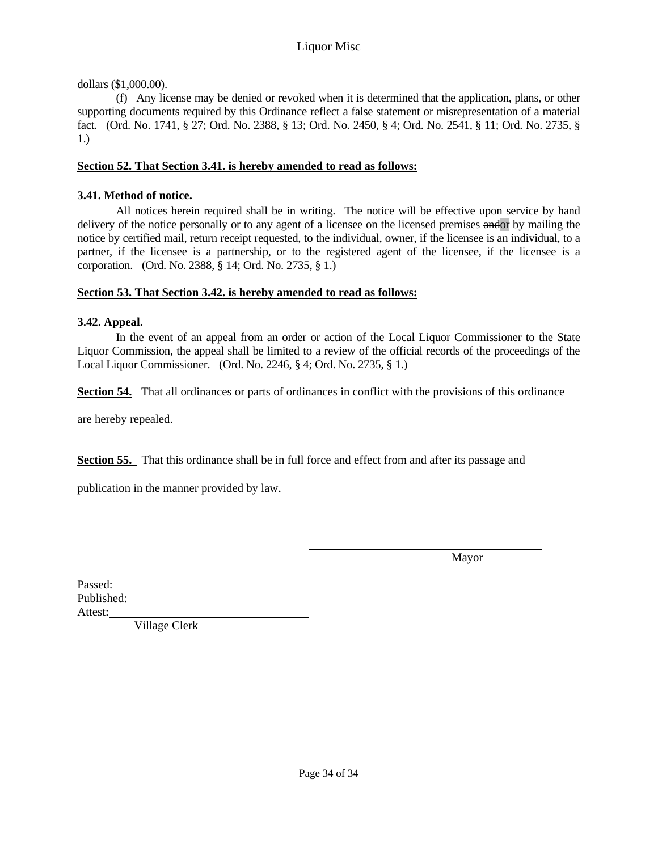dollars (\$1,000.00).

 (f) Any license may be denied or revoked when it is determined that the application, plans, or other supporting documents required by this Ordinance reflect a false statement or misrepresentation of a material fact. (Ord. No. 1741, § 27; Ord. No. 2388, § 13; Ord. No. 2450, § 4; Ord. No. 2541, § 11; Ord. No. 2735, § 1.)

## **Section 52. That Section 3.41. is hereby amended to read as follows:**

## **3.41. Method of notice.**

 All notices herein required shall be in writing. The notice will be effective upon service by hand delivery of the notice personally or to any agent of a licensee on the licensed premises andor by mailing the notice by certified mail, return receipt requested, to the individual, owner, if the licensee is an individual, to a partner, if the licensee is a partnership, or to the registered agent of the licensee, if the licensee is a corporation. (Ord. No. 2388, § 14; Ord. No. 2735, § 1.)

## **Section 53. That Section 3.42. is hereby amended to read as follows:**

## **3.42. Appeal.**

 In the event of an appeal from an order or action of the Local Liquor Commissioner to the State Liquor Commission, the appeal shall be limited to a review of the official records of the proceedings of the Local Liquor Commissioner. (Ord. No. 2246, § 4; Ord. No. 2735, § 1.)

**Section 54.** That all ordinances or parts of ordinances in conflict with the provisions of this ordinance

are hereby repealed.

**Section 55.** That this ordinance shall be in full force and effect from and after its passage and

publication in the manner provided by law.

Mayor

Passed: Published: Attest:

Village Clerk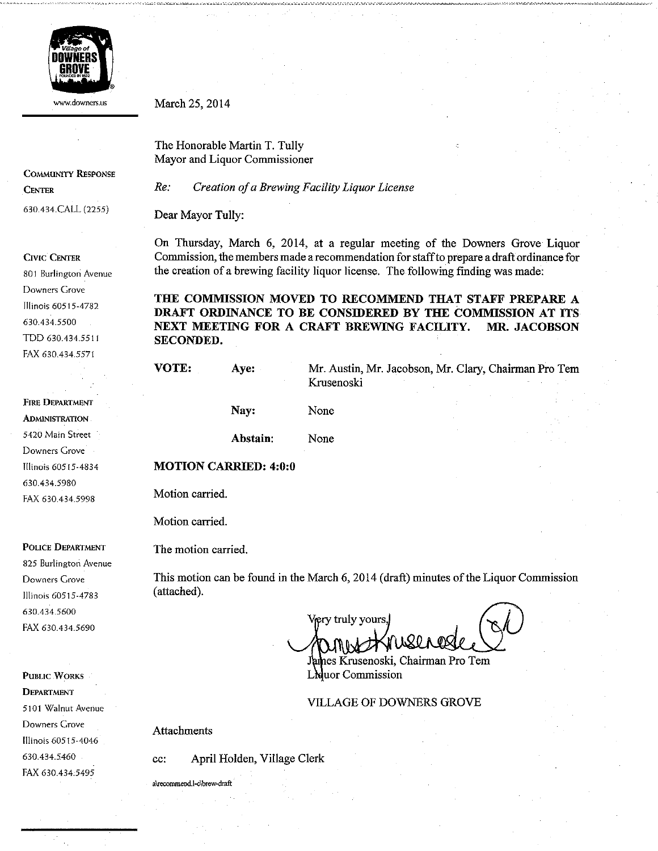

www.downers.us

**COMMUNITY RESPONSE CENTER** 630.434.CALL (2255)

**CIVIC CENTER** 

801 Burlington Avenue Downers Grove Illinois 60515-4782 630.434.5500 TDD 630.434.5511 FAX 630.434.5571

**FIRE DEPARTMENT ADMINISTRATION** 5420 Main Street Downers Grove Illinois 60515-4834 630.434.5980 FAX 630.434.5998

POLICE DEPARTMENT

825 Burlington Avenue Downers Grove Illinois 60515-4783 630.434.5600 FAX 630.434.5690

**PUBLIC WORKS DEPARTMENT** 5101 Walnut Avenue Downers Grove Illinois 60515-4046 630.434.5460 FAX 630.434.5495

March 25, 2014

The Honorable Martin T. Tully Mayor and Liquor Commissioner

 $Re:$ Creation of a Brewing Facility Liquor License

Dear Mayor Tully:

On Thursday, March 6, 2014, at a regular meeting of the Downers Grove Liquor Commission, the members made a recommendation for staff to prepare a draft ordinance for the creation of a brewing facility liquor license. The following finding was made:

THE COMMISSION MOVED TO RECOMMEND THAT STAFF PREPARE A DRAFT ORDINANCE TO BE CONSIDERED BY THE COMMISSION AT ITS NEXT MEETING FOR A CRAFT BREWING FACILITY. MR. JACOBSON SECONDED.

| VOTE: | Ave:                         | Mr. Austin, Mr. Jacobson, Mr. Clary, Chairman Pro Tem<br>Krusenoski |  |  |
|-------|------------------------------|---------------------------------------------------------------------|--|--|
|       | Nay:                         | None                                                                |  |  |
|       | Abstain:                     | None                                                                |  |  |
|       | <b>MOTION CARRIED: 4:0:0</b> |                                                                     |  |  |

Motion carried.

Motion carried.

The motion carried.

This motion can be found in the March 6, 2014 (draft) minutes of the Liquor Commission (attached).

Vjery truly yours. James Krusenoski, Chairman Pro Tem

L'ouor Commission

**VILLAGE OF DOWNERS GROVE** 

**Attachments** 

April Holden, Village Clerk cc:

a\recommend.l-c\brew-draft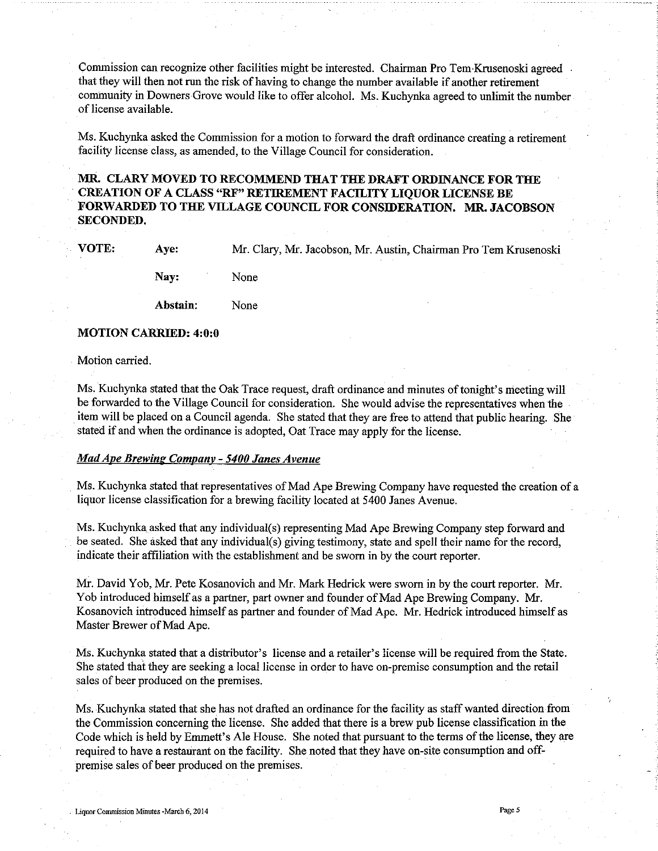Commission can recognize other facilities might be interested. Chairman Pro Tem Krusenoski agreed that they will then not run the risk of having to change the number available if another retirement community in Downers Grove would like to offer alcohol. Ms. Kuchynka agreed to unlimit the number of license available.

Ms. Kuchynka asked the Commission for a motion to forward the draft ordinance creating a retirement facility license class, as amended, to the Village Council for consideration.

#### MR. CLARY MOVED TO RECOMMEND THAT THE DRAFT ORDINANCE FOR THE **CREATION OF A CLASS "RF" RETIREMENT FACILITY LIOUOR LICENSE BE** FORWARDED TO THE VILLAGE COUNCIL FOR CONSIDERATION. MR. JACOBSON **SECONDED.**

VOTE:

Mr. Clary, Mr. Jacobson, Mr. Austin, Chairman Pro Tem Krusenoski

Nay: None

Abstain: None

#### **MOTION CARRIED: 4:0:0**

Ave:

Motion carried.

Ms. Kuchynka stated that the Oak Trace request, draft ordinance and minutes of tonight's meeting will be forwarded to the Village Council for consideration. She would advise the representatives when the item will be placed on a Council agenda. She stated that they are free to attend that public hearing. She stated if and when the ordinance is adopted, Oat Trace may apply for the license.

#### **Mad Ape Brewing Company - 5400 Janes Avenue**

Ms. Kuchynka stated that representatives of Mad Ape Brewing Company have requested the creation of a liquor license classification for a brewing facility located at 5400 Janes Avenue.

Ms. Kuchynka asked that any individual(s) representing Mad Ape Brewing Company step forward and be seated. She asked that any individual(s) giving testimony, state and spell their name for the record, indicate their affiliation with the establishment and be sworn in by the court reporter.

Mr. David Yob, Mr. Pete Kosanovich and Mr. Mark Hedrick were sworn in by the court reporter. Mr. Yob introduced himself as a partner, part owner and founder of Mad Ape Brewing Company. Mr. Kosanovich introduced himself as partner and founder of Mad Ape. Mr. Hedrick introduced himself as Master Brewer of Mad Ape.

Ms. Kuchynka stated that a distributor's license and a retailer's license will be required from the State. She stated that they are seeking a local license in order to have on-premise consumption and the retail sales of beer produced on the premises.

Ms. Kuchynka stated that she has not drafted an ordinance for the facility as staff wanted direction from the Commission concerning the license. She added that there is a brew pub license classification in the Code which is held by Emmett's Ale House. She noted that pursuant to the terms of the license, they are required to have a restaurant on the facility. She noted that they have on-site consumption and offpremise sales of beer produced on the premises.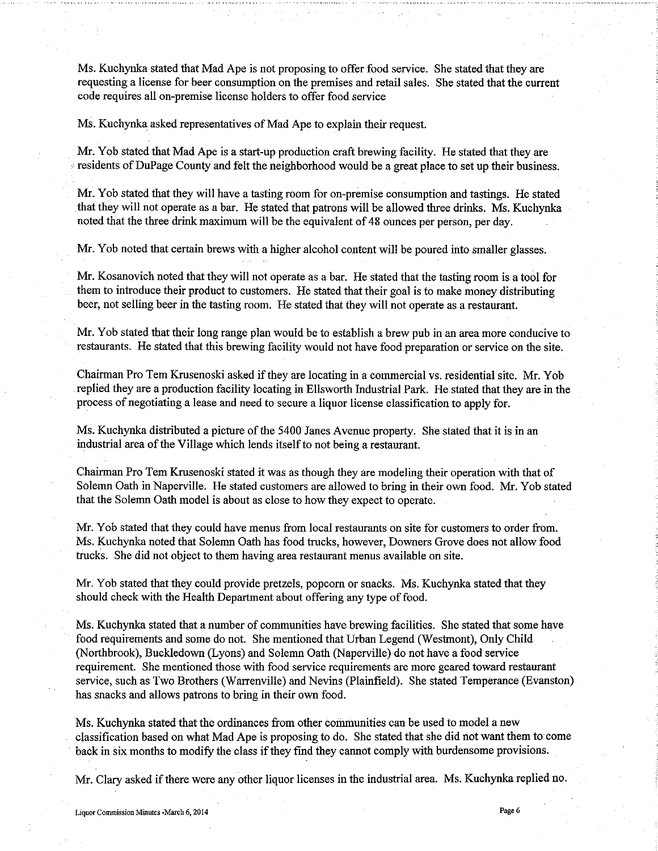Ms. Kuchynka stated that Mad Ape is not proposing to offer food service. She stated that they are requesting a license for beer consumption on the premises and retail sales. She stated that the current code requires all on-premise license holders to offer food service

Ms. Kuchynka asked representatives of Mad Ape to explain their request.

Mr. Yob stated that Mad Ape is a start-up production craft brewing facility. He stated that they are residents of DuPage County and felt the neighborhood would be a great place to set up their business.

Mr. Yob stated that they will have a tasting room for on-premise consumption and tastings. He stated that they will not operate as a bar. He stated that patrons will be allowed three drinks. Ms. Kuchynka noted that the three drink maximum will be the equivalent of 48 ounces per person, per day.

Mr. Yob noted that certain brews with a higher alcohol content will be poured into smaller glasses.

Mr. Kosanovich noted that they will not operate as a bar. He stated that the tasting room is a tool for them to introduce their product to customers. He stated that their goal is to make money distributing beer, not selling beer in the tasting room. He stated that they will not operate as a restaurant.

Mr. Yob stated that their long range plan would be to establish a brew pub in an area more conducive to restaurants. He stated that this brewing facility would not have food preparation or service on the site.

Chairman Pro Tem Krusenoski asked if they are locating in a commercial vs. residential site. Mr. Yob replied they are a production facility locating in Ellsworth Industrial Park. He stated that they are in the process of negotiating a lease and need to secure a liquor license classification to apply for.

Ms. Kuchynka distributed a picture of the 5400 Janes Avenue property. She stated that it is in an industrial area of the Village which lends itself to not being a restaurant.

Chairman Pro Tem Krusenoski stated it was as though they are modeling their operation with that of Solemn Oath in Naperville. He stated customers are allowed to bring in their own food. Mr. Yob stated that the Solemn Oath model is about as close to how they expect to operate.

Mr. Yob stated that they could have menus from local restaurants on site for customers to order from. Ms. Kuchynka noted that Solemn Oath has food trucks, however, Downers Grove does not allow food trucks. She did not object to them having area restaurant menus available on site.

Mr. Yob stated that they could provide pretzels, popcorn or snacks. Ms. Kuchynka stated that they should check with the Health Department about offering any type of food.

Ms. Kuchynka stated that a number of communities have brewing facilities. She stated that some have food requirements and some do not. She mentioned that Urban Legend (Westmont), Only Child (Northbrook), Buckledown (Lyons) and Solemn Oath (Naperville) do not have a food service requirement. She mentioned those with food service requirements are more geared toward restaurant service, such as Two Brothers (Warrenville) and Nevins (Plainfield). She stated Temperance (Evanston) has snacks and allows patrons to bring in their own food.

Ms. Kuchynka stated that the ordinances from other communities can be used to model a new classification based on what Mad Ape is proposing to do. She stated that she did not want them to come back in six months to modify the class if they find they cannot comply with burdensome provisions.

Mr. Clary asked if there were any other liquor licenses in the industrial area. Ms. Kuchynka replied no.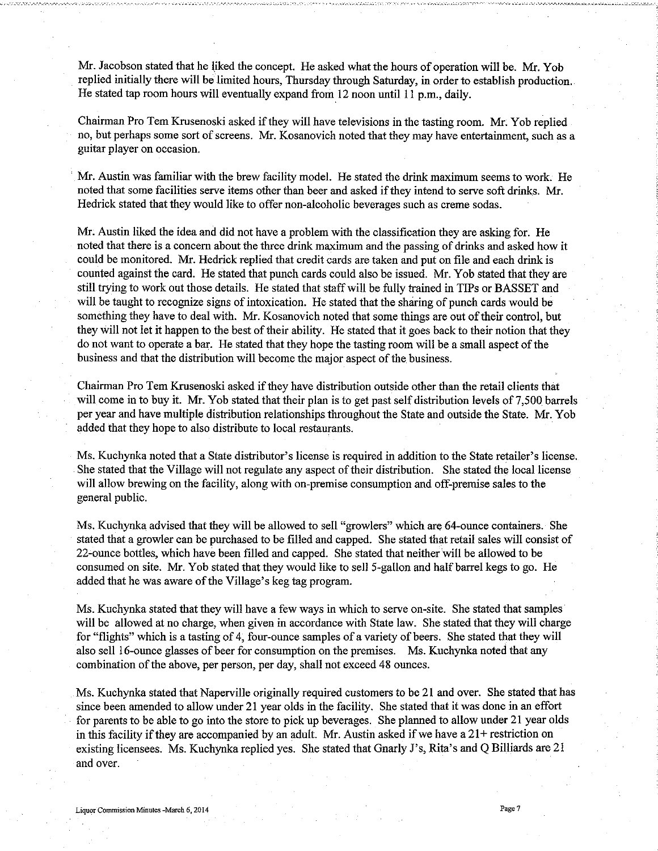Mr. Jacobson stated that he liked the concept. He asked what the hours of operation will be. Mr. Yob replied initially there will be limited hours, Thursday through Saturday, in order to establish production. He stated tap room hours will eventually expand from 12 noon until 11 p.m., daily.

Chairman Pro Tem Krusenoski asked if they will have televisions in the tasting room. Mr. Yob replied no, but perhaps some sort of screens. Mr. Kosanovich noted that they may have entertainment, such as a guitar player on occasion.

Mr. Austin was familiar with the brew facility model. He stated the drink maximum seems to work. He noted that some facilities serve items other than beer and asked if they intend to serve soft drinks. Mr. Hedrick stated that they would like to offer non-alcoholic beverages such as creme sodas.

Mr. Austin liked the idea and did not have a problem with the classification they are asking for. He noted that there is a concern about the three drink maximum and the passing of drinks and asked how it could be monitored. Mr. Hedrick replied that credit cards are taken and put on file and each drink is counted against the card. He stated that punch cards could also be issued. Mr. Yob stated that they are still trying to work out those details. He stated that staff will be fully trained in TIPs or BASSET and will be taught to recognize signs of intoxication. He stated that the sharing of punch cards would be something they have to deal with. Mr. Kosanovich noted that some things are out of their control, but they will not let it happen to the best of their ability. He stated that it goes back to their notion that they do not want to operate a bar. He stated that they hope the tasting room will be a small aspect of the business and that the distribution will become the major aspect of the business.

Chairman Pro Tem Krusenoski asked if they have distribution outside other than the retail clients that will come in to buy it. Mr. Yob stated that their plan is to get past self distribution levels of 7,500 barrels per year and have multiple distribution relationships throughout the State and outside the State. Mr. Yob added that they hope to also distribute to local restaurants.

Ms. Kuchynka noted that a State distributor's license is required in addition to the State retailer's license. She stated that the Village will not regulate any aspect of their distribution. She stated the local license will allow brewing on the facility, along with on-premise consumption and off-premise sales to the general public.

Ms. Kuchynka advised that they will be allowed to sell "growlers" which are 64-ounce containers. She stated that a growler can be purchased to be filled and capped. She stated that retail sales will consist of 22-ounce bottles, which have been filled and capped. She stated that neither will be allowed to be consumed on site. Mr. Yob stated that they would like to sell 5-gallon and half barrel kegs to go. He added that he was aware of the Village's keg tag program.

Ms. Kuchynka stated that they will have a few ways in which to serve on-site. She stated that samples will be allowed at no charge, when given in accordance with State law. She stated that they will charge for "flights" which is a tasting of 4, four-ounce samples of a variety of beers. She stated that they will also sell 16-ounce glasses of beer for consumption on the premises. Ms. Kuchynka noted that any combination of the above, per person, per day, shall not exceed 48 ounces.

Ms. Kuchynka stated that Naperville originally required customers to be 21 and over. She stated that has since been amended to allow under 21 year olds in the facility. She stated that it was done in an effort for parents to be able to go into the store to pick up beverages. She planned to allow under 21 year olds in this facility if they are accompanied by an adult. Mr. Austin asked if we have a  $21+$  restriction on existing licensees. Ms. Kuchynka replied yes. She stated that Gnarly J's, Rita's and Q Billiards are 21 and over.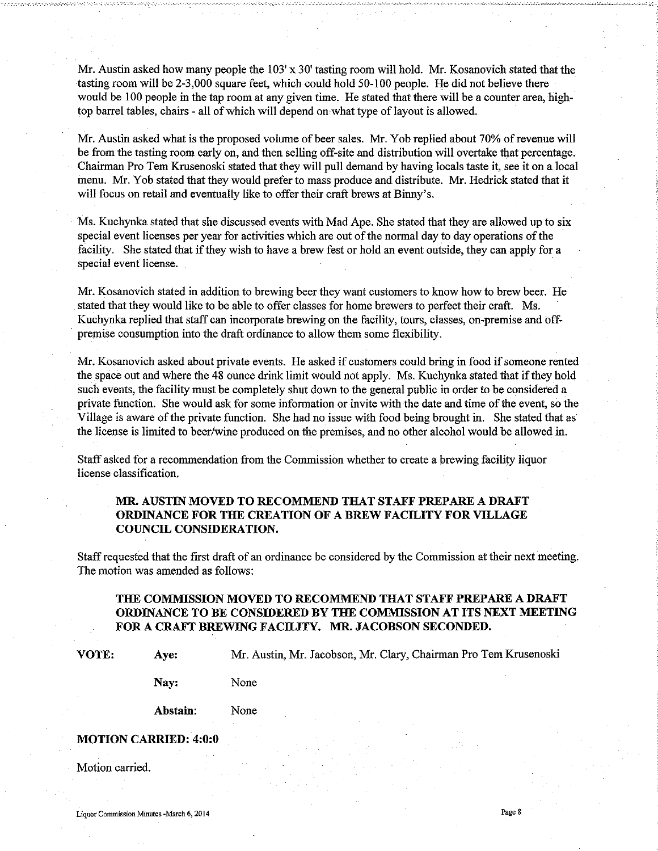Mr. Austin asked how many people the  $103'$  x 30' tasting room will hold. Mr. Kosanovich stated that the tasting room will be 2-3,000 square feet, which could hold 50-100 people. He did not believe there would be 100 people in the tap room at any given time. He stated that there will be a counter area, hightop barrel tables, chairs - all of which will depend on what type of layout is allowed.

Mr. Austin asked what is the proposed volume of beer sales. Mr. Yob replied about 70% of revenue will be from the tasting room early on, and then selling off-site and distribution will overtake that percentage. Chairman Pro Tem Krusenoski stated that they will pull demand by having locals taste it, see it on a local menu. Mr. Yob stated that they would prefer to mass produce and distribute. Mr. Hedrick stated that it will focus on retail and eventually like to offer their craft brews at Binny's.

Ms. Kuchynka stated that she discussed events with Mad Ape. She stated that they are allowed up to six special event licenses per year for activities which are out of the normal day to day operations of the facility. She stated that if they wish to have a brew fest or hold an event outside, they can apply for a special event license.

Mr. Kosanovich stated in addition to brewing beer they want customers to know how to brew beer. He stated that they would like to be able to offer classes for home brewers to perfect their craft. Ms. Kuchynka replied that staff can incorporate brewing on the facility, tours, classes, on-premise and offpremise consumption into the draft ordinance to allow them some flexibility.

Mr. Kosanovich asked about private events. He asked if customers could bring in food if someone rented the space out and where the 48 ounce drink limit would not apply. Ms. Kuchynka stated that if they hold such events, the facility must be completely shut down to the general public in order to be considered a private function. She would ask for some information or invite with the date and time of the event, so the Village is aware of the private function. She had no issue with food being brought in. She stated that as the license is limited to beer/wine produced on the premises, and no other alcohol would be allowed in.

Staff asked for a recommendation from the Commission whether to create a brewing facility liquor license classification.

#### MR. AUSTIN MOVED TO RECOMMEND THAT STAFF PREPARE A DRAFT ORDINANCE FOR THE CREATION OF A BREW FACILITY FOR VILLAGE COUNCIL CONSIDERATION.

Staff requested that the first draft of an ordinance be considered by the Commission at their next meeting. The motion was amended as follows:

#### THE COMMISSION MOVED TO RECOMMEND THAT STAFF PREPARE A DRAFT ORDINANCE TO BE CONSIDERED BY THE COMMISSION AT ITS NEXT MEETING FOR A CRAFT BREWING FACILITY. MR. JACOBSON SECONDED.

VOTE:

Mr. Austin, Mr. Jacobson, Mr. Clary, Chairman Pro Tem Krusenoski

Nay: None

Abstain: None

#### **MOTION CARRIED: 4:0:0**

Aye:

Motion carried.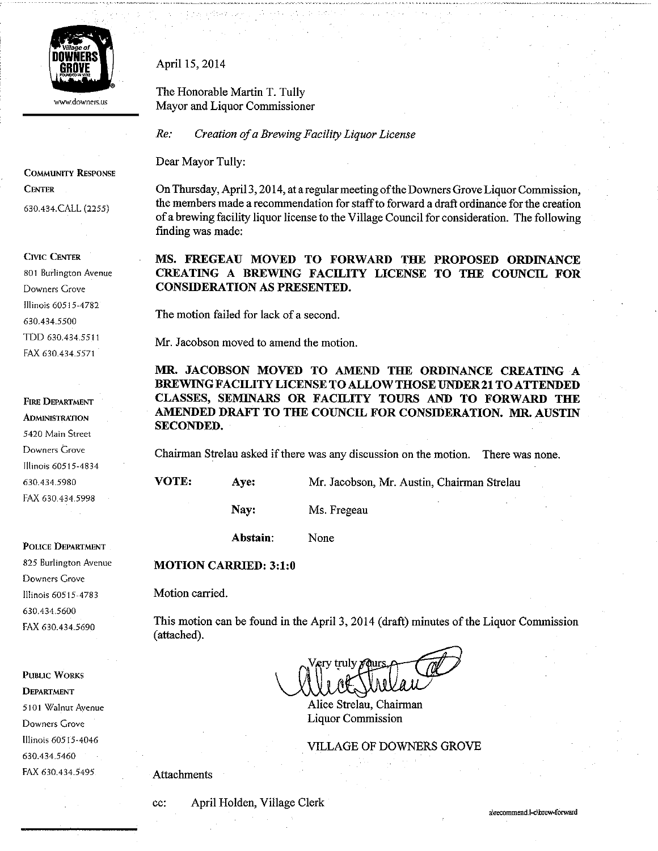

www.downers.us

**COMMUNITY RESPONSE CENTER** 

630.434.CALL (2255)

**CIVIC CENTER** 

801 Burlington Avenue Downers Grove Illinois 60515-4782 630.434.5500 TDD 630.434.5511 FAX 630.434.5571

**FIRE DEPARTMENT ADMINISTRATION** 5420 Main Street Downers Grove Illinois 60515-4834 630.434.5980 FAX 630.434.5998

POLICE DEPARTMENT

825 Burlington Avenue Downers Grove Illinois 60515-4783 630.434.5600 FAX 630.434.5690

**PUBLIC WORKS DEPARTMENT** 5101 Walnut Avenue Downers Grove Illinois 60515-4046 630.434.5460 FAX 630.434.5495

April 15, 2014

The Honorable Martin T. Tully Mayor and Liquor Commissioner

 $Re:$ Creation of a Brewing Facility Liquor License

Dear Mayor Tully:

On Thursday, April 3, 2014, at a regular meeting of the Downers Grove Liquor Commission. the members made a recommendation for staff to forward a draft ordinance for the creation of a brewing facility liquor license to the Village Council for consideration. The following finding was made:

MS. FREGEAU MOVED TO FORWARD THE PROPOSED ORDINANCE CREATING A BREWING FACILITY LICENSE TO THE COUNCIL FOR **CONSIDERATION AS PRESENTED.** 

The motion failed for lack of a second.

Mr. Jacobson moved to amend the motion.

MR. JACOBSON MOVED TO AMEND THE ORDINANCE CREATING A **BREWING FACILITY LICENSE TO ALLOW THOSE UNDER 21 TO ATTENDED** CLASSES, SEMINARS OR FACILITY TOURS AND TO FORWARD THE AMENDED DRAFT TO THE COUNCIL FOR CONSIDERATION. MR. AUSTIN **SECONDED.** 

Chairman Strelau asked if there was any discussion on the motion. There was none.

VOTE: Aye: Mr. Jacobson, Mr. Austin, Chairman Strelau

Nay:

Ms. Fregeau

Abstain: None

#### **MOTION CARRIED: 3:1:0**

Motion carried.

This motion can be found in the April 3, 2014 (draft) minutes of the Liquor Commission (attached).

ery truly

Alice Strelau, Chairman **Liquor Commission** 

**VILLAGE OF DOWNERS GROVE** 

Attachments

cc:

April Holden, Village Clerk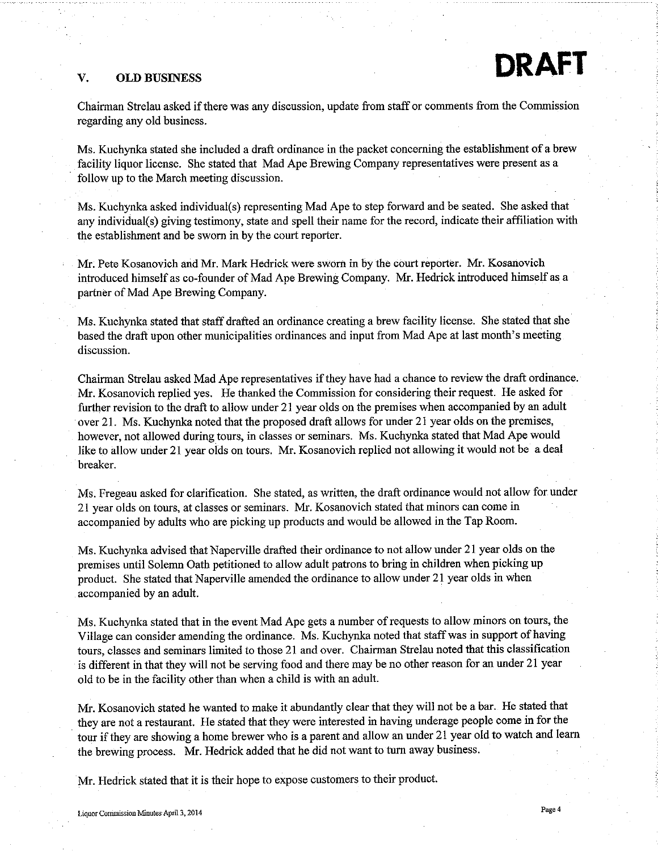#### V. **OLD BUSINESS**

Chairman Strelau asked if there was any discussion, update from staff or comments from the Commission regarding any old business.

Ms. Kuchynka stated she included a draft ordinance in the packet concerning the establishment of a brew facility liquor license. She stated that Mad Ape Brewing Company representatives were present as a follow up to the March meeting discussion.

Ms. Kuchynka asked individual(s) representing Mad Ape to step forward and be seated. She asked that any individual(s) giving testimony, state and spell their name for the record, indicate their affiliation with the establishment and be sworn in by the court reporter.

Mr. Pete Kosanovich and Mr. Mark Hedrick were sworn in by the court reporter. Mr. Kosanovich introduced himself as co-founder of Mad Ape Brewing Company. Mr. Hedrick introduced himself as a partner of Mad Ape Brewing Company.

Ms. Kuchynka stated that staff drafted an ordinance creating a brew facility license. She stated that she based the draft upon other municipalities ordinances and input from Mad Ape at last month's meeting discussion.

Chairman Strelau asked Mad Ape representatives if they have had a chance to review the draft ordinance. Mr. Kosanovich replied yes. He thanked the Commission for considering their request. He asked for further revision to the draft to allow under 21 year olds on the premises when accompanied by an adult over 21. Ms. Kuchynka noted that the proposed draft allows for under 21 year olds on the premises, however, not allowed during tours, in classes or seminars. Ms. Kuchynka stated that Mad Ape would like to allow under 21 year olds on tours. Mr. Kosanovich replied not allowing it would not be a deal breaker.

Ms. Fregeau asked for clarification. She stated, as written, the draft ordinance would not allow for under 21 year olds on tours, at classes or seminars. Mr. Kosanovich stated that minors can come in accompanied by adults who are picking up products and would be allowed in the Tap Room.

Ms. Kuchynka advised that Naperville drafted their ordinance to not allow under 21 year olds on the premises until Solemn Oath petitioned to allow adult patrons to bring in children when picking up product. She stated that Naperville amended the ordinance to allow under 21 year olds in when accompanied by an adult.

Ms. Kuchynka stated that in the event Mad Ape gets a number of requests to allow minors on tours, the Village can consider amending the ordinance. Ms. Kuchynka noted that staff was in support of having tours, classes and seminars limited to those 21 and over. Chairman Strelau noted that this classification is different in that they will not be serving food and there may be no other reason for an under 21 year old to be in the facility other than when a child is with an adult.

Mr. Kosanovich stated he wanted to make it abundantly clear that they will not be a bar. He stated that they are not a restaurant. He stated that they were interested in having underage people come in for the tour if they are showing a home brewer who is a parent and allow an under 21 year old to watch and learn the brewing process. Mr. Hedrick added that he did not want to turn away business.

Mr. Hedrick stated that it is their hope to expose customers to their product.

Page 4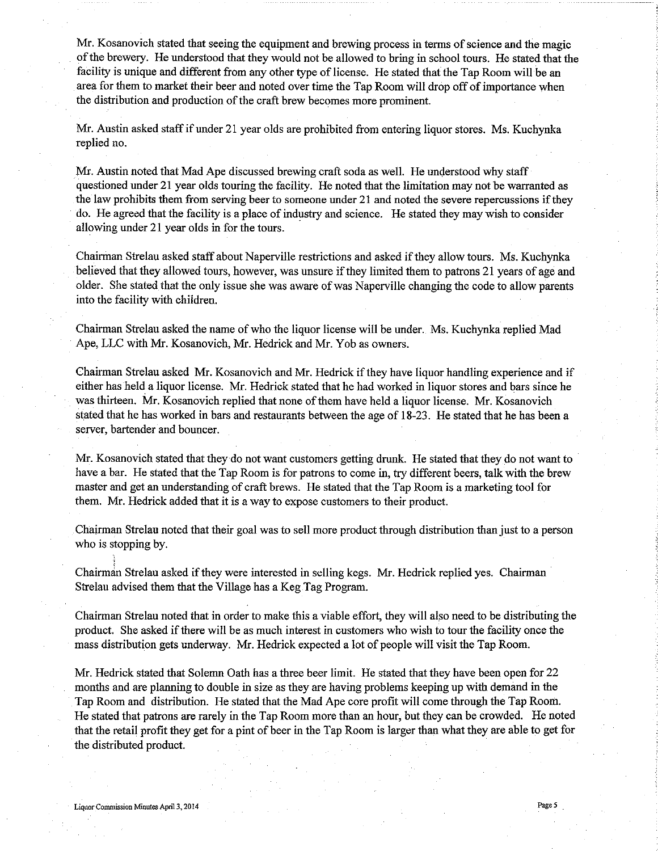Mr. Kosanovich stated that seeing the equipment and brewing process in terms of science and the magic of the brewery. He understood that they would not be allowed to bring in school tours. He stated that the facility is unique and different from any other type of license. He stated that the Tap Room will be an area for them to market their beer and noted over time the Tap Room will drop off of importance when the distribution and production of the craft brew becomes more prominent.

Mr. Austin asked staff if under 21 year olds are prohibited from entering liquor stores. Ms. Kuchynka replied no.

Mr. Austin noted that Mad Ape discussed brewing craft soda as well. He understood why staff questioned under 21 year olds touring the facility. He noted that the limitation may not be warranted as the law prohibits them from serving beer to someone under 21 and noted the severe repercussions if they do. He agreed that the facility is a place of industry and science. He stated they may wish to consider allowing under 21 year olds in for the tours.

Chairman Strelau asked staff about Naperville restrictions and asked if they allow tours. Ms. Kuchynka believed that they allowed tours, however, was unsure if they limited them to patrons 21 years of age and older. She stated that the only issue she was aware of was Naperville changing the code to allow parents into the facility with children.

Chairman Strelau asked the name of who the liquor license will be under. Ms. Kuchynka replied Mad Ape, LLC with Mr. Kosanovich, Mr. Hedrick and Mr. Yob as owners.

Chairman Strelau asked Mr. Kosanovich and Mr. Hedrick if they have liquor handling experience and if either has held a liquor license. Mr. Hedrick stated that he had worked in liquor stores and bars since he was thirteen. Mr. Kosanovich replied that none of them have held a liquor license. Mr. Kosanovich stated that he has worked in bars and restaurants between the age of 18-23. He stated that he has been a server, bartender and bouncer.

Mr. Kosanovich stated that they do not want customers getting drunk. He stated that they do not want to have a bar. He stated that the Tap Room is for patrons to come in, try different beers, talk with the brew master and get an understanding of craft brews. He stated that the Tap Room is a marketing tool for them. Mr. Hedrick added that it is a way to expose customers to their product.

Chairman Strelau noted that their goal was to sell more product through distribution than just to a person who is stopping by.

Chairman Strelau asked if they were interested in selling kegs. Mr. Hedrick replied yes. Chairman Strelau advised them that the Village has a Keg Tag Program.

Chairman Strelau noted that in order to make this a viable effort, they will also need to be distributing the product. She asked if there will be as much interest in customers who wish to tour the facility once the mass distribution gets underway. Mr. Hedrick expected a lot of people will visit the Tap Room.

Mr. Hedrick stated that Solemn Oath has a three beer limit. He stated that they have been open for 22 months and are planning to double in size as they are having problems keeping up with demand in the Tap Room and distribution. He stated that the Mad Ape core profit will come through the Tap Room. He stated that patrons are rarely in the Tap Room more than an hour, but they can be crowded. He noted that the retail profit they get for a pint of beer in the Tap Room is larger than what they are able to get for the distributed product.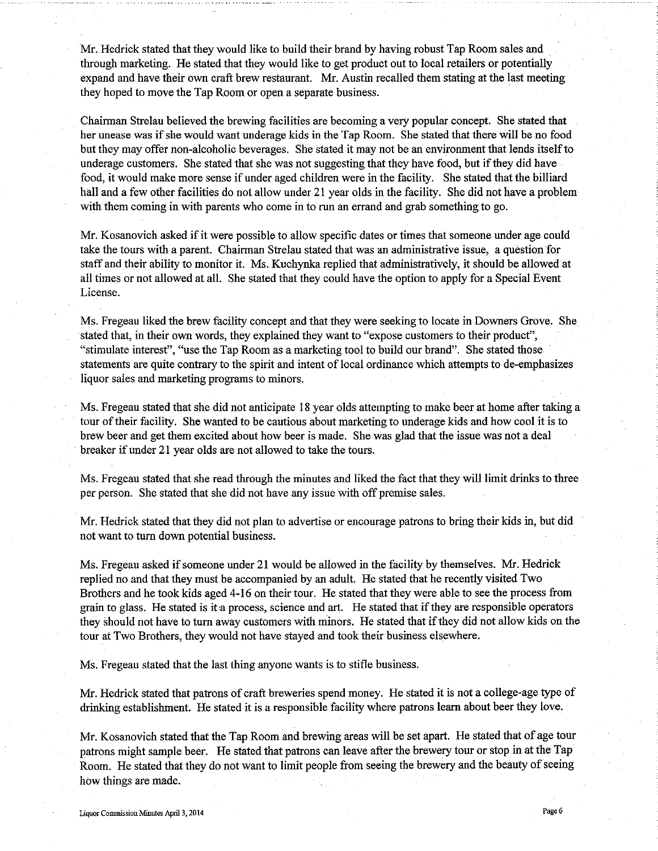Mr. Hedrick stated that they would like to build their brand by having robust Tap Room sales and through marketing. He stated that they would like to get product out to local retailers or potentially expand and have their own craft brew restaurant. Mr. Austin recalled them stating at the last meeting they hoped to move the Tap Room or open a separate business.

Chairman Strelau believed the brewing facilities are becoming a very popular concept. She stated that her unease was if she would want underage kids in the Tap Room. She stated that there will be no food but they may offer non-alcoholic beverages. She stated it may not be an environment that lends itself to underage customers. She stated that she was not suggesting that they have food, but if they did have food, it would make more sense if under aged children were in the facility. She stated that the billiard hall and a few other facilities do not allow under 21 year olds in the facility. She did not have a problem with them coming in with parents who come in to run an errand and grab something to go.

Mr. Kosanovich asked if it were possible to allow specific dates or times that someone under age could take the tours with a parent. Chairman Strelau stated that was an administrative issue, a question for staff and their ability to monitor it. Ms. Kuchynka replied that administratively, it should be allowed at all times or not allowed at all. She stated that they could have the option to apply for a Special Event License.

Ms. Fregeau liked the brew facility concept and that they were seeking to locate in Downers Grove. She stated that, in their own words, they explained they want to "expose customers to their product", "stimulate interest", "use the Tap Room as a marketing tool to build our brand". She stated those statements are quite contrary to the spirit and intent of local ordinance which attempts to de-emphasizes liquor sales and marketing programs to minors.

Ms. Fregeau stated that she did not anticipate 18 year olds attempting to make beer at home after taking a tour of their facility. She wanted to be cautious about marketing to underage kids and how cool it is to brew beer and get them excited about how beer is made. She was glad that the issue was not a deal breaker if under 21 year olds are not allowed to take the tours.

Ms. Fregeau stated that she read through the minutes and liked the fact that they will limit drinks to three per person. She stated that she did not have any issue with off premise sales.

Mr. Hedrick stated that they did not plan to advertise or encourage patrons to bring their kids in, but did not want to turn down potential business.

Ms. Fregeau asked if someone under 21 would be allowed in the facility by themselves. Mr. Hedrick replied no and that they must be accompanied by an adult. He stated that he recently visited Two Brothers and he took kids aged 4-16 on their tour. He stated that they were able to see the process from grain to glass. He stated is it a process, science and art. He stated that if they are responsible operators they should not have to turn away customers with minors. He stated that if they did not allow kids on the tour at Two Brothers, they would not have stayed and took their business elsewhere.

Ms. Fregeau stated that the last thing anyone wants is to stifle business.

Mr. Hedrick stated that patrons of craft breweries spend money. He stated it is not a college-age type of drinking establishment. He stated it is a responsible facility where patrons learn about beer they love.

Mr. Kosanovich stated that the Tap Room and brewing areas will be set apart. He stated that of age tour patrons might sample beer. He stated that patrons can leave after the brewery tour or stop in at the Tap Room. He stated that they do not want to limit people from seeing the brewery and the beauty of seeing how things are made.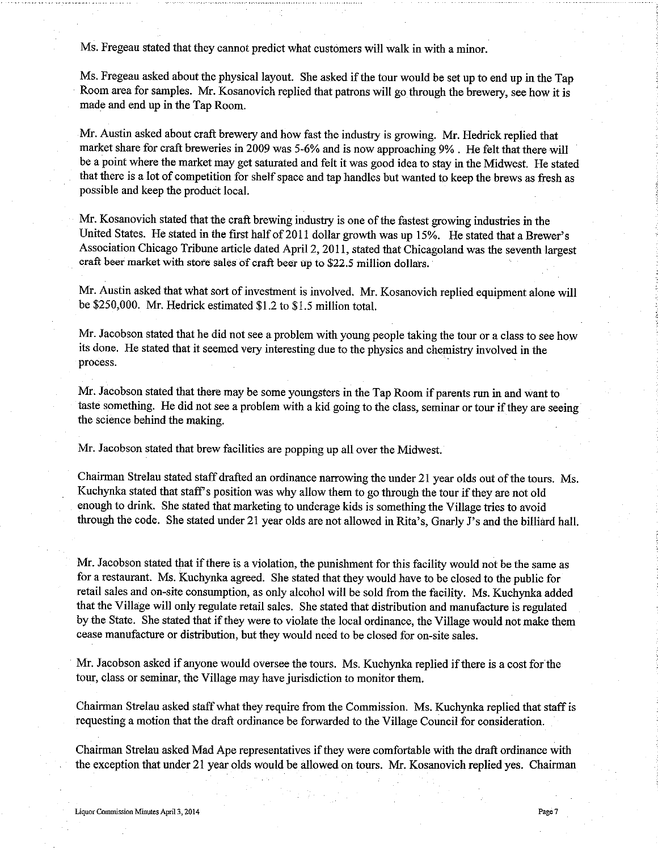Ms. Fregeau stated that they cannot predict what customers will walk in with a minor.

Ms. Fregeau asked about the physical layout. She asked if the tour would be set up to end up in the Tap Room area for samples. Mr. Kosanovich replied that patrons will go through the brewery, see how it is made and end up in the Tap Room.

Mr. Austin asked about craft brewery and how fast the industry is growing. Mr. Hedrick replied that market share for craft breweries in 2009 was 5-6% and is now approaching 9%. He felt that there will be a point where the market may get saturated and felt it was good idea to stay in the Midwest. He stated that there is a lot of competition for shelf space and tap handles but wanted to keep the brews as fresh as possible and keep the product local.

Mr. Kosanovich stated that the craft brewing industry is one of the fastest growing industries in the United States. He stated in the first half of 2011 dollar growth was up 15%. He stated that a Brewer's Association Chicago Tribune article dated April 2, 2011, stated that Chicagoland was the seventh largest craft beer market with store sales of craft beer up to \$22.5 million dollars.

Mr. Austin asked that what sort of investment is involved. Mr. Kosanovich replied equipment alone will be \$250,000. Mr. Hedrick estimated \$1.2 to \$1.5 million total.

Mr. Jacobson stated that he did not see a problem with young people taking the tour or a class to see how its done. He stated that it seemed very interesting due to the physics and chemistry involved in the process.

Mr. Jacobson stated that there may be some youngsters in the Tap Room if parents run in and want to taste something. He did not see a problem with a kid going to the class, seminar or tour if they are seeing the science behind the making.

Mr. Jacobson stated that brew facilities are popping up all over the Midwest.

Chairman Strelau stated staff drafted an ordinance narrowing the under 21 year olds out of the tours. Ms. Kuchynka stated that staff's position was why allow them to go through the tour if they are not old enough to drink. She stated that marketing to underage kids is something the Village tries to avoid through the code. She stated under 21 year olds are not allowed in Rita's, Gnarly J's and the billiard hall.

Mr. Jacobson stated that if there is a violation, the punishment for this facility would not be the same as for a restaurant. Ms. Kuchynka agreed. She stated that they would have to be closed to the public for retail sales and on-site consumption, as only alcohol will be sold from the facility. Ms. Kuchynka added that the Village will only regulate retail sales. She stated that distribution and manufacture is regulated by the State. She stated that if they were to violate the local ordinance, the Village would not make them cease manufacture or distribution, but they would need to be closed for on-site sales.

Mr. Jacobson asked if anyone would oversee the tours. Ms. Kuchynka replied if there is a cost for the tour, class or seminar, the Village may have jurisdiction to monitor them.

Chairman Strelau asked staff what they require from the Commission. Ms. Kuchynka replied that staff is requesting a motion that the draft ordinance be forwarded to the Village Council for consideration.

Chairman Strelau asked Mad Ape representatives if they were comfortable with the draft ordinance with the exception that under 21 year olds would be allowed on tours. Mr. Kosanovich replied yes. Chairman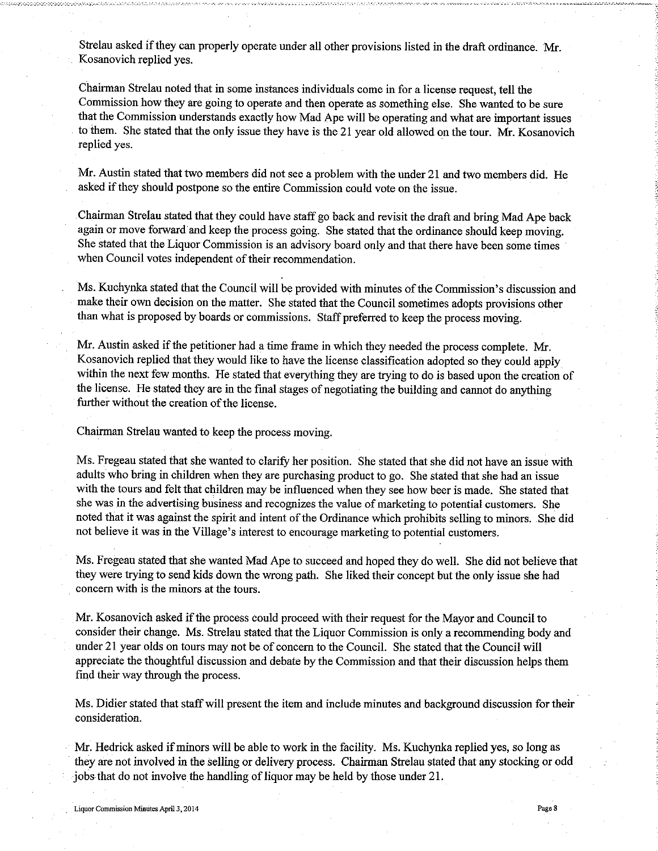Strelau asked if they can properly operate under all other provisions listed in the draft ordinance. Mr. Kosanovich replied yes.

Chairman Strelau noted that in some instances individuals come in for a license request, tell the Commission how they are going to operate and then operate as something else. She wanted to be sure that the Commission understands exactly how Mad Ape will be operating and what are important issues to them. She stated that the only issue they have is the 21 year old allowed on the tour. Mr. Kosanovich replied ves.

Mr. Austin stated that two members did not see a problem with the under 21 and two members did. He asked if they should postpone so the entire Commission could vote on the issue.

Chairman Strelau stated that they could have staff go back and revisit the draft and bring Mad Ape back again or move forward and keep the process going. She stated that the ordinance should keep moving. She stated that the Liquor Commission is an advisory board only and that there have been some times when Council votes independent of their recommendation.

Ms. Kuchynka stated that the Council will be provided with minutes of the Commission's discussion and make their own decision on the matter. She stated that the Council sometimes adopts provisions other than what is proposed by boards or commissions. Staff preferred to keep the process moving.

Mr. Austin asked if the petitioner had a time frame in which they needed the process complete. Mr. Kosanovich replied that they would like to have the license classification adopted so they could apply within the next few months. He stated that everything they are trying to do is based upon the creation of the license. He stated they are in the final stages of negotiating the building and cannot do anything further without the creation of the license.

Chairman Strelau wanted to keep the process moving.

Ms. Fregeau stated that she wanted to clarify her position. She stated that she did not have an issue with adults who bring in children when they are purchasing product to go. She stated that she had an issue with the tours and felt that children may be influenced when they see how beer is made. She stated that she was in the advertising business and recognizes the value of marketing to potential customers. She noted that it was against the spirit and intent of the Ordinance which prohibits selling to minors. She did not believe it was in the Village's interest to encourage marketing to potential customers.

Ms. Fregeau stated that she wanted Mad Ape to succeed and hoped they do well. She did not believe that they were trying to send kids down the wrong path. She liked their concept but the only issue she had concern with is the minors at the tours.

Mr. Kosanovich asked if the process could proceed with their request for the Mayor and Council to consider their change. Ms. Strelau stated that the Liquor Commission is only a recommending body and under 21 year olds on tours may not be of concern to the Council. She stated that the Council will appreciate the thoughtful discussion and debate by the Commission and that their discussion helps them find their way through the process.

Ms. Didier stated that staff will present the item and include minutes and background discussion for their consideration.

Mr. Hedrick asked if minors will be able to work in the facility. Ms. Kuchynka replied yes, so long as they are not involved in the selling or delivery process. Chairman Strelau stated that any stocking or odd jobs that do not involve the handling of liquor may be held by those under 21.